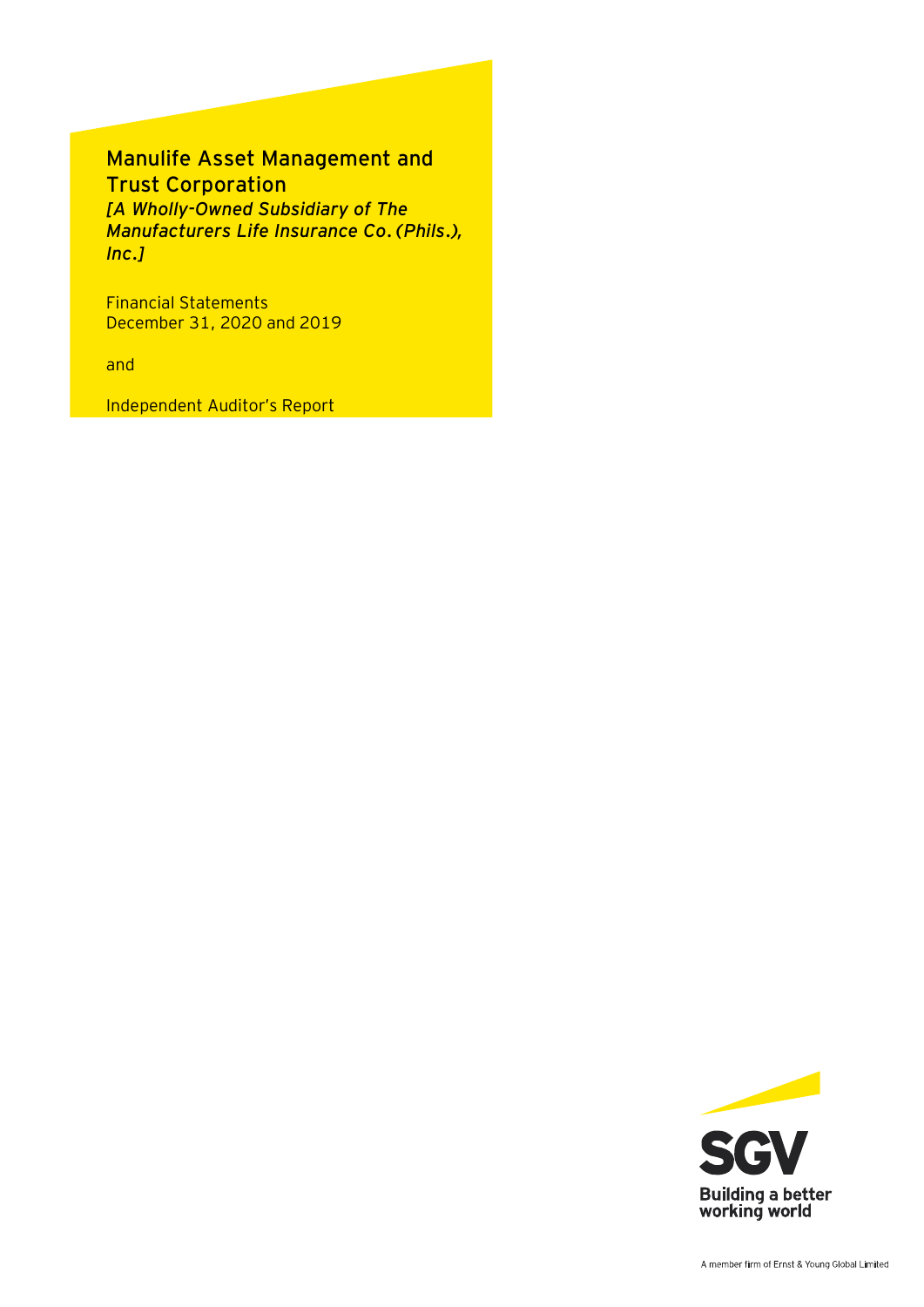Manulife Asset Management and Trust Corporation *[A Wholly-Owned Subsidiary of The Manufacturers Life Insurance Co. (Phils.), Inc.]*

Financial Statements December 31, 2020 and 2019

and

Independent Auditor's Report

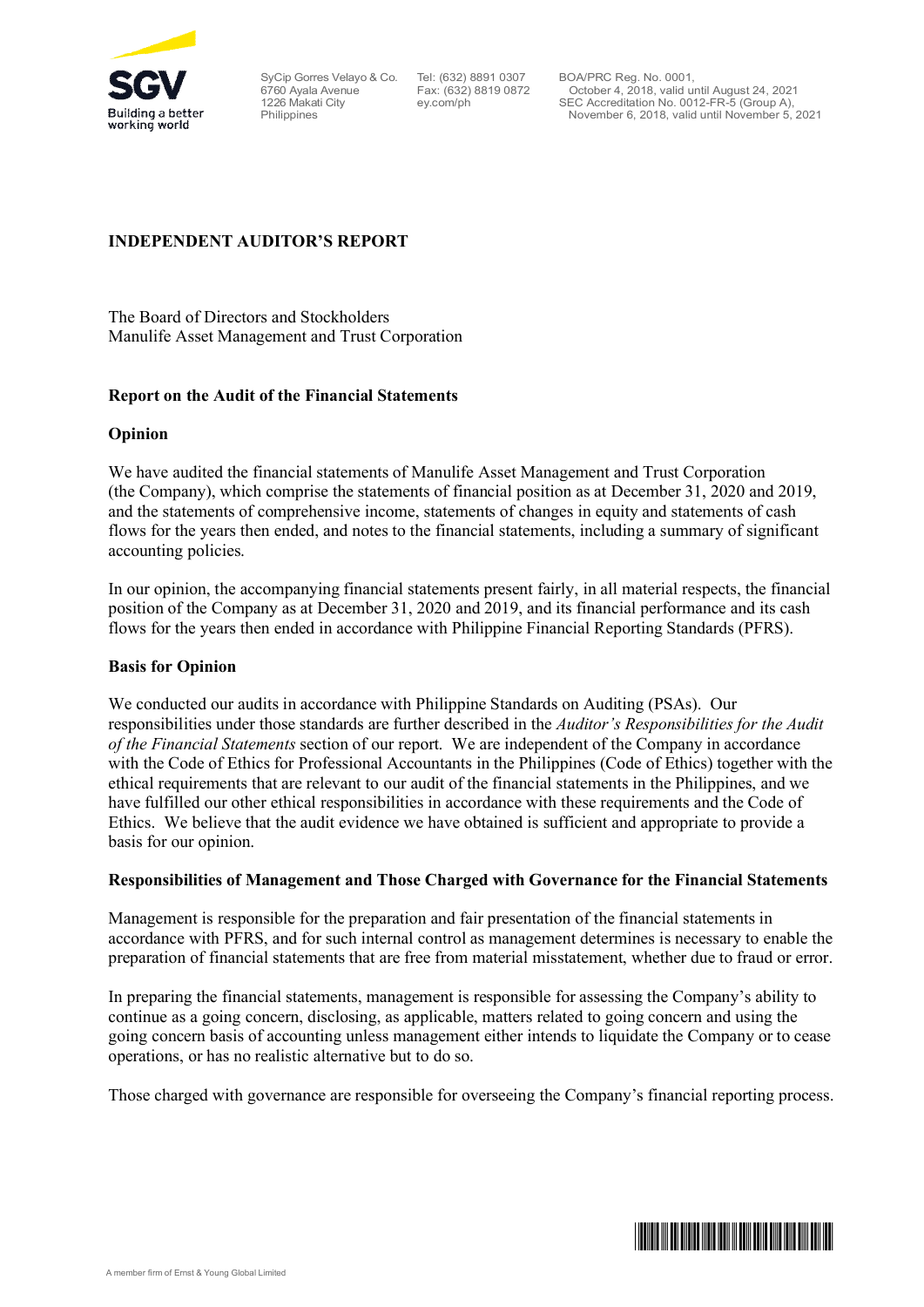

SyCip Gorres Velayo & Co. 6760 Ayala Avenue 1226 Makati City Philippines

 Tel: (632) 8891 0307 Fax: (632) 8819 0872 ey.com/ph

 BOA/PRC Reg. No. 0001, October 4, 2018, valid until August 24, 2021 SEC Accreditation No. 0012-FR-5 (Group A), November 6, 2018, valid until November 5, 2021

# **INDEPENDENT AUDITOR'S REPORT**

The Board of Directors and Stockholders Manulife Asset Management and Trust Corporation

### **Report on the Audit of the Financial Statements**

# **Opinion**

We have audited the financial statements of Manulife Asset Management and Trust Corporation (the Company), which comprise the statements of financial position as at December 31, 2020 and 2019, and the statements of comprehensive income, statements of changes in equity and statements of cash flows for the years then ended, and notes to the financial statements, including a summary of significant accounting policies.

In our opinion, the accompanying financial statements present fairly, in all material respects, the financial position of the Company as at December 31, 2020 and 2019, and its financial performance and its cash flows for the years then ended in accordance with Philippine Financial Reporting Standards (PFRS).

### **Basis for Opinion**

We conducted our audits in accordance with Philippine Standards on Auditing (PSAs). Our responsibilities under those standards are further described in the *Auditor's Responsibilities for the Audit of the Financial Statements* section of our report. We are independent of the Company in accordance with the Code of Ethics for Professional Accountants in the Philippines (Code of Ethics) together with the ethical requirements that are relevant to our audit of the financial statements in the Philippines, and we have fulfilled our other ethical responsibilities in accordance with these requirements and the Code of Ethics. We believe that the audit evidence we have obtained is sufficient and appropriate to provide a basis for our opinion.

# **Responsibilities of Management and Those Charged with Governance for the Financial Statements**

Management is responsible for the preparation and fair presentation of the financial statements in accordance with PFRS, and for such internal control as management determines is necessary to enable the preparation of financial statements that are free from material misstatement, whether due to fraud or error.

In preparing the financial statements, management is responsible for assessing the Company's ability to continue as a going concern, disclosing, as applicable, matters related to going concern and using the going concern basis of accounting unless management either intends to liquidate the Company or to cease operations, or has no realistic alternative but to do so.

Those charged with governance are responsible for overseeing the Company's financial reporting process.

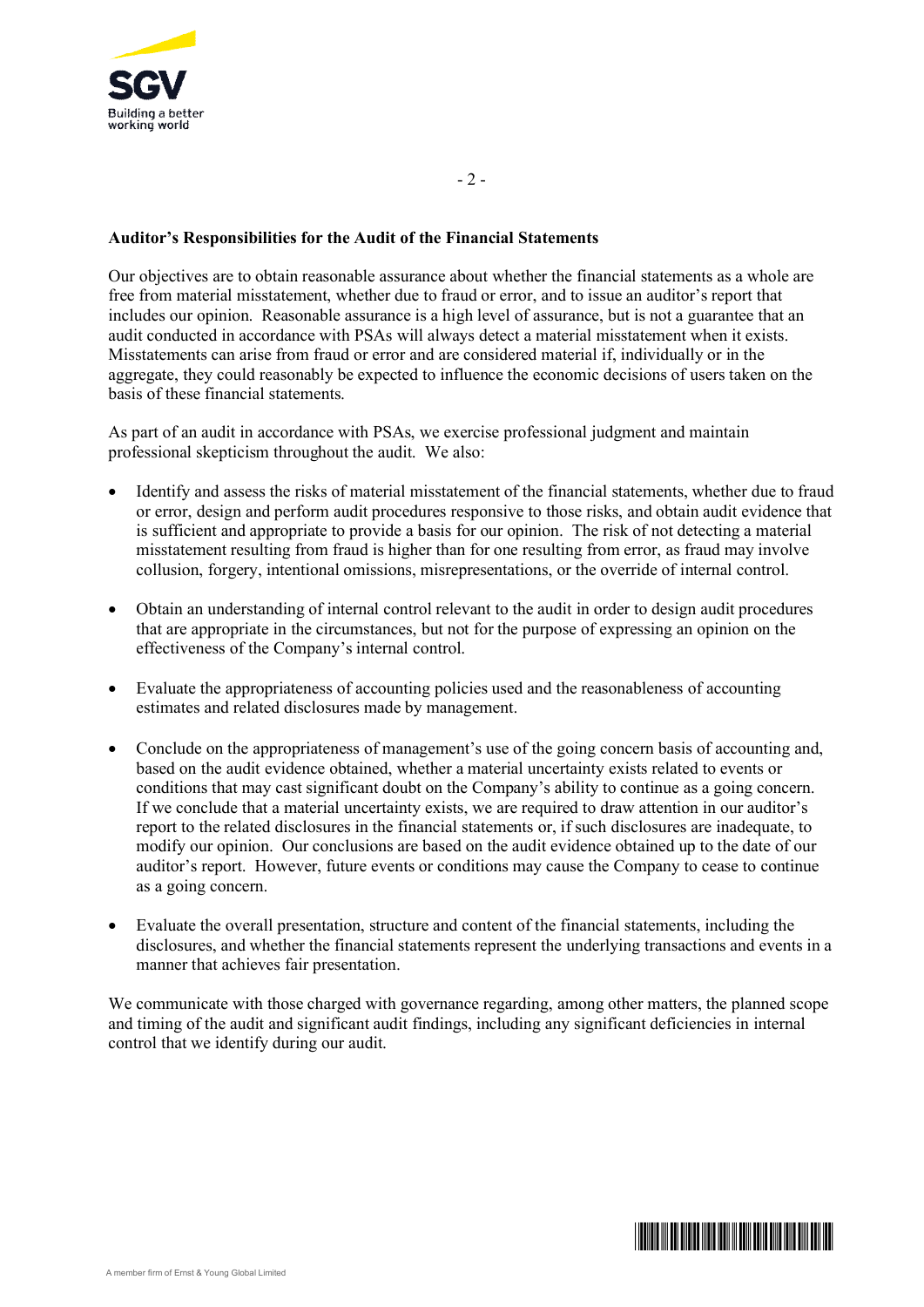

# **Auditor's Responsibilities for the Audit of the Financial Statements**

Our objectives are to obtain reasonable assurance about whether the financial statements as a whole are free from material misstatement, whether due to fraud or error, and to issue an auditor's report that includes our opinion. Reasonable assurance is a high level of assurance, but is not a guarantee that an audit conducted in accordance with PSAs will always detect a material misstatement when it exists. Misstatements can arise from fraud or error and are considered material if, individually or in the aggregate, they could reasonably be expected to influence the economic decisions of users taken on the basis of these financial statements.

As part of an audit in accordance with PSAs, we exercise professional judgment and maintain professional skepticism throughout the audit. We also:

- Identify and assess the risks of material misstatement of the financial statements, whether due to fraud or error, design and perform audit procedures responsive to those risks, and obtain audit evidence that is sufficient and appropriate to provide a basis for our opinion. The risk of not detecting a material misstatement resulting from fraud is higher than for one resulting from error, as fraud may involve collusion, forgery, intentional omissions, misrepresentations, or the override of internal control.
- Obtain an understanding of internal control relevant to the audit in order to design audit procedures that are appropriate in the circumstances, but not for the purpose of expressing an opinion on the effectiveness of the Company's internal control.
- Evaluate the appropriateness of accounting policies used and the reasonableness of accounting estimates and related disclosures made by management.
- Conclude on the appropriateness of management's use of the going concern basis of accounting and, based on the audit evidence obtained, whether a material uncertainty exists related to events or conditions that may cast significant doubt on the Company's ability to continue as a going concern. If we conclude that a material uncertainty exists, we are required to draw attention in our auditor's report to the related disclosures in the financial statements or, if such disclosures are inadequate, to modify our opinion. Our conclusions are based on the audit evidence obtained up to the date of our auditor's report. However, future events or conditions may cause the Company to cease to continue as a going concern.
- Evaluate the overall presentation, structure and content of the financial statements, including the disclosures, and whether the financial statements represent the underlying transactions and events in a manner that achieves fair presentation.

We communicate with those charged with governance regarding, among other matters, the planned scope and timing of the audit and significant audit findings, including any significant deficiencies in internal control that we identify during our audit.

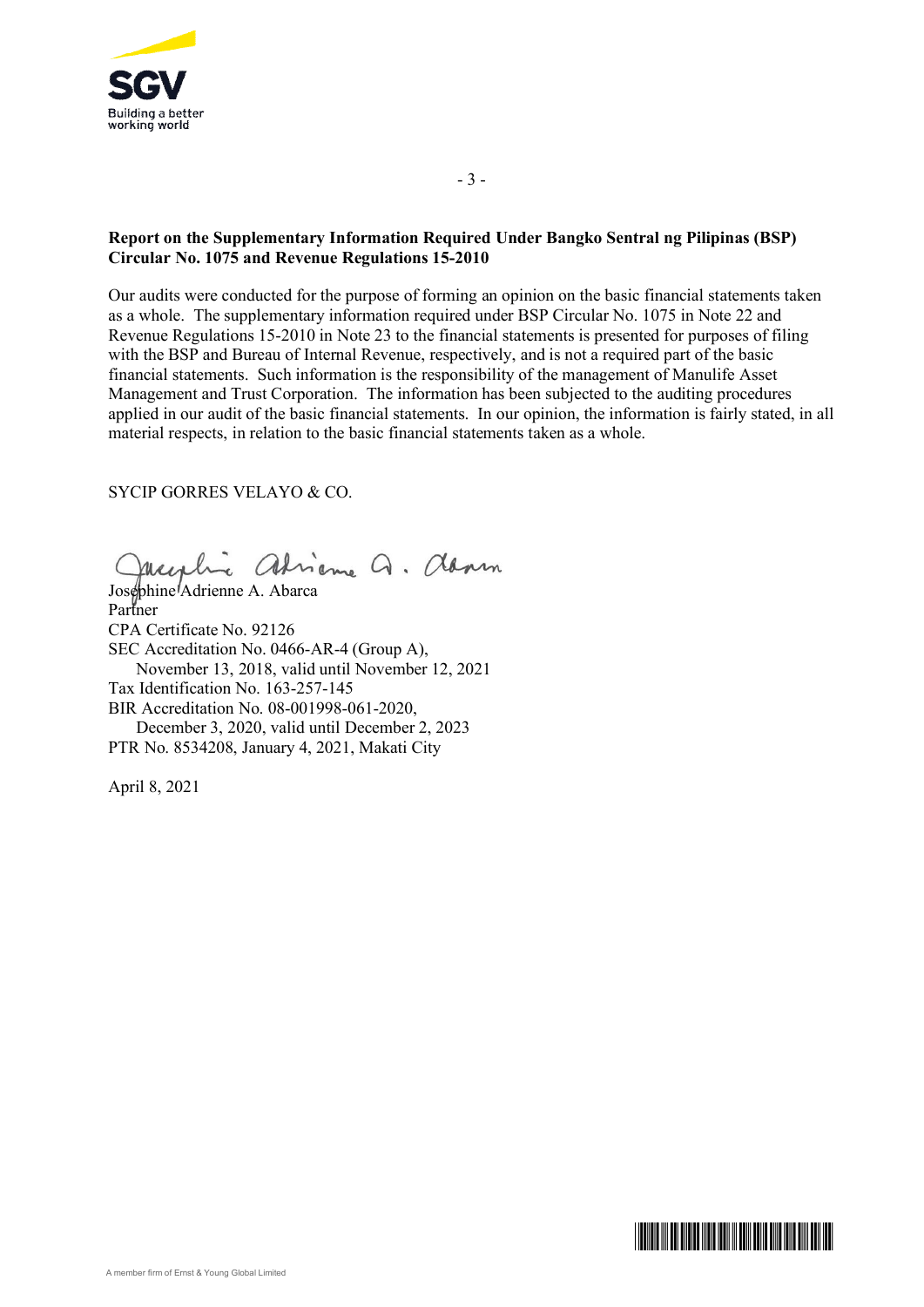

# **Report on the Supplementary Information Required Under Bangko Sentral ng Pilipinas (BSP) Circular No. 1075 and Revenue Regulations 15-2010**

- 3 -

Our audits were conducted for the purpose of forming an opinion on the basic financial statements taken as a whole. The supplementary information required under BSP Circular No. 1075 in Note 22 and Revenue Regulations 15-2010 in Note 23 to the financial statements is presented for purposes of filing with the BSP and Bureau of Internal Revenue, respectively, and is not a required part of the basic financial statements. Such information is the responsibility of the management of Manulife Asset Management and Trust Corporation. The information has been subjected to the auditing procedures applied in our audit of the basic financial statements. In our opinion, the information is fairly stated, in all material respects, in relation to the basic financial statements taken as a whole.

SYCIP GORRES VELAYO & CO.

ucephic adriance a. dann

Josephine Adrienne A. Abarca Partner CPA Certificate No. 92126 SEC Accreditation No. 0466-AR-4 (Group A), November 13, 2018, valid until November 12, 2021 Tax Identification No. 163-257-145 BIR Accreditation No. 08-001998-061-2020, December 3, 2020, valid until December 2, 2023 PTR No. 8534208, January 4, 2021, Makati City

April 8, 2021

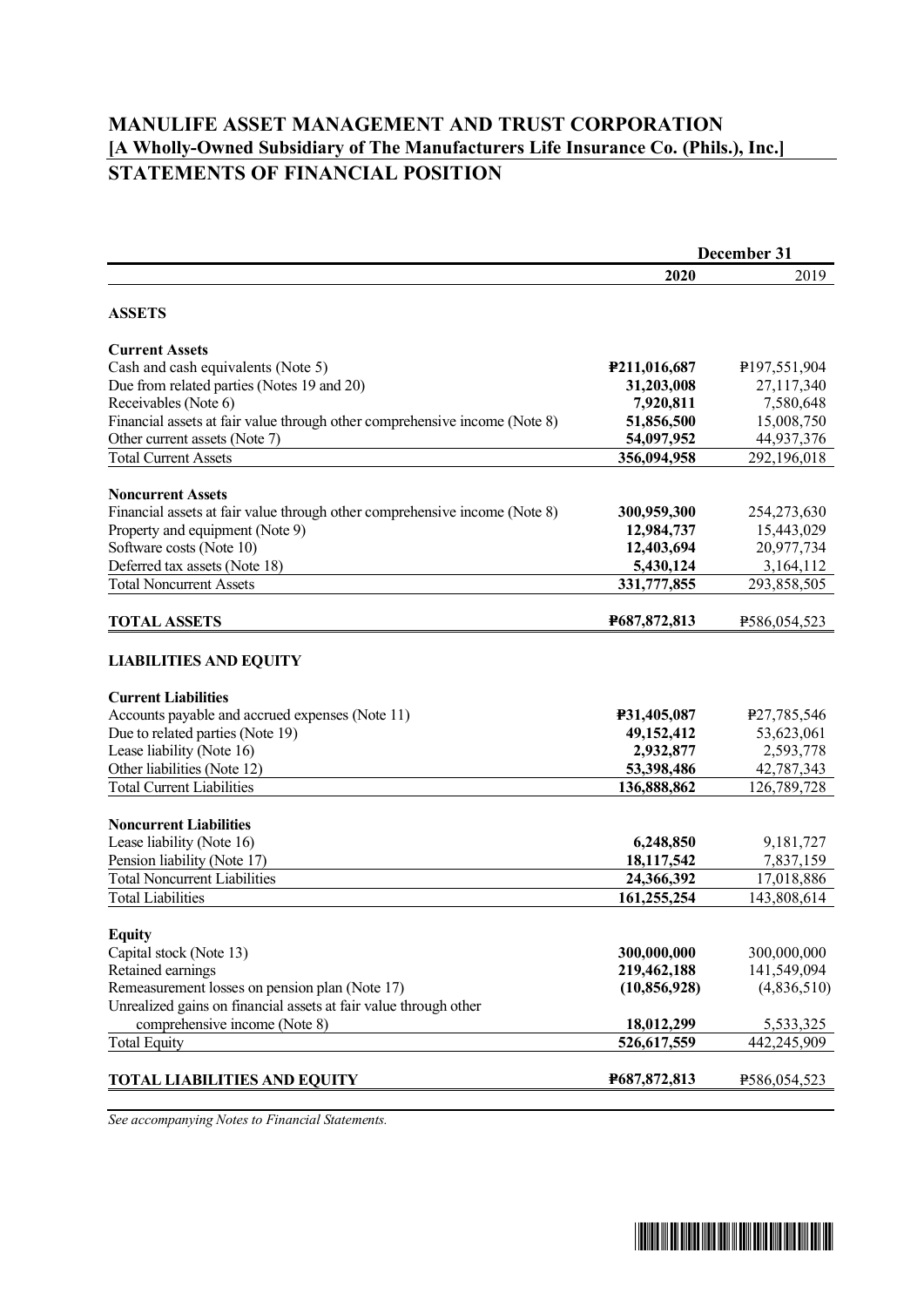# **MANULIFE ASSET MANAGEMENT AND TRUST CORPORATION [A Wholly-Owned Subsidiary of The Manufacturers Life Insurance Co. (Phils.), Inc.] STATEMENTS OF FINANCIAL POSITION**

|                                                                            | December 31    |               |
|----------------------------------------------------------------------------|----------------|---------------|
|                                                                            | 2020           | 2019          |
| <b>ASSETS</b>                                                              |                |               |
| <b>Current Assets</b>                                                      |                |               |
| Cash and cash equivalents (Note 5)                                         | P211,016,687   | P197,551,904  |
| Due from related parties (Notes 19 and 20)                                 | 31,203,008     | 27,117,340    |
| Receivables (Note 6)                                                       | 7,920,811      | 7,580,648     |
| Financial assets at fair value through other comprehensive income (Note 8) | 51,856,500     | 15,008,750    |
| Other current assets (Note 7)                                              | 54,097,952     | 44,937,376    |
| <b>Total Current Assets</b>                                                | 356,094,958    | 292,196,018   |
| <b>Noncurrent Assets</b>                                                   |                |               |
| Financial assets at fair value through other comprehensive income (Note 8) | 300,959,300    | 254, 273, 630 |
| Property and equipment (Note 9)                                            | 12,984,737     | 15,443,029    |
| Software costs (Note 10)                                                   | 12,403,694     | 20,977,734    |
| Deferred tax assets (Note 18)                                              | 5,430,124      | 3,164,112     |
| <b>Total Noncurrent Assets</b>                                             | 331,777,855    | 293,858,505   |
| <b>TOTAL ASSETS</b>                                                        | P687,872,813   | P586,054,523  |
| <b>LIABILITIES AND EQUITY</b>                                              |                |               |
| <b>Current Liabilities</b>                                                 |                |               |
| Accounts payable and accrued expenses (Note 11)                            | P31,405,087    | P27,785,546   |
| Due to related parties (Note 19)                                           | 49,152,412     | 53,623,061    |
| Lease liability (Note 16)                                                  | 2,932,877      | 2,593,778     |
| Other liabilities (Note 12)                                                | 53,398,486     | 42,787,343    |
| <b>Total Current Liabilities</b>                                           | 136,888,862    | 126,789,728   |
| <b>Noncurrent Liabilities</b>                                              |                |               |
| Lease liability (Note 16)                                                  | 6,248,850      | 9,181,727     |
| Pension liability (Note 17)                                                | 18,117,542     | 7,837,159     |
| <b>Total Noncurrent Liabilities</b>                                        | 24,366,392     | 17,018,886    |
| <b>Total Liabilities</b>                                                   | 161,255,254    | 143,808,614   |
| <b>Equity</b>                                                              |                |               |
| Capital stock (Note 13)                                                    | 300,000,000    | 300,000,000   |
| Retained earnings                                                          | 219,462,188    | 141,549,094   |
| Remeasurement losses on pension plan (Note 17)                             | (10, 856, 928) | (4,836,510)   |
| Unrealized gains on financial assets at fair value through other           |                |               |
| comprehensive income (Note 8)                                              | 18,012,299     | 5,533,325     |
| <b>Total Equity</b>                                                        | 526,617,559    | 442,245,909   |
| <b>TOTAL LIABILITIES AND EQUITY</b>                                        | P687,872,813   | P586,054,523  |

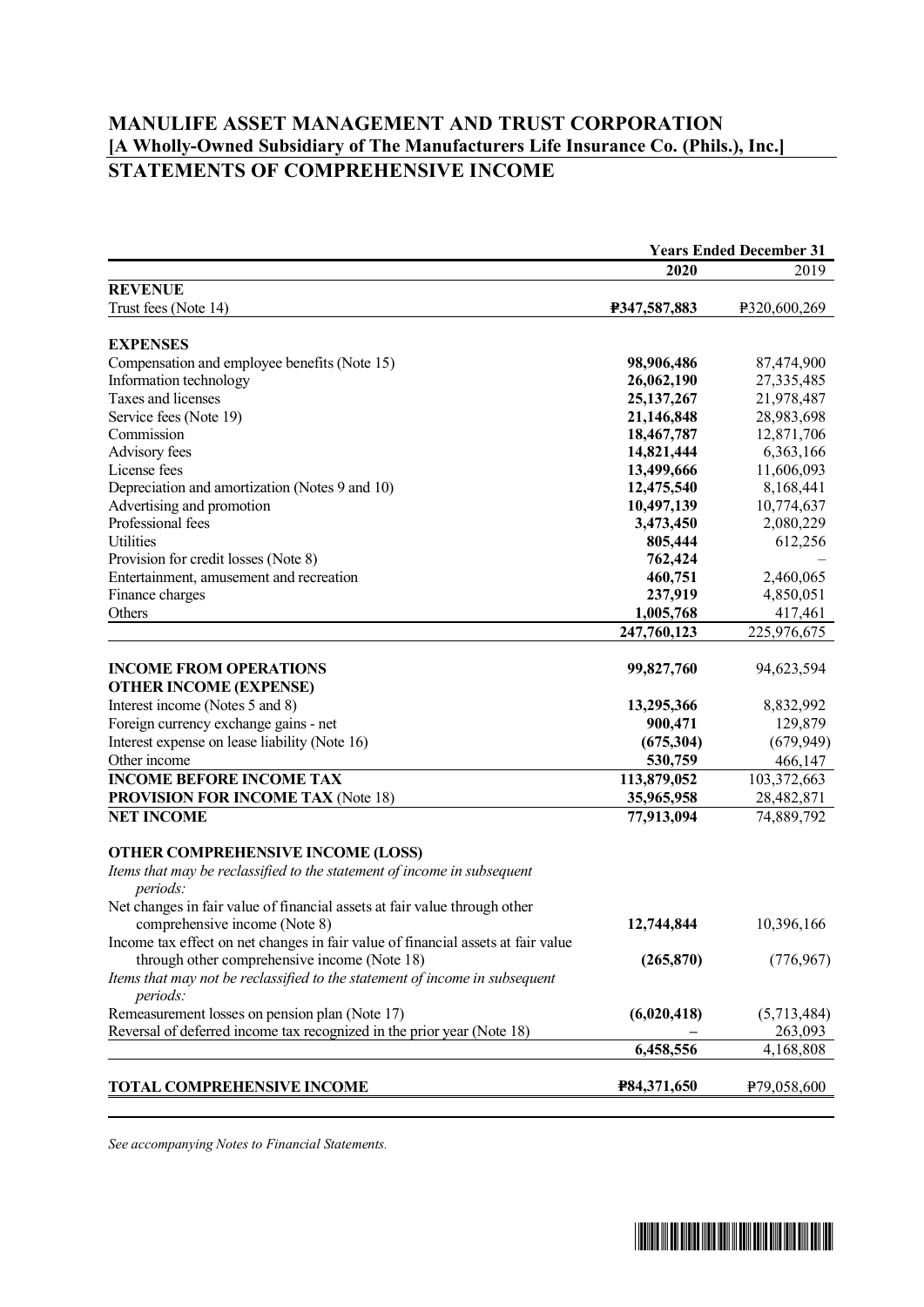# **MANULIFE ASSET MANAGEMENT AND TRUST CORPORATION [A Wholly-Owned Subsidiary of The Manufacturers Life Insurance Co. (Phils.), Inc.] STATEMENTS OF COMPREHENSIVE INCOME**

| 2020<br>2019<br><b>REVENUE</b><br>Trust fees (Note 14)<br>P347,587,883<br>P320,600,269<br><b>EXPENSES</b><br>Compensation and employee benefits (Note 15)<br>98,906,486<br>87,474,900<br>26,062,190<br>27,335,485<br>Information technology<br>Taxes and licenses<br>25, 137, 267<br>21,978,487<br>Service fees (Note 19)<br>21,146,848<br>28,983,698<br>18,467,787<br>12,871,706<br>Commission<br>Advisory fees<br>14,821,444<br>6,363,166<br>License fees<br>13,499,666<br>11,606,093<br>Depreciation and amortization (Notes 9 and 10)<br>12,475,540<br>8,168,441<br>Advertising and promotion<br>10,497,139<br>10,774,637<br>Professional fees<br>3,473,450<br>2,080,229<br>Utilities<br>805,444<br>612,256<br>Provision for credit losses (Note 8)<br>762,424<br>Entertainment, amusement and recreation<br>460,751<br>2,460,065<br>237,919<br>4,850,051<br>Finance charges<br>417,461<br>Others<br>1,005,768<br>247,760,123<br>225,976,675<br><b>INCOME FROM OPERATIONS</b><br>94,623,594<br>99,827,760<br><b>OTHER INCOME (EXPENSE)</b><br>Interest income (Notes 5 and 8)<br>13,295,366<br>8,832,992<br>Foreign currency exchange gains - net<br>900,471<br>129,879<br>Interest expense on lease liability (Note 16)<br>(675, 304)<br>(679, 949)<br>530,759<br>Other income<br>466,147<br>113,879,052<br><b>INCOME BEFORE INCOME TAX</b><br>103,372,663<br><b>PROVISION FOR INCOME TAX (Note 18)</b><br>28,482,871<br>35,965,958<br><b>NET INCOME</b><br>77,913,094<br>74,889,792<br><b>OTHER COMPREHENSIVE INCOME (LOSS)</b><br>Items that may be reclassified to the statement of income in subsequent<br>periods:<br>comprehensive income (Note 8)<br>12,744,844<br>10,396,166<br>Income tax effect on net changes in fair value of financial assets at fair value<br>through other comprehensive income (Note 18)<br>(265, 870)<br>(776, 967)<br>Items that may not be reclassified to the statement of income in subsequent<br>periods:<br>Remeasurement losses on pension plan (Note 17)<br>(6,020,418)<br>(5,713,484)<br>Reversal of deferred income tax recognized in the prior year (Note 18)<br>263,093<br>4,168,808<br>6,458,556<br>P84,371,650<br>TOTAL COMPREHENSIVE INCOME<br>P79,058,600 |                                                                           | <b>Years Ended December 31</b> |
|-----------------------------------------------------------------------------------------------------------------------------------------------------------------------------------------------------------------------------------------------------------------------------------------------------------------------------------------------------------------------------------------------------------------------------------------------------------------------------------------------------------------------------------------------------------------------------------------------------------------------------------------------------------------------------------------------------------------------------------------------------------------------------------------------------------------------------------------------------------------------------------------------------------------------------------------------------------------------------------------------------------------------------------------------------------------------------------------------------------------------------------------------------------------------------------------------------------------------------------------------------------------------------------------------------------------------------------------------------------------------------------------------------------------------------------------------------------------------------------------------------------------------------------------------------------------------------------------------------------------------------------------------------------------------------------------------------------------------------------------------------------------------------------------------------------------------------------------------------------------------------------------------------------------------------------------------------------------------------------------------------------------------------------------------------------------------------------------------------------------------------------------------------------------------------------------------------------------|---------------------------------------------------------------------------|--------------------------------|
|                                                                                                                                                                                                                                                                                                                                                                                                                                                                                                                                                                                                                                                                                                                                                                                                                                                                                                                                                                                                                                                                                                                                                                                                                                                                                                                                                                                                                                                                                                                                                                                                                                                                                                                                                                                                                                                                                                                                                                                                                                                                                                                                                                                                                 |                                                                           |                                |
|                                                                                                                                                                                                                                                                                                                                                                                                                                                                                                                                                                                                                                                                                                                                                                                                                                                                                                                                                                                                                                                                                                                                                                                                                                                                                                                                                                                                                                                                                                                                                                                                                                                                                                                                                                                                                                                                                                                                                                                                                                                                                                                                                                                                                 |                                                                           |                                |
|                                                                                                                                                                                                                                                                                                                                                                                                                                                                                                                                                                                                                                                                                                                                                                                                                                                                                                                                                                                                                                                                                                                                                                                                                                                                                                                                                                                                                                                                                                                                                                                                                                                                                                                                                                                                                                                                                                                                                                                                                                                                                                                                                                                                                 |                                                                           |                                |
|                                                                                                                                                                                                                                                                                                                                                                                                                                                                                                                                                                                                                                                                                                                                                                                                                                                                                                                                                                                                                                                                                                                                                                                                                                                                                                                                                                                                                                                                                                                                                                                                                                                                                                                                                                                                                                                                                                                                                                                                                                                                                                                                                                                                                 |                                                                           |                                |
|                                                                                                                                                                                                                                                                                                                                                                                                                                                                                                                                                                                                                                                                                                                                                                                                                                                                                                                                                                                                                                                                                                                                                                                                                                                                                                                                                                                                                                                                                                                                                                                                                                                                                                                                                                                                                                                                                                                                                                                                                                                                                                                                                                                                                 |                                                                           |                                |
|                                                                                                                                                                                                                                                                                                                                                                                                                                                                                                                                                                                                                                                                                                                                                                                                                                                                                                                                                                                                                                                                                                                                                                                                                                                                                                                                                                                                                                                                                                                                                                                                                                                                                                                                                                                                                                                                                                                                                                                                                                                                                                                                                                                                                 |                                                                           |                                |
|                                                                                                                                                                                                                                                                                                                                                                                                                                                                                                                                                                                                                                                                                                                                                                                                                                                                                                                                                                                                                                                                                                                                                                                                                                                                                                                                                                                                                                                                                                                                                                                                                                                                                                                                                                                                                                                                                                                                                                                                                                                                                                                                                                                                                 |                                                                           |                                |
|                                                                                                                                                                                                                                                                                                                                                                                                                                                                                                                                                                                                                                                                                                                                                                                                                                                                                                                                                                                                                                                                                                                                                                                                                                                                                                                                                                                                                                                                                                                                                                                                                                                                                                                                                                                                                                                                                                                                                                                                                                                                                                                                                                                                                 |                                                                           |                                |
|                                                                                                                                                                                                                                                                                                                                                                                                                                                                                                                                                                                                                                                                                                                                                                                                                                                                                                                                                                                                                                                                                                                                                                                                                                                                                                                                                                                                                                                                                                                                                                                                                                                                                                                                                                                                                                                                                                                                                                                                                                                                                                                                                                                                                 |                                                                           |                                |
|                                                                                                                                                                                                                                                                                                                                                                                                                                                                                                                                                                                                                                                                                                                                                                                                                                                                                                                                                                                                                                                                                                                                                                                                                                                                                                                                                                                                                                                                                                                                                                                                                                                                                                                                                                                                                                                                                                                                                                                                                                                                                                                                                                                                                 |                                                                           |                                |
|                                                                                                                                                                                                                                                                                                                                                                                                                                                                                                                                                                                                                                                                                                                                                                                                                                                                                                                                                                                                                                                                                                                                                                                                                                                                                                                                                                                                                                                                                                                                                                                                                                                                                                                                                                                                                                                                                                                                                                                                                                                                                                                                                                                                                 |                                                                           |                                |
|                                                                                                                                                                                                                                                                                                                                                                                                                                                                                                                                                                                                                                                                                                                                                                                                                                                                                                                                                                                                                                                                                                                                                                                                                                                                                                                                                                                                                                                                                                                                                                                                                                                                                                                                                                                                                                                                                                                                                                                                                                                                                                                                                                                                                 |                                                                           |                                |
|                                                                                                                                                                                                                                                                                                                                                                                                                                                                                                                                                                                                                                                                                                                                                                                                                                                                                                                                                                                                                                                                                                                                                                                                                                                                                                                                                                                                                                                                                                                                                                                                                                                                                                                                                                                                                                                                                                                                                                                                                                                                                                                                                                                                                 |                                                                           |                                |
|                                                                                                                                                                                                                                                                                                                                                                                                                                                                                                                                                                                                                                                                                                                                                                                                                                                                                                                                                                                                                                                                                                                                                                                                                                                                                                                                                                                                                                                                                                                                                                                                                                                                                                                                                                                                                                                                                                                                                                                                                                                                                                                                                                                                                 |                                                                           |                                |
|                                                                                                                                                                                                                                                                                                                                                                                                                                                                                                                                                                                                                                                                                                                                                                                                                                                                                                                                                                                                                                                                                                                                                                                                                                                                                                                                                                                                                                                                                                                                                                                                                                                                                                                                                                                                                                                                                                                                                                                                                                                                                                                                                                                                                 |                                                                           |                                |
|                                                                                                                                                                                                                                                                                                                                                                                                                                                                                                                                                                                                                                                                                                                                                                                                                                                                                                                                                                                                                                                                                                                                                                                                                                                                                                                                                                                                                                                                                                                                                                                                                                                                                                                                                                                                                                                                                                                                                                                                                                                                                                                                                                                                                 |                                                                           |                                |
|                                                                                                                                                                                                                                                                                                                                                                                                                                                                                                                                                                                                                                                                                                                                                                                                                                                                                                                                                                                                                                                                                                                                                                                                                                                                                                                                                                                                                                                                                                                                                                                                                                                                                                                                                                                                                                                                                                                                                                                                                                                                                                                                                                                                                 |                                                                           |                                |
|                                                                                                                                                                                                                                                                                                                                                                                                                                                                                                                                                                                                                                                                                                                                                                                                                                                                                                                                                                                                                                                                                                                                                                                                                                                                                                                                                                                                                                                                                                                                                                                                                                                                                                                                                                                                                                                                                                                                                                                                                                                                                                                                                                                                                 |                                                                           |                                |
|                                                                                                                                                                                                                                                                                                                                                                                                                                                                                                                                                                                                                                                                                                                                                                                                                                                                                                                                                                                                                                                                                                                                                                                                                                                                                                                                                                                                                                                                                                                                                                                                                                                                                                                                                                                                                                                                                                                                                                                                                                                                                                                                                                                                                 |                                                                           |                                |
|                                                                                                                                                                                                                                                                                                                                                                                                                                                                                                                                                                                                                                                                                                                                                                                                                                                                                                                                                                                                                                                                                                                                                                                                                                                                                                                                                                                                                                                                                                                                                                                                                                                                                                                                                                                                                                                                                                                                                                                                                                                                                                                                                                                                                 |                                                                           |                                |
|                                                                                                                                                                                                                                                                                                                                                                                                                                                                                                                                                                                                                                                                                                                                                                                                                                                                                                                                                                                                                                                                                                                                                                                                                                                                                                                                                                                                                                                                                                                                                                                                                                                                                                                                                                                                                                                                                                                                                                                                                                                                                                                                                                                                                 |                                                                           |                                |
|                                                                                                                                                                                                                                                                                                                                                                                                                                                                                                                                                                                                                                                                                                                                                                                                                                                                                                                                                                                                                                                                                                                                                                                                                                                                                                                                                                                                                                                                                                                                                                                                                                                                                                                                                                                                                                                                                                                                                                                                                                                                                                                                                                                                                 |                                                                           |                                |
|                                                                                                                                                                                                                                                                                                                                                                                                                                                                                                                                                                                                                                                                                                                                                                                                                                                                                                                                                                                                                                                                                                                                                                                                                                                                                                                                                                                                                                                                                                                                                                                                                                                                                                                                                                                                                                                                                                                                                                                                                                                                                                                                                                                                                 |                                                                           |                                |
|                                                                                                                                                                                                                                                                                                                                                                                                                                                                                                                                                                                                                                                                                                                                                                                                                                                                                                                                                                                                                                                                                                                                                                                                                                                                                                                                                                                                                                                                                                                                                                                                                                                                                                                                                                                                                                                                                                                                                                                                                                                                                                                                                                                                                 |                                                                           |                                |
|                                                                                                                                                                                                                                                                                                                                                                                                                                                                                                                                                                                                                                                                                                                                                                                                                                                                                                                                                                                                                                                                                                                                                                                                                                                                                                                                                                                                                                                                                                                                                                                                                                                                                                                                                                                                                                                                                                                                                                                                                                                                                                                                                                                                                 |                                                                           |                                |
|                                                                                                                                                                                                                                                                                                                                                                                                                                                                                                                                                                                                                                                                                                                                                                                                                                                                                                                                                                                                                                                                                                                                                                                                                                                                                                                                                                                                                                                                                                                                                                                                                                                                                                                                                                                                                                                                                                                                                                                                                                                                                                                                                                                                                 |                                                                           |                                |
|                                                                                                                                                                                                                                                                                                                                                                                                                                                                                                                                                                                                                                                                                                                                                                                                                                                                                                                                                                                                                                                                                                                                                                                                                                                                                                                                                                                                                                                                                                                                                                                                                                                                                                                                                                                                                                                                                                                                                                                                                                                                                                                                                                                                                 |                                                                           |                                |
|                                                                                                                                                                                                                                                                                                                                                                                                                                                                                                                                                                                                                                                                                                                                                                                                                                                                                                                                                                                                                                                                                                                                                                                                                                                                                                                                                                                                                                                                                                                                                                                                                                                                                                                                                                                                                                                                                                                                                                                                                                                                                                                                                                                                                 |                                                                           |                                |
|                                                                                                                                                                                                                                                                                                                                                                                                                                                                                                                                                                                                                                                                                                                                                                                                                                                                                                                                                                                                                                                                                                                                                                                                                                                                                                                                                                                                                                                                                                                                                                                                                                                                                                                                                                                                                                                                                                                                                                                                                                                                                                                                                                                                                 |                                                                           |                                |
|                                                                                                                                                                                                                                                                                                                                                                                                                                                                                                                                                                                                                                                                                                                                                                                                                                                                                                                                                                                                                                                                                                                                                                                                                                                                                                                                                                                                                                                                                                                                                                                                                                                                                                                                                                                                                                                                                                                                                                                                                                                                                                                                                                                                                 |                                                                           |                                |
|                                                                                                                                                                                                                                                                                                                                                                                                                                                                                                                                                                                                                                                                                                                                                                                                                                                                                                                                                                                                                                                                                                                                                                                                                                                                                                                                                                                                                                                                                                                                                                                                                                                                                                                                                                                                                                                                                                                                                                                                                                                                                                                                                                                                                 |                                                                           |                                |
|                                                                                                                                                                                                                                                                                                                                                                                                                                                                                                                                                                                                                                                                                                                                                                                                                                                                                                                                                                                                                                                                                                                                                                                                                                                                                                                                                                                                                                                                                                                                                                                                                                                                                                                                                                                                                                                                                                                                                                                                                                                                                                                                                                                                                 |                                                                           |                                |
|                                                                                                                                                                                                                                                                                                                                                                                                                                                                                                                                                                                                                                                                                                                                                                                                                                                                                                                                                                                                                                                                                                                                                                                                                                                                                                                                                                                                                                                                                                                                                                                                                                                                                                                                                                                                                                                                                                                                                                                                                                                                                                                                                                                                                 |                                                                           |                                |
|                                                                                                                                                                                                                                                                                                                                                                                                                                                                                                                                                                                                                                                                                                                                                                                                                                                                                                                                                                                                                                                                                                                                                                                                                                                                                                                                                                                                                                                                                                                                                                                                                                                                                                                                                                                                                                                                                                                                                                                                                                                                                                                                                                                                                 |                                                                           |                                |
|                                                                                                                                                                                                                                                                                                                                                                                                                                                                                                                                                                                                                                                                                                                                                                                                                                                                                                                                                                                                                                                                                                                                                                                                                                                                                                                                                                                                                                                                                                                                                                                                                                                                                                                                                                                                                                                                                                                                                                                                                                                                                                                                                                                                                 | Net changes in fair value of financial assets at fair value through other |                                |
|                                                                                                                                                                                                                                                                                                                                                                                                                                                                                                                                                                                                                                                                                                                                                                                                                                                                                                                                                                                                                                                                                                                                                                                                                                                                                                                                                                                                                                                                                                                                                                                                                                                                                                                                                                                                                                                                                                                                                                                                                                                                                                                                                                                                                 |                                                                           |                                |
|                                                                                                                                                                                                                                                                                                                                                                                                                                                                                                                                                                                                                                                                                                                                                                                                                                                                                                                                                                                                                                                                                                                                                                                                                                                                                                                                                                                                                                                                                                                                                                                                                                                                                                                                                                                                                                                                                                                                                                                                                                                                                                                                                                                                                 |                                                                           |                                |
|                                                                                                                                                                                                                                                                                                                                                                                                                                                                                                                                                                                                                                                                                                                                                                                                                                                                                                                                                                                                                                                                                                                                                                                                                                                                                                                                                                                                                                                                                                                                                                                                                                                                                                                                                                                                                                                                                                                                                                                                                                                                                                                                                                                                                 |                                                                           |                                |
|                                                                                                                                                                                                                                                                                                                                                                                                                                                                                                                                                                                                                                                                                                                                                                                                                                                                                                                                                                                                                                                                                                                                                                                                                                                                                                                                                                                                                                                                                                                                                                                                                                                                                                                                                                                                                                                                                                                                                                                                                                                                                                                                                                                                                 |                                                                           |                                |
|                                                                                                                                                                                                                                                                                                                                                                                                                                                                                                                                                                                                                                                                                                                                                                                                                                                                                                                                                                                                                                                                                                                                                                                                                                                                                                                                                                                                                                                                                                                                                                                                                                                                                                                                                                                                                                                                                                                                                                                                                                                                                                                                                                                                                 |                                                                           |                                |
|                                                                                                                                                                                                                                                                                                                                                                                                                                                                                                                                                                                                                                                                                                                                                                                                                                                                                                                                                                                                                                                                                                                                                                                                                                                                                                                                                                                                                                                                                                                                                                                                                                                                                                                                                                                                                                                                                                                                                                                                                                                                                                                                                                                                                 |                                                                           |                                |
|                                                                                                                                                                                                                                                                                                                                                                                                                                                                                                                                                                                                                                                                                                                                                                                                                                                                                                                                                                                                                                                                                                                                                                                                                                                                                                                                                                                                                                                                                                                                                                                                                                                                                                                                                                                                                                                                                                                                                                                                                                                                                                                                                                                                                 |                                                                           |                                |
|                                                                                                                                                                                                                                                                                                                                                                                                                                                                                                                                                                                                                                                                                                                                                                                                                                                                                                                                                                                                                                                                                                                                                                                                                                                                                                                                                                                                                                                                                                                                                                                                                                                                                                                                                                                                                                                                                                                                                                                                                                                                                                                                                                                                                 |                                                                           |                                |
|                                                                                                                                                                                                                                                                                                                                                                                                                                                                                                                                                                                                                                                                                                                                                                                                                                                                                                                                                                                                                                                                                                                                                                                                                                                                                                                                                                                                                                                                                                                                                                                                                                                                                                                                                                                                                                                                                                                                                                                                                                                                                                                                                                                                                 |                                                                           |                                |
|                                                                                                                                                                                                                                                                                                                                                                                                                                                                                                                                                                                                                                                                                                                                                                                                                                                                                                                                                                                                                                                                                                                                                                                                                                                                                                                                                                                                                                                                                                                                                                                                                                                                                                                                                                                                                                                                                                                                                                                                                                                                                                                                                                                                                 |                                                                           |                                |

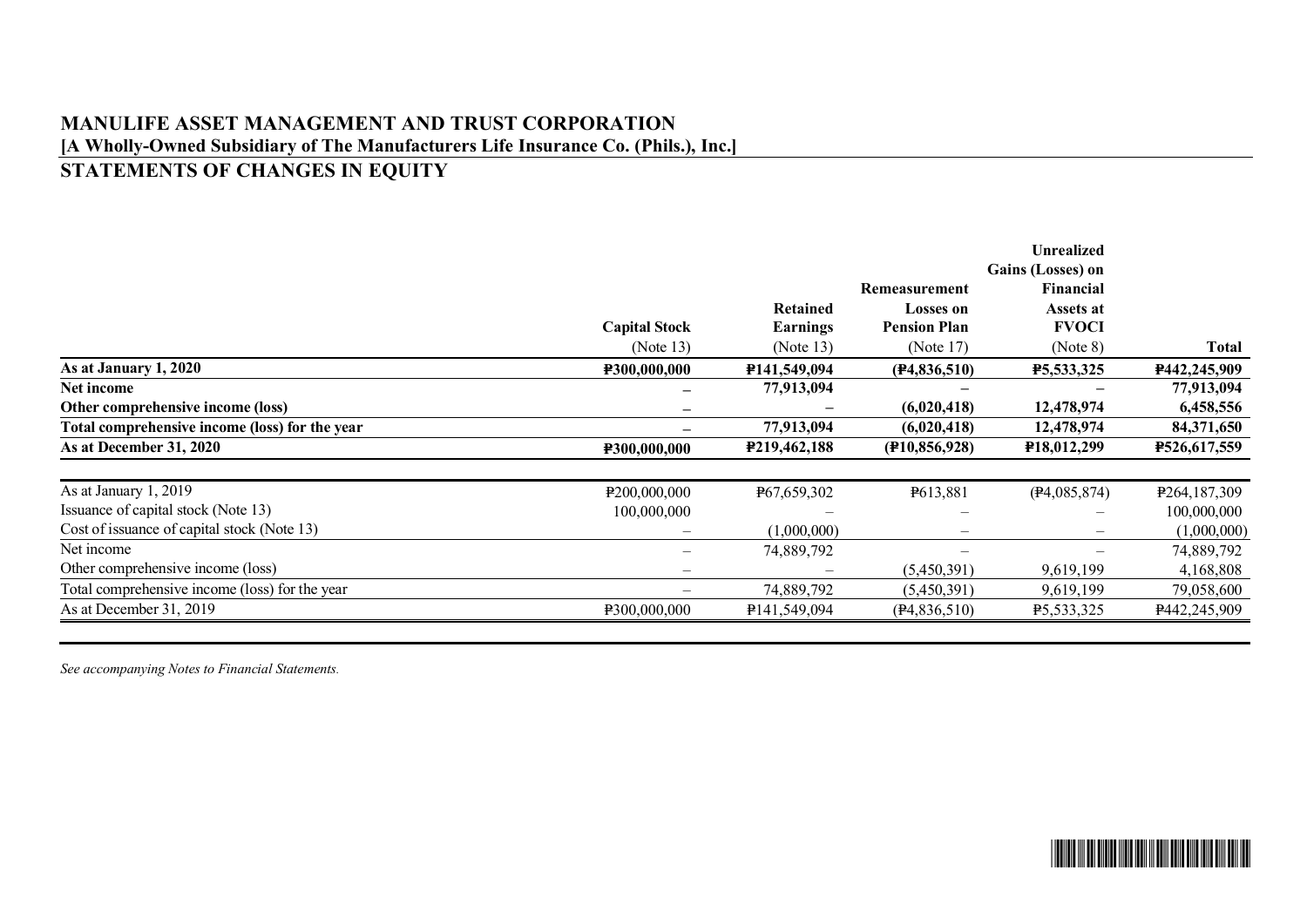# **MANULIFE ASSET MANAGEMENT AND TRUST CORPORATION [A Wholly-Owned Subsidiary of The Manufacturers Life Insurance Co. (Phils.), Inc.] STATEMENTS OF CHANGES IN EQUITY**

|                                                |                           |                             |                     | <b>Unrealized</b>        |                             |
|------------------------------------------------|---------------------------|-----------------------------|---------------------|--------------------------|-----------------------------|
|                                                |                           |                             |                     | Gains (Losses) on        |                             |
|                                                |                           |                             | Remeasurement       | Financial                |                             |
|                                                |                           | <b>Retained</b>             | <b>Losses on</b>    | Assets at                |                             |
|                                                | <b>Capital Stock</b>      | Earnings                    | <b>Pension Plan</b> | <b>FVOCI</b>             |                             |
|                                                | (Note $13$ )              | (Note $13$ )                | (Note $17$ )        | (Note 8)                 | Total                       |
| As at January 1, 2020                          | P300,000,000              | P141,549,094                | (F4, 836, 510)      | P5,533,325               | P442,245,909                |
| Net income                                     |                           | 77,913,094                  |                     |                          | 77,913,094                  |
| Other comprehensive income (loss)              |                           |                             | (6,020,418)         | 12,478,974               | 6,458,556                   |
| Total comprehensive income (loss) for the year |                           | 77,913,094                  | (6,020,418)         | 12,478,974               | 84,371,650                  |
| As at December 31, 2020                        | <b>P300,000,000</b>       | <b>P219,462,188</b>         | (F10, 856, 928)     | P <sub>18</sub> ,012,299 | P526,617,559                |
| As at January 1, 2019                          | P <sub>200</sub> ,000,000 | P <sub>67</sub> ,659,302    | P613,881            | (P4,085,874)             | P <sub>264</sub> , 187, 309 |
| Issuance of capital stock (Note 13)            | 100,000,000               |                             |                     |                          | 100,000,000                 |
| Cost of issuance of capital stock (Note 13)    | $\hspace{0.05cm}$         | (1,000,000)                 | -                   | $\overline{\phantom{0}}$ | (1,000,000)                 |
| Net income                                     |                           | 74,889,792                  | -                   | $\overline{\phantom{0}}$ | 74,889,792                  |
| Other comprehensive income (loss)              | $\overline{\phantom{m}}$  |                             | (5,450,391)         | 9,619,199                | 4,168,808                   |
| Total comprehensive income (loss) for the year | $\hspace{0.05cm}$         | 74,889,792                  | (5,450,391)         | 9,619,199                | 79,058,600                  |
| As at December 31, 2019                        | P300,000,000              | P <sub>141</sub> , 549, 094 | (P4,836,510)        | P5,533,325               | P442,245,909                |

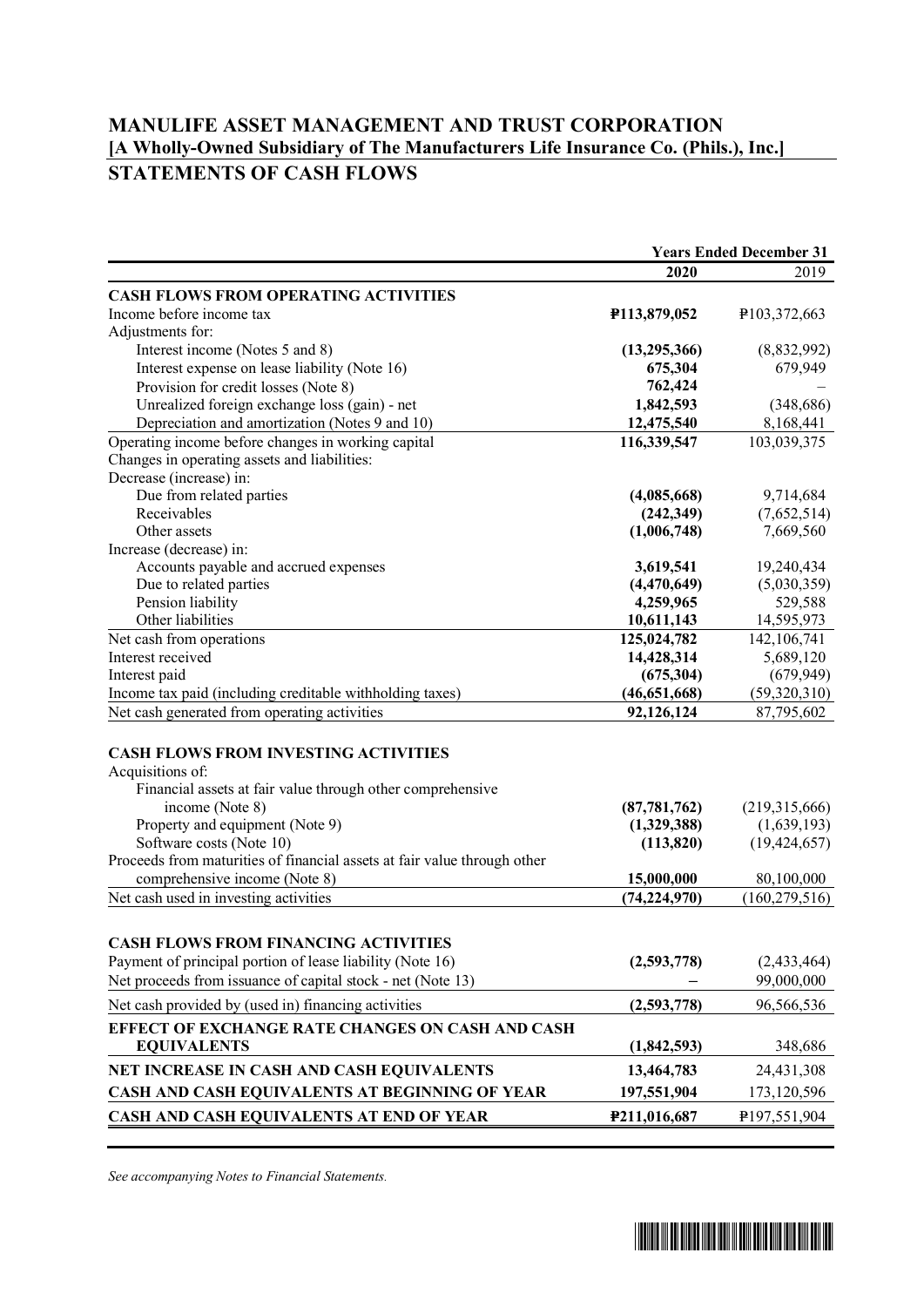# **MANULIFE ASSET MANAGEMENT AND TRUST CORPORATION [A Wholly-Owned Subsidiary of The Manufacturers Life Insurance Co. (Phils.), Inc.] STATEMENTS OF CASH FLOWS**

| 2020<br>2019<br><b>CASH FLOWS FROM OPERATING ACTIVITIES</b><br>Income before income tax<br>P113,879,052<br>P <sub>103</sub> , 372, 663<br>Adjustments for:<br>Interest income (Notes 5 and 8)<br>(13, 295, 366)<br>(8,832,992)<br>Interest expense on lease liability (Note 16)<br>679,949<br>675,304<br>762,424<br>Provision for credit losses (Note 8)<br>Unrealized foreign exchange loss (gain) - net<br>1,842,593<br>(348, 686)<br>Depreciation and amortization (Notes 9 and 10)<br>12,475,540<br>8,168,441<br>103,039,375<br>Operating income before changes in working capital<br>116,339,547<br>Changes in operating assets and liabilities:<br>Decrease (increase) in:<br>Due from related parties<br>(4,085,668)<br>9,714,684<br>Receivables<br>(7,652,514)<br>(242, 349)<br>Other assets<br>(1,006,748)<br>7,669,560<br>Increase (decrease) in:<br>Accounts payable and accrued expenses<br>19,240,434<br>3,619,541<br>Due to related parties<br>(4,470,649)<br>(5,030,359) |
|-----------------------------------------------------------------------------------------------------------------------------------------------------------------------------------------------------------------------------------------------------------------------------------------------------------------------------------------------------------------------------------------------------------------------------------------------------------------------------------------------------------------------------------------------------------------------------------------------------------------------------------------------------------------------------------------------------------------------------------------------------------------------------------------------------------------------------------------------------------------------------------------------------------------------------------------------------------------------------------------|
|                                                                                                                                                                                                                                                                                                                                                                                                                                                                                                                                                                                                                                                                                                                                                                                                                                                                                                                                                                                         |
|                                                                                                                                                                                                                                                                                                                                                                                                                                                                                                                                                                                                                                                                                                                                                                                                                                                                                                                                                                                         |
|                                                                                                                                                                                                                                                                                                                                                                                                                                                                                                                                                                                                                                                                                                                                                                                                                                                                                                                                                                                         |
|                                                                                                                                                                                                                                                                                                                                                                                                                                                                                                                                                                                                                                                                                                                                                                                                                                                                                                                                                                                         |
|                                                                                                                                                                                                                                                                                                                                                                                                                                                                                                                                                                                                                                                                                                                                                                                                                                                                                                                                                                                         |
|                                                                                                                                                                                                                                                                                                                                                                                                                                                                                                                                                                                                                                                                                                                                                                                                                                                                                                                                                                                         |
|                                                                                                                                                                                                                                                                                                                                                                                                                                                                                                                                                                                                                                                                                                                                                                                                                                                                                                                                                                                         |
|                                                                                                                                                                                                                                                                                                                                                                                                                                                                                                                                                                                                                                                                                                                                                                                                                                                                                                                                                                                         |
|                                                                                                                                                                                                                                                                                                                                                                                                                                                                                                                                                                                                                                                                                                                                                                                                                                                                                                                                                                                         |
|                                                                                                                                                                                                                                                                                                                                                                                                                                                                                                                                                                                                                                                                                                                                                                                                                                                                                                                                                                                         |
|                                                                                                                                                                                                                                                                                                                                                                                                                                                                                                                                                                                                                                                                                                                                                                                                                                                                                                                                                                                         |
|                                                                                                                                                                                                                                                                                                                                                                                                                                                                                                                                                                                                                                                                                                                                                                                                                                                                                                                                                                                         |
|                                                                                                                                                                                                                                                                                                                                                                                                                                                                                                                                                                                                                                                                                                                                                                                                                                                                                                                                                                                         |
|                                                                                                                                                                                                                                                                                                                                                                                                                                                                                                                                                                                                                                                                                                                                                                                                                                                                                                                                                                                         |
|                                                                                                                                                                                                                                                                                                                                                                                                                                                                                                                                                                                                                                                                                                                                                                                                                                                                                                                                                                                         |
|                                                                                                                                                                                                                                                                                                                                                                                                                                                                                                                                                                                                                                                                                                                                                                                                                                                                                                                                                                                         |
|                                                                                                                                                                                                                                                                                                                                                                                                                                                                                                                                                                                                                                                                                                                                                                                                                                                                                                                                                                                         |
|                                                                                                                                                                                                                                                                                                                                                                                                                                                                                                                                                                                                                                                                                                                                                                                                                                                                                                                                                                                         |
| Pension liability<br>4,259,965<br>529,588                                                                                                                                                                                                                                                                                                                                                                                                                                                                                                                                                                                                                                                                                                                                                                                                                                                                                                                                               |
| Other liabilities<br>10,611,143<br>14,595,973                                                                                                                                                                                                                                                                                                                                                                                                                                                                                                                                                                                                                                                                                                                                                                                                                                                                                                                                           |
| Net cash from operations<br>142,106,741<br>125,024,782                                                                                                                                                                                                                                                                                                                                                                                                                                                                                                                                                                                                                                                                                                                                                                                                                                                                                                                                  |
| Interest received<br>14,428,314<br>5,689,120                                                                                                                                                                                                                                                                                                                                                                                                                                                                                                                                                                                                                                                                                                                                                                                                                                                                                                                                            |
| Interest paid<br>(679, 949)<br>(675, 304)                                                                                                                                                                                                                                                                                                                                                                                                                                                                                                                                                                                                                                                                                                                                                                                                                                                                                                                                               |
| Income tax paid (including creditable withholding taxes)<br>(46, 651, 668)<br>(59,320,310)                                                                                                                                                                                                                                                                                                                                                                                                                                                                                                                                                                                                                                                                                                                                                                                                                                                                                              |
| Net cash generated from operating activities<br>92,126,124<br>87,795,602                                                                                                                                                                                                                                                                                                                                                                                                                                                                                                                                                                                                                                                                                                                                                                                                                                                                                                                |
|                                                                                                                                                                                                                                                                                                                                                                                                                                                                                                                                                                                                                                                                                                                                                                                                                                                                                                                                                                                         |
| <b>CASH FLOWS FROM INVESTING ACTIVITIES</b>                                                                                                                                                                                                                                                                                                                                                                                                                                                                                                                                                                                                                                                                                                                                                                                                                                                                                                                                             |
| Acquisitions of:                                                                                                                                                                                                                                                                                                                                                                                                                                                                                                                                                                                                                                                                                                                                                                                                                                                                                                                                                                        |
| Financial assets at fair value through other comprehensive                                                                                                                                                                                                                                                                                                                                                                                                                                                                                                                                                                                                                                                                                                                                                                                                                                                                                                                              |
| income (Note 8)<br>(87, 781, 762)<br>(219,315,666)                                                                                                                                                                                                                                                                                                                                                                                                                                                                                                                                                                                                                                                                                                                                                                                                                                                                                                                                      |
| Property and equipment (Note 9)<br>(1,329,388)<br>(1,639,193)                                                                                                                                                                                                                                                                                                                                                                                                                                                                                                                                                                                                                                                                                                                                                                                                                                                                                                                           |
| Software costs (Note 10)<br>(19, 424, 657)<br>(113,820)                                                                                                                                                                                                                                                                                                                                                                                                                                                                                                                                                                                                                                                                                                                                                                                                                                                                                                                                 |
| Proceeds from maturities of financial assets at fair value through other                                                                                                                                                                                                                                                                                                                                                                                                                                                                                                                                                                                                                                                                                                                                                                                                                                                                                                                |
| comprehensive income (Note 8)<br>15,000,000<br>80,100,000                                                                                                                                                                                                                                                                                                                                                                                                                                                                                                                                                                                                                                                                                                                                                                                                                                                                                                                               |
| Net cash used in investing activities<br>(74, 224, 970)<br>(160, 279, 516)                                                                                                                                                                                                                                                                                                                                                                                                                                                                                                                                                                                                                                                                                                                                                                                                                                                                                                              |
|                                                                                                                                                                                                                                                                                                                                                                                                                                                                                                                                                                                                                                                                                                                                                                                                                                                                                                                                                                                         |
| <b>CASH FLOWS FROM FINANCING ACTIVITIES</b>                                                                                                                                                                                                                                                                                                                                                                                                                                                                                                                                                                                                                                                                                                                                                                                                                                                                                                                                             |
| Payment of principal portion of lease liability (Note 16)<br>(2,593,778)<br>(2,433,464)                                                                                                                                                                                                                                                                                                                                                                                                                                                                                                                                                                                                                                                                                                                                                                                                                                                                                                 |
| Net proceeds from issuance of capital stock - net (Note 13)<br>99,000,000                                                                                                                                                                                                                                                                                                                                                                                                                                                                                                                                                                                                                                                                                                                                                                                                                                                                                                               |
|                                                                                                                                                                                                                                                                                                                                                                                                                                                                                                                                                                                                                                                                                                                                                                                                                                                                                                                                                                                         |
| Net cash provided by (used in) financing activities<br>96,566,536<br>(2,593,778)                                                                                                                                                                                                                                                                                                                                                                                                                                                                                                                                                                                                                                                                                                                                                                                                                                                                                                        |
| EFFECT OF EXCHANGE RATE CHANGES ON CASH AND CASH                                                                                                                                                                                                                                                                                                                                                                                                                                                                                                                                                                                                                                                                                                                                                                                                                                                                                                                                        |
| <b>EQUIVALENTS</b><br>(1,842,593)<br>348,686                                                                                                                                                                                                                                                                                                                                                                                                                                                                                                                                                                                                                                                                                                                                                                                                                                                                                                                                            |
| NET INCREASE IN CASH AND CASH EQUIVALENTS<br>13,464,783<br>24,431,308                                                                                                                                                                                                                                                                                                                                                                                                                                                                                                                                                                                                                                                                                                                                                                                                                                                                                                                   |
| CASH AND CASH EQUIVALENTS AT BEGINNING OF YEAR<br>197,551,904<br>173,120,596                                                                                                                                                                                                                                                                                                                                                                                                                                                                                                                                                                                                                                                                                                                                                                                                                                                                                                            |
| CASH AND CASH EQUIVALENTS AT END OF YEAR<br>P211,016,687<br>P197,551,904                                                                                                                                                                                                                                                                                                                                                                                                                                                                                                                                                                                                                                                                                                                                                                                                                                                                                                                |

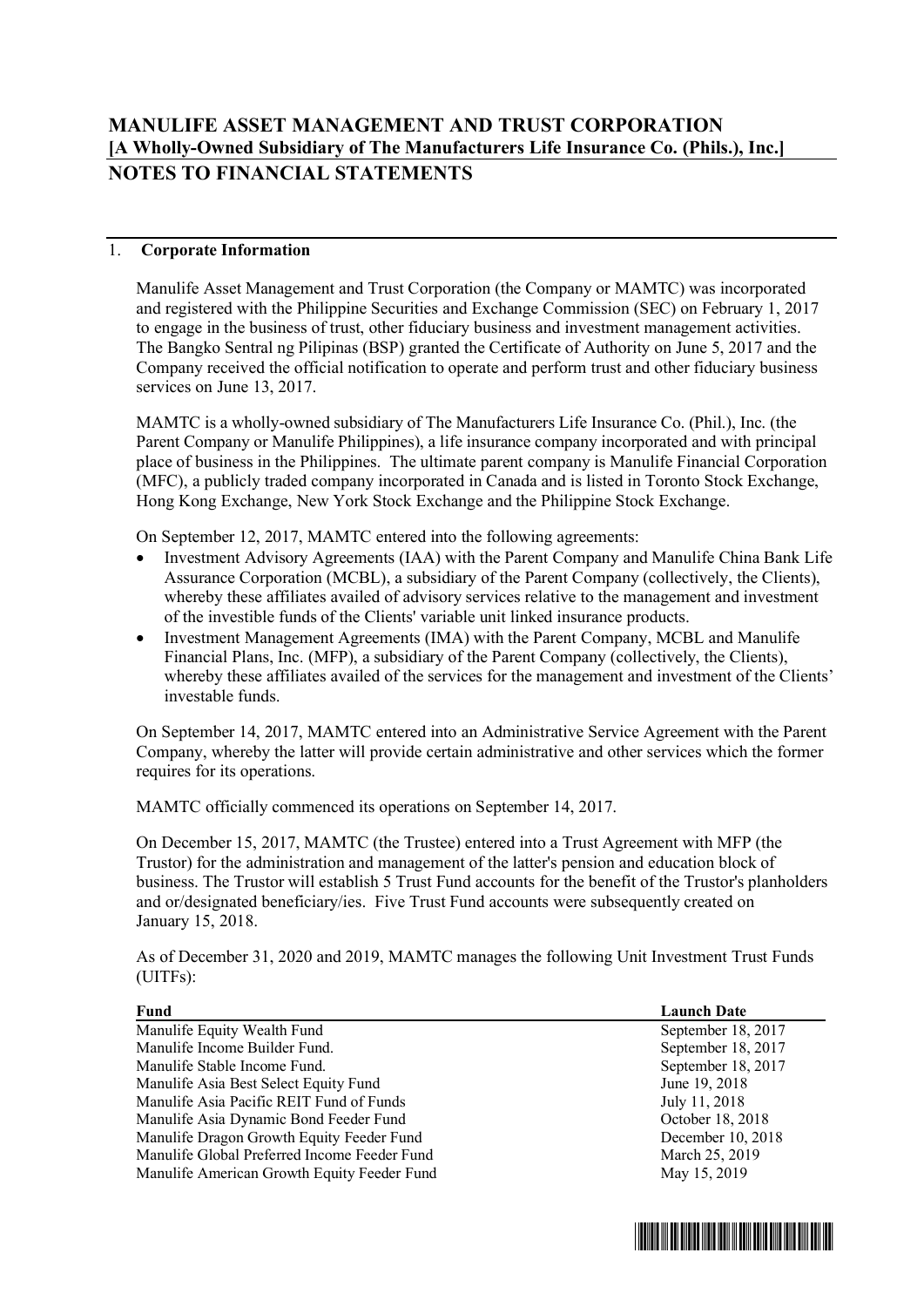# 1. **Corporate Information**

Manulife Asset Management and Trust Corporation (the Company or MAMTC) was incorporated and registered with the Philippine Securities and Exchange Commission (SEC) on February 1, 2017 to engage in the business of trust, other fiduciary business and investment management activities. The Bangko Sentral ng Pilipinas (BSP) granted the Certificate of Authority on June 5, 2017 and the Company received the official notification to operate and perform trust and other fiduciary business services on June 13, 2017.

MAMTC is a wholly-owned subsidiary of The Manufacturers Life Insurance Co. (Phil.), Inc. (the Parent Company or Manulife Philippines), a life insurance company incorporated and with principal place of business in the Philippines. The ultimate parent company is Manulife Financial Corporation (MFC), a publicly traded company incorporated in Canada and is listed in Toronto Stock Exchange, Hong Kong Exchange, New York Stock Exchange and the Philippine Stock Exchange.

On September 12, 2017, MAMTC entered into the following agreements:

- Investment Advisory Agreements (IAA) with the Parent Company and Manulife China Bank Life Assurance Corporation (MCBL), a subsidiary of the Parent Company (collectively, the Clients), whereby these affiliates availed of advisory services relative to the management and investment of the investible funds of the Clients' variable unit linked insurance products.
- Investment Management Agreements (IMA) with the Parent Company, MCBL and Manulife Financial Plans, Inc. (MFP), a subsidiary of the Parent Company (collectively, the Clients), whereby these affiliates availed of the services for the management and investment of the Clients' investable funds.

On September 14, 2017, MAMTC entered into an Administrative Service Agreement with the Parent Company, whereby the latter will provide certain administrative and other services which the former requires for its operations.

MAMTC officially commenced its operations on September 14, 2017.

On December 15, 2017, MAMTC (the Trustee) entered into a Trust Agreement with MFP (the Trustor) for the administration and management of the latter's pension and education block of business. The Trustor will establish 5 Trust Fund accounts for the benefit of the Trustor's planholders and or/designated beneficiary/ies. Five Trust Fund accounts were subsequently created on January 15, 2018.

As of December 31, 2020 and 2019, MAMTC manages the following Unit Investment Trust Funds (UITFs):

| Fund                                         | <b>Launch Date</b> |
|----------------------------------------------|--------------------|
| Manulife Equity Wealth Fund                  | September 18, 2017 |
| Manulife Income Builder Fund.                | September 18, 2017 |
| Manulife Stable Income Fund.                 | September 18, 2017 |
| Manulife Asia Best Select Equity Fund        | June 19, 2018      |
| Manulife Asia Pacific REIT Fund of Funds     | July 11, 2018      |
| Manulife Asia Dynamic Bond Feeder Fund       | October 18, 2018   |
| Manulife Dragon Growth Equity Feeder Fund    | December 10, 2018  |
| Manulife Global Preferred Income Feeder Fund | March 25, 2019     |
| Manulife American Growth Equity Feeder Fund  | May 15, 2019       |

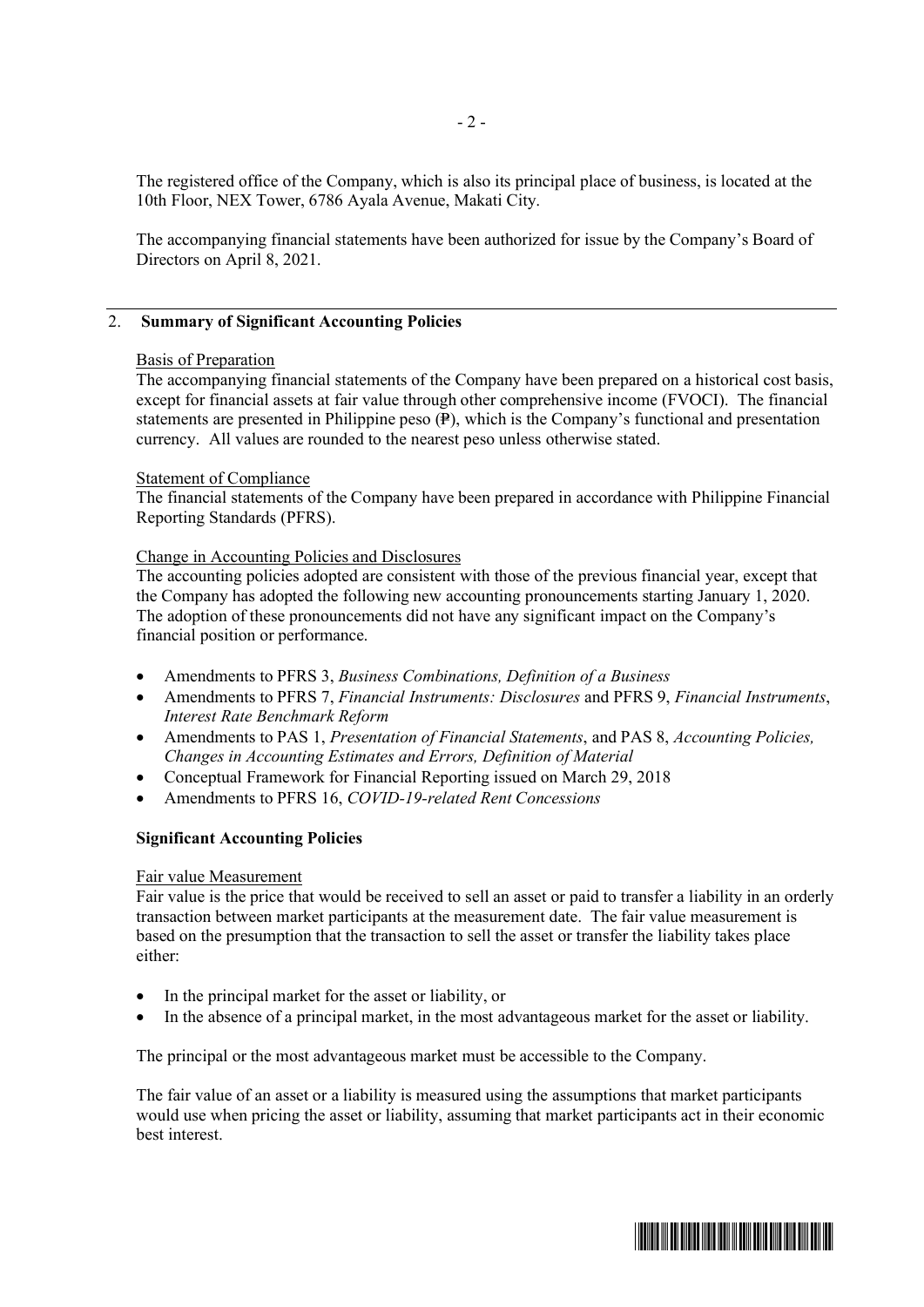The registered office of the Company, which is also its principal place of business, is located at the 10th Floor, NEX Tower, 6786 Ayala Avenue, Makati City.

The accompanying financial statements have been authorized for issue by the Company's Board of Directors on April 8, 2021.

### 2. **Summary of Significant Accounting Policies**

#### Basis of Preparation

The accompanying financial statements of the Company have been prepared on a historical cost basis, except for financial assets at fair value through other comprehensive income (FVOCI). The financial statements are presented in Philippine peso  $(\overline{P})$ , which is the Company's functional and presentation currency. All values are rounded to the nearest peso unless otherwise stated.

# Statement of Compliance

The financial statements of the Company have been prepared in accordance with Philippine Financial Reporting Standards (PFRS).

### Change in Accounting Policies and Disclosures

The accounting policies adopted are consistent with those of the previous financial year, except that the Company has adopted the following new accounting pronouncements starting January 1, 2020. The adoption of these pronouncements did not have any significant impact on the Company's financial position or performance.

- Amendments to PFRS 3, *Business Combinations, Definition of a Business*
- Amendments to PFRS 7, *Financial Instruments: Disclosures* and PFRS 9, *Financial Instruments*, *Interest Rate Benchmark Reform*
- Amendments to PAS 1, *Presentation of Financial Statements*, and PAS 8, *Accounting Policies, Changes in Accounting Estimates and Errors, Definition of Material*
- Conceptual Framework for Financial Reporting issued on March 29, 2018
- Amendments to PFRS 16, *COVID-19-related Rent Concessions*

### **Significant Accounting Policies**

#### Fair value Measurement

Fair value is the price that would be received to sell an asset or paid to transfer a liability in an orderly transaction between market participants at the measurement date. The fair value measurement is based on the presumption that the transaction to sell the asset or transfer the liability takes place either:

- In the principal market for the asset or liability, or
- In the absence of a principal market, in the most advantageous market for the asset or liability.

The principal or the most advantageous market must be accessible to the Company.

The fair value of an asset or a liability is measured using the assumptions that market participants would use when pricing the asset or liability, assuming that market participants act in their economic best interest.

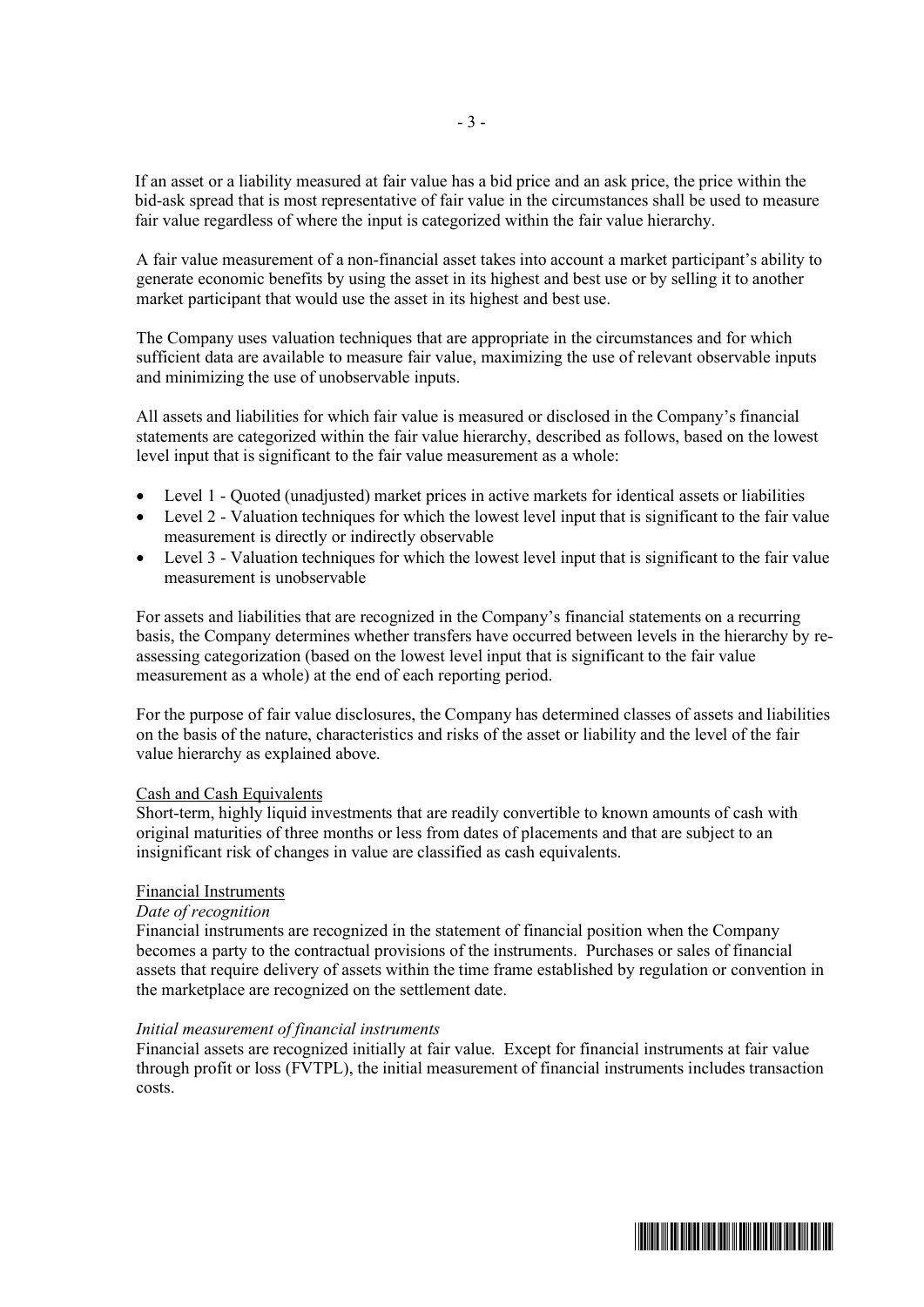If an asset or a liability measured at fair value has a bid price and an ask price, the price within the bid-ask spread that is most representative of fair value in the circumstances shall be used to measure fair value regardless of where the input is categorized within the fair value hierarchy.

A fair value measurement of a non-financial asset takes into account a market participant's ability to generate economic benefits by using the asset in its highest and best use or by selling it to another market participant that would use the asset in its highest and best use.

The Company uses valuation techniques that are appropriate in the circumstances and for which sufficient data are available to measure fair value, maximizing the use of relevant observable inputs and minimizing the use of unobservable inputs.

All assets and liabilities for which fair value is measured or disclosed in the Company's financial statements are categorized within the fair value hierarchy, described as follows, based on the lowest level input that is significant to the fair value measurement as a whole:

- Level 1 Quoted (unadjusted) market prices in active markets for identical assets or liabilities
- Level 2 Valuation techniques for which the lowest level input that is significant to the fair value measurement is directly or indirectly observable
- Level 3 Valuation techniques for which the lowest level input that is significant to the fair value measurement is unobservable

For assets and liabilities that are recognized in the Company's financial statements on a recurring basis, the Company determines whether transfers have occurred between levels in the hierarchy by reassessing categorization (based on the lowest level input that is significant to the fair value measurement as a whole) at the end of each reporting period.

For the purpose of fair value disclosures, the Company has determined classes of assets and liabilities on the basis of the nature, characteristics and risks of the asset or liability and the level of the fair value hierarchy as explained above.

### Cash and Cash Equivalents

Short-term, highly liquid investments that are readily convertible to known amounts of cash with original maturities of three months or less from dates of placements and that are subject to an insignificant risk of changes in value are classified as cash equivalents.

#### Financial Instruments

# *Date of recognition*

Financial instruments are recognized in the statement of financial position when the Company becomes a party to the contractual provisions of the instruments. Purchases or sales of financial assets that require delivery of assets within the time frame established by regulation or convention in the marketplace are recognized on the settlement date.

### *Initial measurement of financial instruments*

Financial assets are recognized initially at fair value. Except for financial instruments at fair value through profit or loss (FVTPL), the initial measurement of financial instruments includes transaction costs.

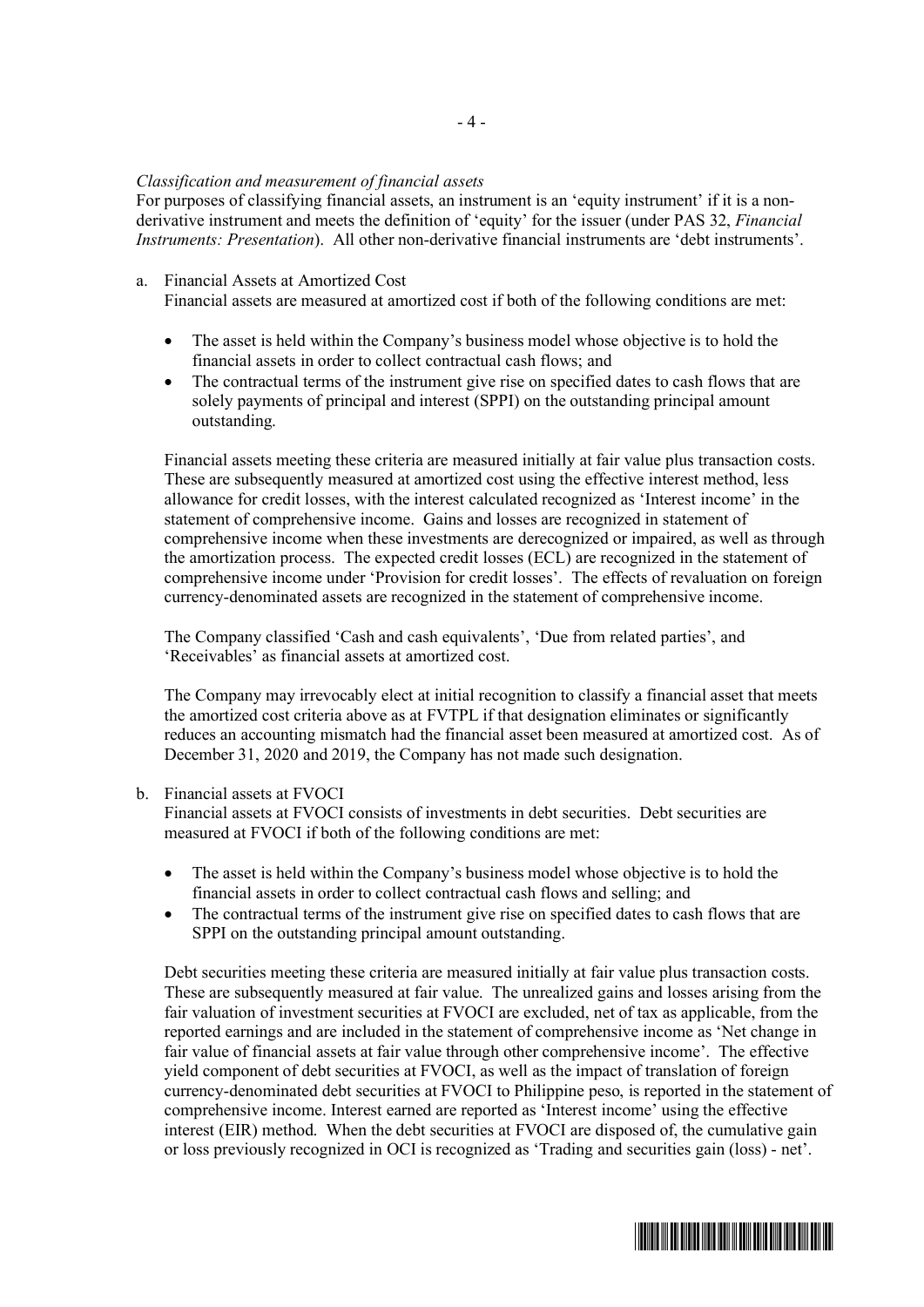### *Classification and measurement of financial assets*

For purposes of classifying financial assets, an instrument is an 'equity instrument' if it is a nonderivative instrument and meets the definition of 'equity' for the issuer (under PAS 32, *Financial Instruments: Presentation*). All other non-derivative financial instruments are 'debt instruments'.

# a. Financial Assets at Amortized Cost

Financial assets are measured at amortized cost if both of the following conditions are met:

- The asset is held within the Company's business model whose objective is to hold the financial assets in order to collect contractual cash flows; and
- The contractual terms of the instrument give rise on specified dates to cash flows that are solely payments of principal and interest (SPPI) on the outstanding principal amount outstanding.

Financial assets meeting these criteria are measured initially at fair value plus transaction costs. These are subsequently measured at amortized cost using the effective interest method, less allowance for credit losses, with the interest calculated recognized as 'Interest income' in the statement of comprehensive income. Gains and losses are recognized in statement of comprehensive income when these investments are derecognized or impaired, as well as through the amortization process. The expected credit losses (ECL) are recognized in the statement of comprehensive income under 'Provision for credit losses'. The effects of revaluation on foreign currency-denominated assets are recognized in the statement of comprehensive income.

The Company classified 'Cash and cash equivalents', 'Due from related parties', and 'Receivables' as financial assets at amortized cost.

The Company may irrevocably elect at initial recognition to classify a financial asset that meets the amortized cost criteria above as at FVTPL if that designation eliminates or significantly reduces an accounting mismatch had the financial asset been measured at amortized cost. As of December 31, 2020 and 2019, the Company has not made such designation.

### b. Financial assets at FVOCI

Financial assets at FVOCI consists of investments in debt securities. Debt securities are measured at FVOCI if both of the following conditions are met:

- The asset is held within the Company's business model whose objective is to hold the financial assets in order to collect contractual cash flows and selling; and
- The contractual terms of the instrument give rise on specified dates to cash flows that are SPPI on the outstanding principal amount outstanding.

Debt securities meeting these criteria are measured initially at fair value plus transaction costs. These are subsequently measured at fair value. The unrealized gains and losses arising from the fair valuation of investment securities at FVOCI are excluded, net of tax as applicable, from the reported earnings and are included in the statement of comprehensive income as 'Net change in fair value of financial assets at fair value through other comprehensive income'. The effective yield component of debt securities at FVOCI, as well as the impact of translation of foreign currency-denominated debt securities at FVOCI to Philippine peso, is reported in the statement of comprehensive income. Interest earned are reported as 'Interest income' using the effective interest (EIR) method. When the debt securities at FVOCI are disposed of, the cumulative gain or loss previously recognized in OCI is recognized as 'Trading and securities gain (loss) - net'.

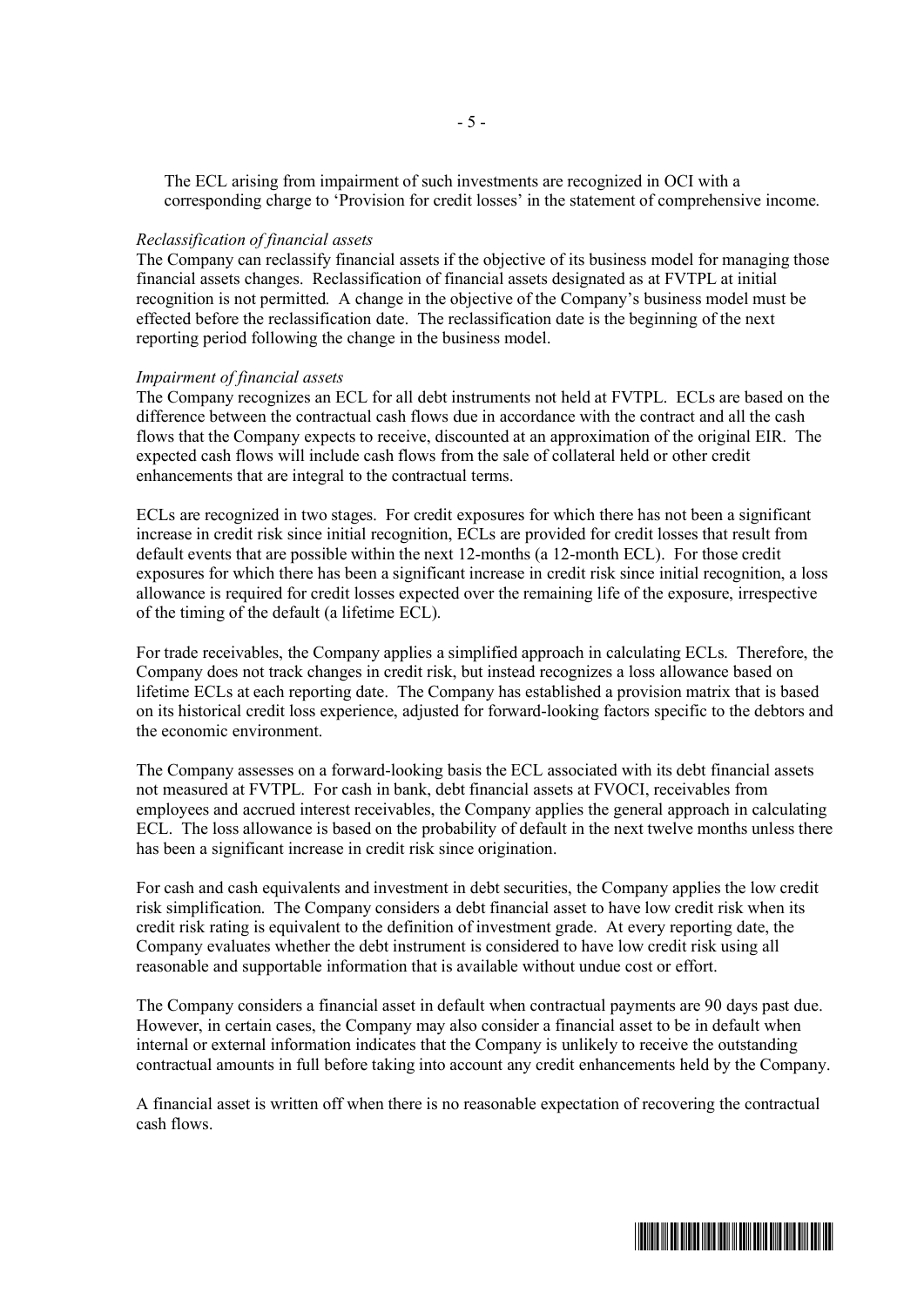The ECL arising from impairment of such investments are recognized in OCI with a corresponding charge to 'Provision for credit losses' in the statement of comprehensive income.

#### *Reclassification of financial assets*

The Company can reclassify financial assets if the objective of its business model for managing those financial assets changes. Reclassification of financial assets designated as at FVTPL at initial recognition is not permitted. A change in the objective of the Company's business model must be effected before the reclassification date. The reclassification date is the beginning of the next reporting period following the change in the business model.

#### *Impairment of financial assets*

The Company recognizes an ECL for all debt instruments not held at FVTPL. ECLs are based on the difference between the contractual cash flows due in accordance with the contract and all the cash flows that the Company expects to receive, discounted at an approximation of the original EIR. The expected cash flows will include cash flows from the sale of collateral held or other credit enhancements that are integral to the contractual terms.

ECLs are recognized in two stages. For credit exposures for which there has not been a significant increase in credit risk since initial recognition, ECLs are provided for credit losses that result from default events that are possible within the next 12-months (a 12-month ECL). For those credit exposures for which there has been a significant increase in credit risk since initial recognition, a loss allowance is required for credit losses expected over the remaining life of the exposure, irrespective of the timing of the default (a lifetime ECL).

For trade receivables, the Company applies a simplified approach in calculating ECLs. Therefore, the Company does not track changes in credit risk, but instead recognizes a loss allowance based on lifetime ECLs at each reporting date. The Company has established a provision matrix that is based on its historical credit loss experience, adjusted for forward-looking factors specific to the debtors and the economic environment.

The Company assesses on a forward-looking basis the ECL associated with its debt financial assets not measured at FVTPL. For cash in bank, debt financial assets at FVOCI, receivables from employees and accrued interest receivables, the Company applies the general approach in calculating ECL. The loss allowance is based on the probability of default in the next twelve months unless there has been a significant increase in credit risk since origination.

For cash and cash equivalents and investment in debt securities, the Company applies the low credit risk simplification. The Company considers a debt financial asset to have low credit risk when its credit risk rating is equivalent to the definition of investment grade. At every reporting date, the Company evaluates whether the debt instrument is considered to have low credit risk using all reasonable and supportable information that is available without undue cost or effort.

The Company considers a financial asset in default when contractual payments are 90 days past due. However, in certain cases, the Company may also consider a financial asset to be in default when internal or external information indicates that the Company is unlikely to receive the outstanding contractual amounts in full before taking into account any credit enhancements held by the Company.

A financial asset is written off when there is no reasonable expectation of recovering the contractual cash flows.

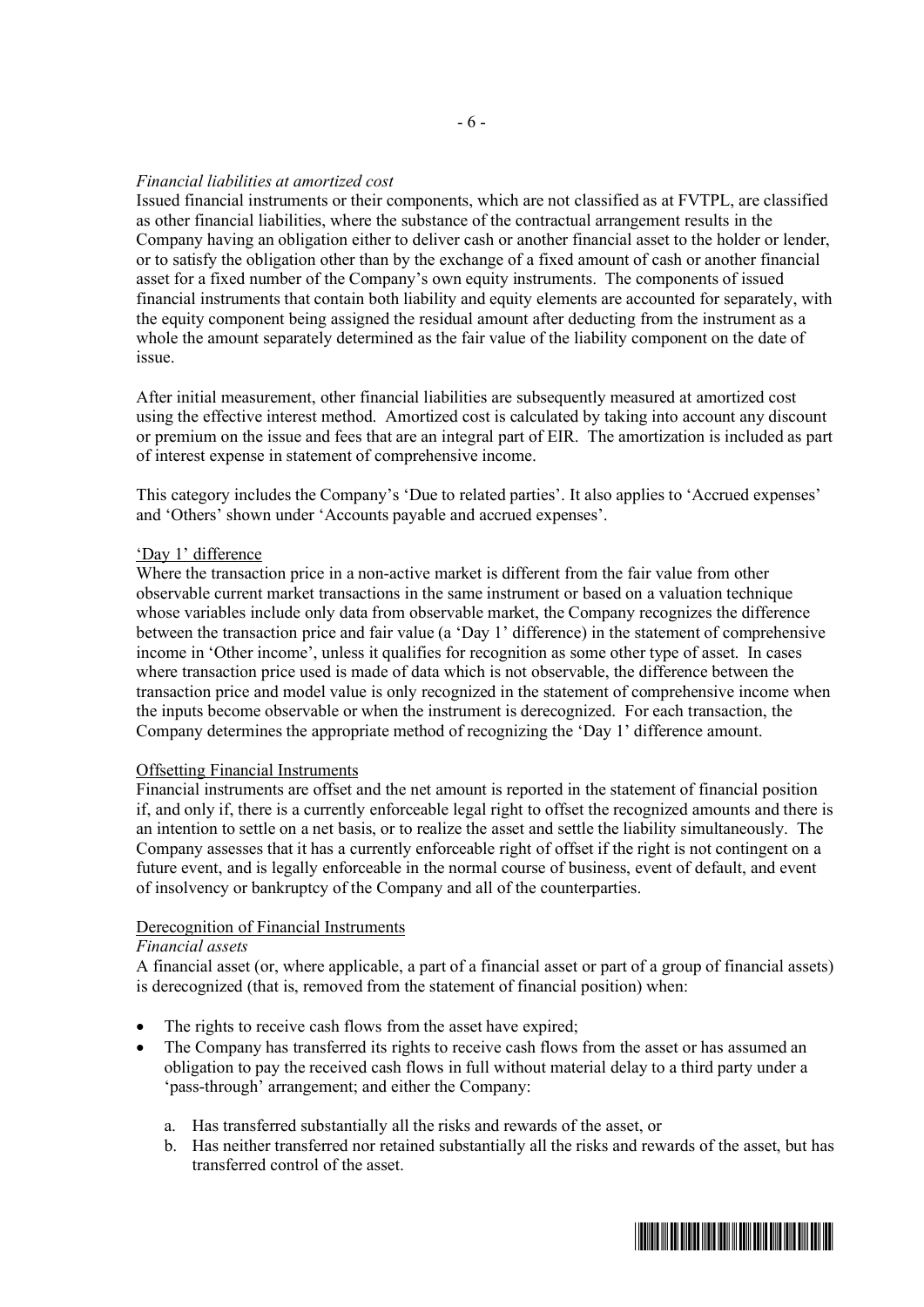### *Financial liabilities at amortized cost*

Issued financial instruments or their components, which are not classified as at FVTPL, are classified as other financial liabilities, where the substance of the contractual arrangement results in the Company having an obligation either to deliver cash or another financial asset to the holder or lender, or to satisfy the obligation other than by the exchange of a fixed amount of cash or another financial asset for a fixed number of the Company's own equity instruments. The components of issued financial instruments that contain both liability and equity elements are accounted for separately, with the equity component being assigned the residual amount after deducting from the instrument as a whole the amount separately determined as the fair value of the liability component on the date of issue.

After initial measurement, other financial liabilities are subsequently measured at amortized cost using the effective interest method. Amortized cost is calculated by taking into account any discount or premium on the issue and fees that are an integral part of EIR. The amortization is included as part of interest expense in statement of comprehensive income.

This category includes the Company's 'Due to related parties'. It also applies to 'Accrued expenses' and 'Others' shown under 'Accounts payable and accrued expenses'.

### 'Day 1' difference

Where the transaction price in a non-active market is different from the fair value from other observable current market transactions in the same instrument or based on a valuation technique whose variables include only data from observable market, the Company recognizes the difference between the transaction price and fair value (a 'Day 1' difference) in the statement of comprehensive income in 'Other income', unless it qualifies for recognition as some other type of asset. In cases where transaction price used is made of data which is not observable, the difference between the transaction price and model value is only recognized in the statement of comprehensive income when the inputs become observable or when the instrument is derecognized. For each transaction, the Company determines the appropriate method of recognizing the 'Day 1' difference amount.

#### Offsetting Financial Instruments

Financial instruments are offset and the net amount is reported in the statement of financial position if, and only if, there is a currently enforceable legal right to offset the recognized amounts and there is an intention to settle on a net basis, or to realize the asset and settle the liability simultaneously. The Company assesses that it has a currently enforceable right of offset if the right is not contingent on a future event, and is legally enforceable in the normal course of business, event of default, and event of insolvency or bankruptcy of the Company and all of the counterparties.

### Derecognition of Financial Instruments

### *Financial assets*

A financial asset (or, where applicable, a part of a financial asset or part of a group of financial assets) is derecognized (that is, removed from the statement of financial position) when:

- The rights to receive cash flows from the asset have expired;
- The Company has transferred its rights to receive cash flows from the asset or has assumed an obligation to pay the received cash flows in full without material delay to a third party under a 'pass-through' arrangement; and either the Company:
	- a. Has transferred substantially all the risks and rewards of the asset, or
	- b. Has neither transferred nor retained substantially all the risks and rewards of the asset, but has transferred control of the asset.

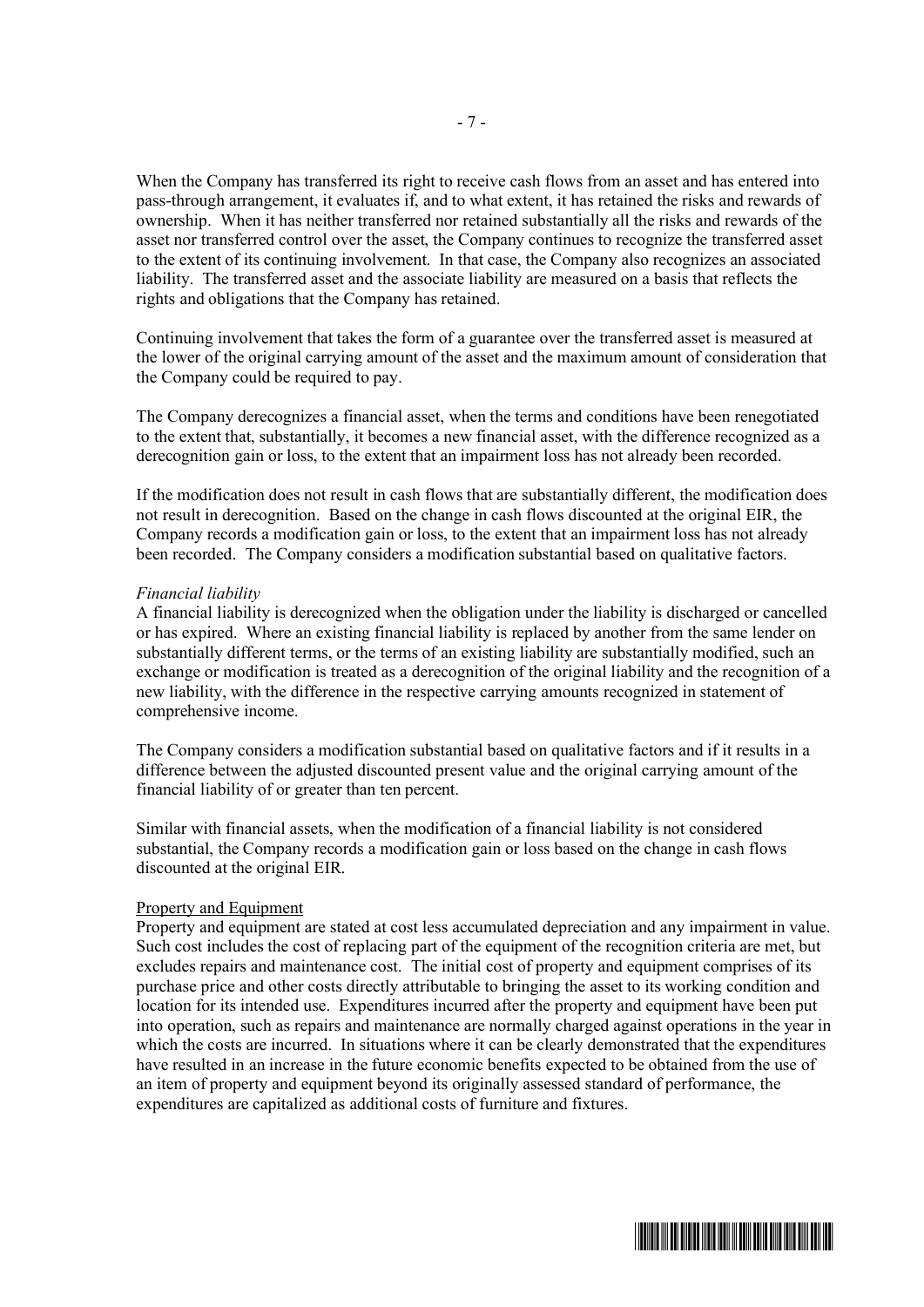When the Company has transferred its right to receive cash flows from an asset and has entered into pass-through arrangement, it evaluates if, and to what extent, it has retained the risks and rewards of ownership. When it has neither transferred nor retained substantially all the risks and rewards of the asset nor transferred control over the asset, the Company continues to recognize the transferred asset to the extent of its continuing involvement. In that case, the Company also recognizes an associated liability. The transferred asset and the associate liability are measured on a basis that reflects the rights and obligations that the Company has retained.

Continuing involvement that takes the form of a guarantee over the transferred asset is measured at the lower of the original carrying amount of the asset and the maximum amount of consideration that the Company could be required to pay.

The Company derecognizes a financial asset, when the terms and conditions have been renegotiated to the extent that, substantially, it becomes a new financial asset, with the difference recognized as a derecognition gain or loss, to the extent that an impairment loss has not already been recorded.

If the modification does not result in cash flows that are substantially different, the modification does not result in derecognition. Based on the change in cash flows discounted at the original EIR, the Company records a modification gain or loss, to the extent that an impairment loss has not already been recorded. The Company considers a modification substantial based on qualitative factors.

#### *Financial liability*

A financial liability is derecognized when the obligation under the liability is discharged or cancelled or has expired. Where an existing financial liability is replaced by another from the same lender on substantially different terms, or the terms of an existing liability are substantially modified, such an exchange or modification is treated as a derecognition of the original liability and the recognition of a new liability, with the difference in the respective carrying amounts recognized in statement of comprehensive income.

The Company considers a modification substantial based on qualitative factors and if it results in a difference between the adjusted discounted present value and the original carrying amount of the financial liability of or greater than ten percent.

Similar with financial assets, when the modification of a financial liability is not considered substantial, the Company records a modification gain or loss based on the change in cash flows discounted at the original EIR.

#### Property and Equipment

Property and equipment are stated at cost less accumulated depreciation and any impairment in value. Such cost includes the cost of replacing part of the equipment of the recognition criteria are met, but excludes repairs and maintenance cost. The initial cost of property and equipment comprises of its purchase price and other costs directly attributable to bringing the asset to its working condition and location for its intended use. Expenditures incurred after the property and equipment have been put into operation, such as repairs and maintenance are normally charged against operations in the year in which the costs are incurred. In situations where it can be clearly demonstrated that the expenditures have resulted in an increase in the future economic benefits expected to be obtained from the use of an item of property and equipment beyond its originally assessed standard of performance, the expenditures are capitalized as additional costs of furniture and fixtures.

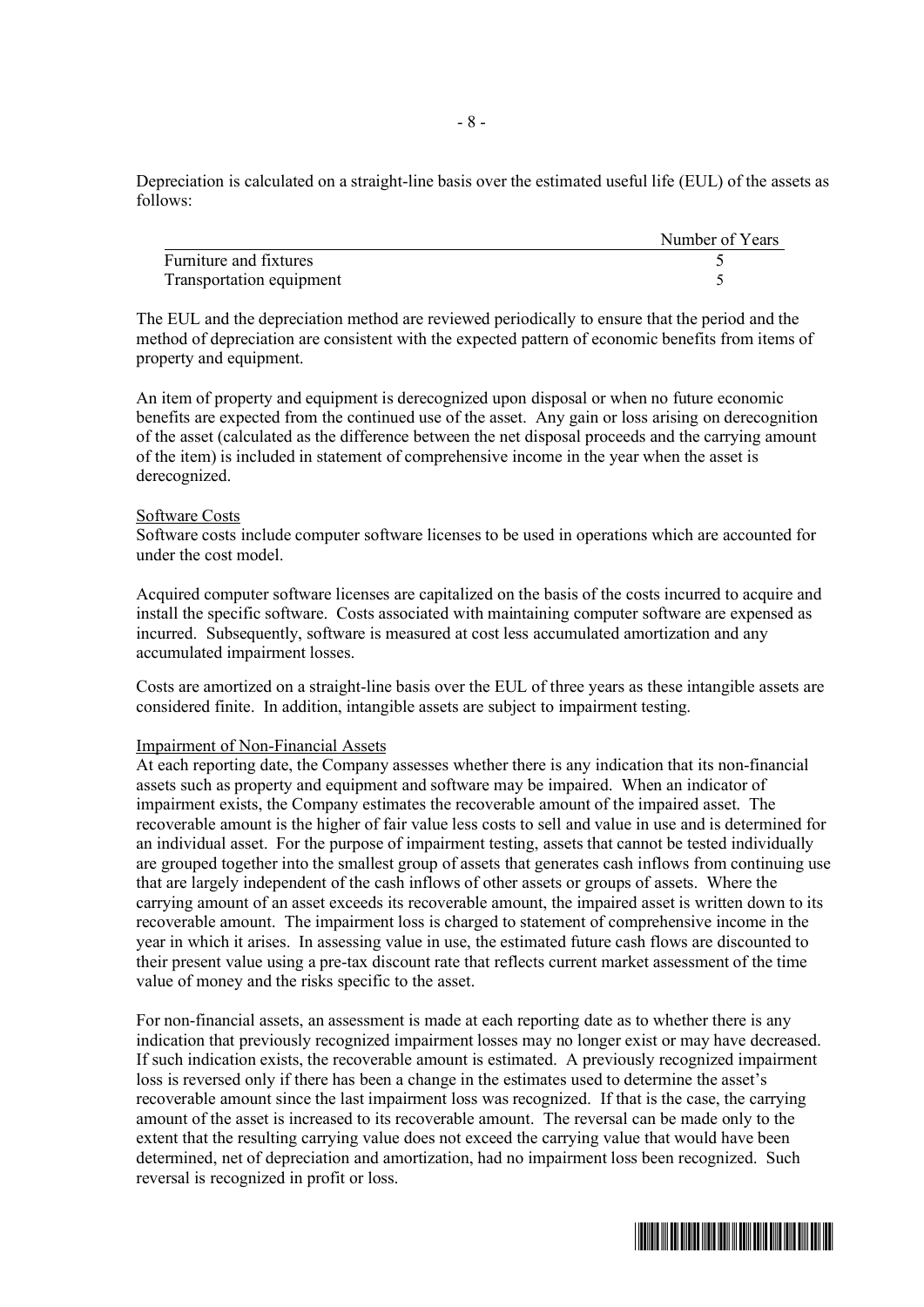Depreciation is calculated on a straight-line basis over the estimated useful life (EUL) of the assets as follows:

|                          | Number of Years |
|--------------------------|-----------------|
| Furniture and fixtures   |                 |
| Transportation equipment |                 |

The EUL and the depreciation method are reviewed periodically to ensure that the period and the method of depreciation are consistent with the expected pattern of economic benefits from items of property and equipment.

An item of property and equipment is derecognized upon disposal or when no future economic benefits are expected from the continued use of the asset. Any gain or loss arising on derecognition of the asset (calculated as the difference between the net disposal proceeds and the carrying amount of the item) is included in statement of comprehensive income in the year when the asset is derecognized.

#### Software Costs

Software costs include computer software licenses to be used in operations which are accounted for under the cost model.

Acquired computer software licenses are capitalized on the basis of the costs incurred to acquire and install the specific software. Costs associated with maintaining computer software are expensed as incurred. Subsequently, software is measured at cost less accumulated amortization and any accumulated impairment losses.

Costs are amortized on a straight-line basis over the EUL of three years as these intangible assets are considered finite. In addition, intangible assets are subject to impairment testing.

#### Impairment of Non-Financial Assets

At each reporting date, the Company assesses whether there is any indication that its non-financial assets such as property and equipment and software may be impaired. When an indicator of impairment exists, the Company estimates the recoverable amount of the impaired asset. The recoverable amount is the higher of fair value less costs to sell and value in use and is determined for an individual asset. For the purpose of impairment testing, assets that cannot be tested individually are grouped together into the smallest group of assets that generates cash inflows from continuing use that are largely independent of the cash inflows of other assets or groups of assets. Where the carrying amount of an asset exceeds its recoverable amount, the impaired asset is written down to its recoverable amount. The impairment loss is charged to statement of comprehensive income in the year in which it arises. In assessing value in use, the estimated future cash flows are discounted to their present value using a pre-tax discount rate that reflects current market assessment of the time value of money and the risks specific to the asset.

For non-financial assets, an assessment is made at each reporting date as to whether there is any indication that previously recognized impairment losses may no longer exist or may have decreased. If such indication exists, the recoverable amount is estimated. A previously recognized impairment loss is reversed only if there has been a change in the estimates used to determine the asset's recoverable amount since the last impairment loss was recognized. If that is the case, the carrying amount of the asset is increased to its recoverable amount. The reversal can be made only to the extent that the resulting carrying value does not exceed the carrying value that would have been determined, net of depreciation and amortization, had no impairment loss been recognized. Such reversal is recognized in profit or loss.

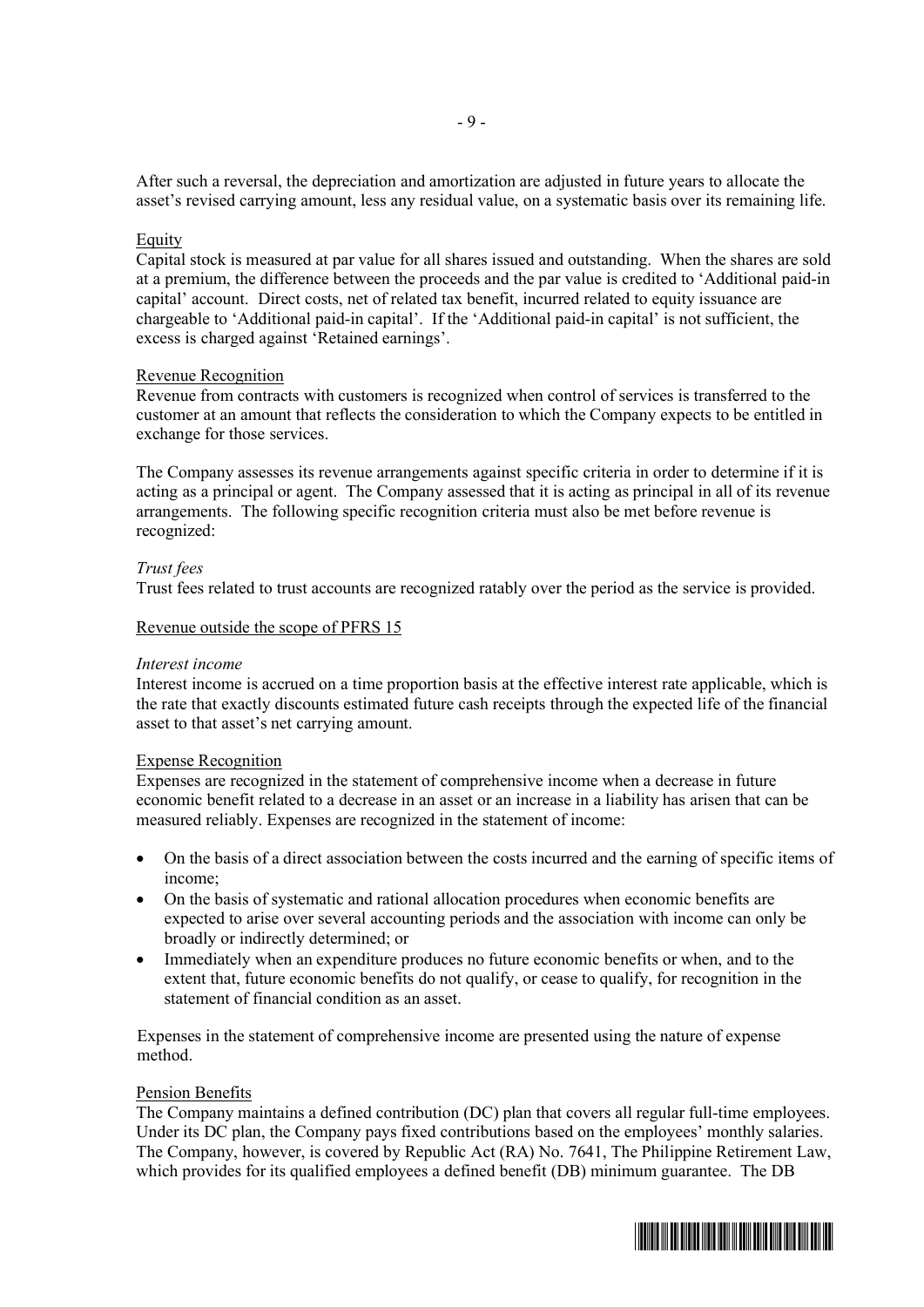After such a reversal, the depreciation and amortization are adjusted in future years to allocate the asset's revised carrying amount, less any residual value, on a systematic basis over its remaining life.

### Equity

Capital stock is measured at par value for all shares issued and outstanding. When the shares are sold at a premium, the difference between the proceeds and the par value is credited to 'Additional paid-in capital' account. Direct costs, net of related tax benefit, incurred related to equity issuance are chargeable to 'Additional paid-in capital'. If the 'Additional paid-in capital' is not sufficient, the excess is charged against 'Retained earnings'.

### Revenue Recognition

Revenue from contracts with customers is recognized when control of services is transferred to the customer at an amount that reflects the consideration to which the Company expects to be entitled in exchange for those services.

The Company assesses its revenue arrangements against specific criteria in order to determine if it is acting as a principal or agent. The Company assessed that it is acting as principal in all of its revenue arrangements. The following specific recognition criteria must also be met before revenue is recognized:

#### *Trust fees*

Trust fees related to trust accounts are recognized ratably over the period as the service is provided.

#### Revenue outside the scope of PFRS 15

#### *Interest income*

Interest income is accrued on a time proportion basis at the effective interest rate applicable, which is the rate that exactly discounts estimated future cash receipts through the expected life of the financial asset to that asset's net carrying amount.

#### Expense Recognition

Expenses are recognized in the statement of comprehensive income when a decrease in future economic benefit related to a decrease in an asset or an increase in a liability has arisen that can be measured reliably. Expenses are recognized in the statement of income:

- On the basis of a direct association between the costs incurred and the earning of specific items of income;
- On the basis of systematic and rational allocation procedures when economic benefits are expected to arise over several accounting periods and the association with income can only be broadly or indirectly determined; or
- Immediately when an expenditure produces no future economic benefits or when, and to the extent that, future economic benefits do not qualify, or cease to qualify, for recognition in the statement of financial condition as an asset.

Expenses in the statement of comprehensive income are presented using the nature of expense method.

### Pension Benefits

The Company maintains a defined contribution (DC) plan that covers all regular full-time employees. Under its DC plan, the Company pays fixed contributions based on the employees' monthly salaries. The Company, however, is covered by Republic Act (RA) No. 7641, The Philippine Retirement Law, which provides for its qualified employees a defined benefit (DB) minimum guarantee. The DB

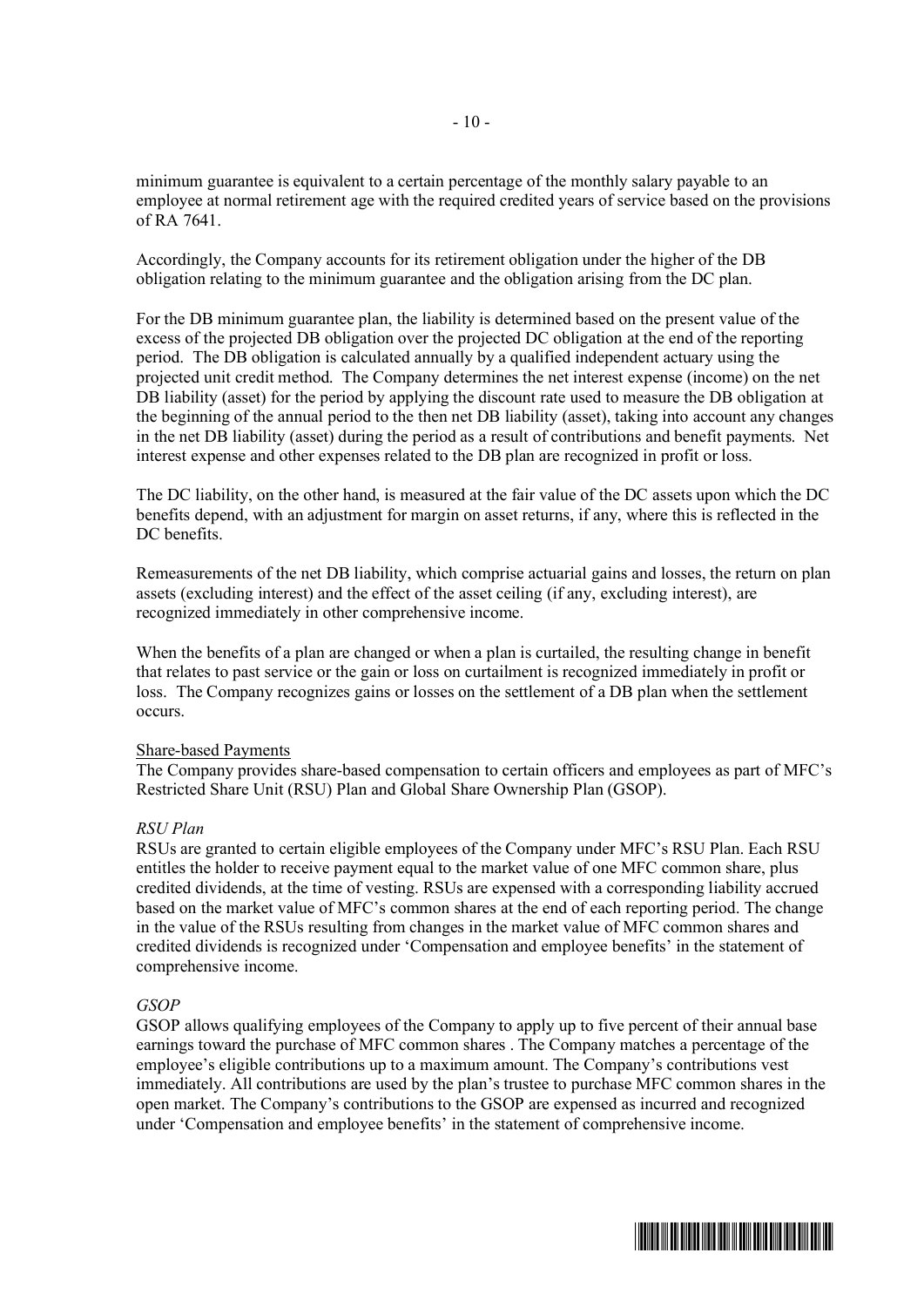minimum guarantee is equivalent to a certain percentage of the monthly salary payable to an employee at normal retirement age with the required credited years of service based on the provisions of RA 7641.

Accordingly, the Company accounts for its retirement obligation under the higher of the DB obligation relating to the minimum guarantee and the obligation arising from the DC plan.

For the DB minimum guarantee plan, the liability is determined based on the present value of the excess of the projected DB obligation over the projected DC obligation at the end of the reporting period. The DB obligation is calculated annually by a qualified independent actuary using the projected unit credit method. The Company determines the net interest expense (income) on the net DB liability (asset) for the period by applying the discount rate used to measure the DB obligation at the beginning of the annual period to the then net DB liability (asset), taking into account any changes in the net DB liability (asset) during the period as a result of contributions and benefit payments. Net interest expense and other expenses related to the DB plan are recognized in profit or loss.

The DC liability, on the other hand, is measured at the fair value of the DC assets upon which the DC benefits depend, with an adjustment for margin on asset returns, if any, where this is reflected in the DC benefits.

Remeasurements of the net DB liability, which comprise actuarial gains and losses, the return on plan assets (excluding interest) and the effect of the asset ceiling (if any, excluding interest), are recognized immediately in other comprehensive income.

When the benefits of a plan are changed or when a plan is curtailed, the resulting change in benefit that relates to past service or the gain or loss on curtailment is recognized immediately in profit or loss. The Company recognizes gains or losses on the settlement of a DB plan when the settlement occurs.

#### Share-based Payments

The Company provides share-based compensation to certain officers and employees as part of MFC's Restricted Share Unit (RSU) Plan and Global Share Ownership Plan (GSOP).

#### *RSU Plan*

RSUs are granted to certain eligible employees of the Company under MFC's RSU Plan. Each RSU entitles the holder to receive payment equal to the market value of one MFC common share, plus credited dividends, at the time of vesting. RSUs are expensed with a corresponding liability accrued based on the market value of MFC's common shares at the end of each reporting period. The change in the value of the RSUs resulting from changes in the market value of MFC common shares and credited dividends is recognized under 'Compensation and employee benefits' in the statement of comprehensive income.

#### *GSOP*

GSOP allows qualifying employees of the Company to apply up to five percent of their annual base earnings toward the purchase of MFC common shares . The Company matches a percentage of the employee's eligible contributions up to a maximum amount. The Company's contributions vest immediately. All contributions are used by the plan's trustee to purchase MFC common shares in the open market. The Company's contributions to the GSOP are expensed as incurred and recognized under 'Compensation and employee benefits' in the statement of comprehensive income.

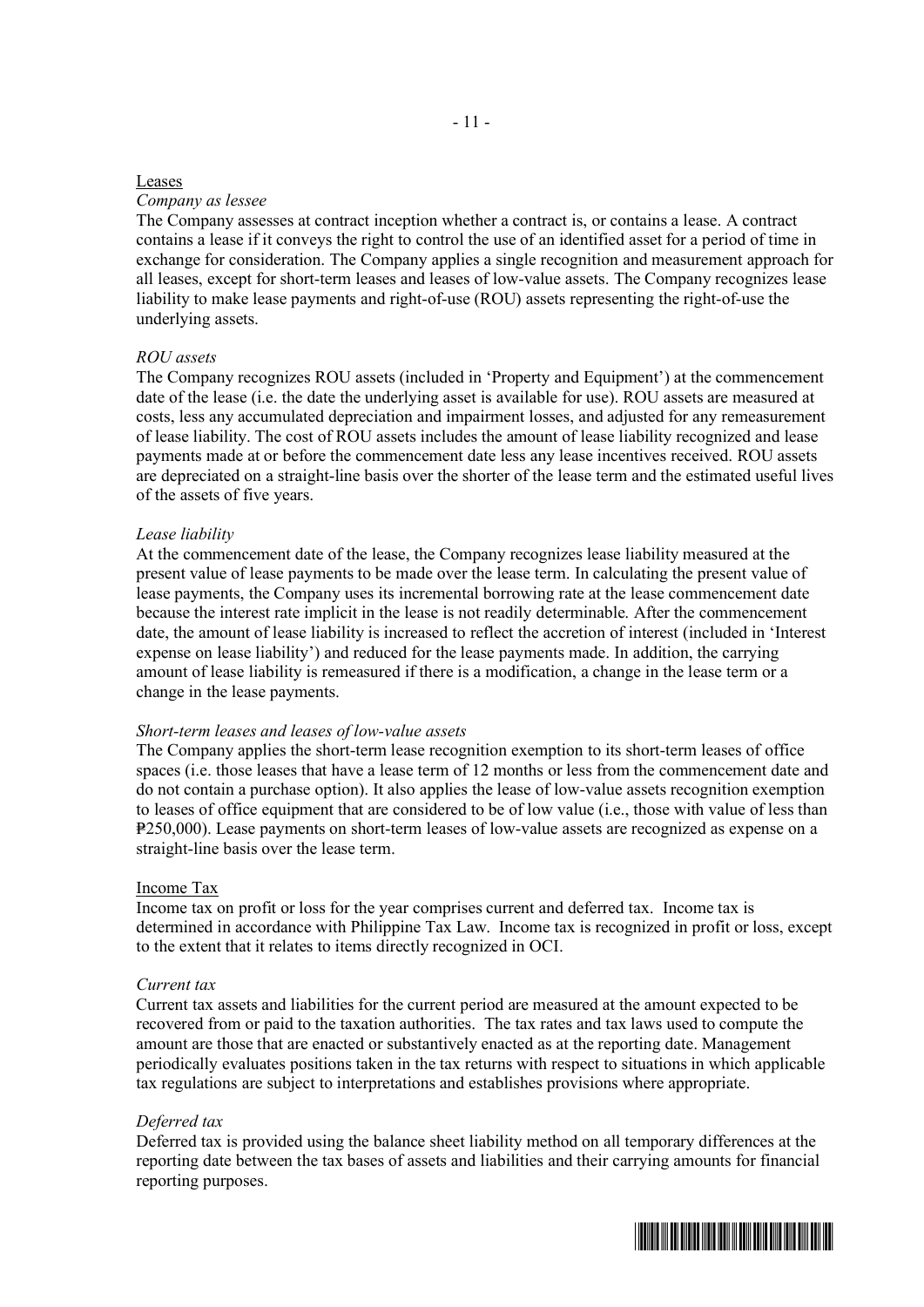### Leases

### *Company as lessee*

The Company assesses at contract inception whether a contract is, or contains a lease. A contract contains a lease if it conveys the right to control the use of an identified asset for a period of time in exchange for consideration. The Company applies a single recognition and measurement approach for all leases, except for short-term leases and leases of low-value assets. The Company recognizes lease liability to make lease payments and right-of-use (ROU) assets representing the right-of-use the underlying assets.

#### *ROU assets*

The Company recognizes ROU assets (included in 'Property and Equipment') at the commencement date of the lease (i.e. the date the underlying asset is available for use). ROU assets are measured at costs, less any accumulated depreciation and impairment losses, and adjusted for any remeasurement of lease liability. The cost of ROU assets includes the amount of lease liability recognized and lease payments made at or before the commencement date less any lease incentives received. ROU assets are depreciated on a straight-line basis over the shorter of the lease term and the estimated useful lives of the assets of five years.

#### *Lease liability*

At the commencement date of the lease, the Company recognizes lease liability measured at the present value of lease payments to be made over the lease term. In calculating the present value of lease payments, the Company uses its incremental borrowing rate at the lease commencement date because the interest rate implicit in the lease is not readily determinable. After the commencement date, the amount of lease liability is increased to reflect the accretion of interest (included in 'Interest expense on lease liability') and reduced for the lease payments made. In addition, the carrying amount of lease liability is remeasured if there is a modification, a change in the lease term or a change in the lease payments.

#### *Short-term leases and leases of low-value assets*

The Company applies the short-term lease recognition exemption to its short-term leases of office spaces (i.e. those leases that have a lease term of 12 months or less from the commencement date and do not contain a purchase option). It also applies the lease of low-value assets recognition exemption to leases of office equipment that are considered to be of low value (i.e., those with value of less than P250,000). Lease payments on short-term leases of low-value assets are recognized as expense on a straight-line basis over the lease term.

#### Income Tax

Income tax on profit or loss for the year comprises current and deferred tax. Income tax is determined in accordance with Philippine Tax Law. Income tax is recognized in profit or loss, except to the extent that it relates to items directly recognized in OCI.

#### *Current tax*

Current tax assets and liabilities for the current period are measured at the amount expected to be recovered from or paid to the taxation authorities. The tax rates and tax laws used to compute the amount are those that are enacted or substantively enacted as at the reporting date. Management periodically evaluates positions taken in the tax returns with respect to situations in which applicable tax regulations are subject to interpretations and establishes provisions where appropriate.

#### *Deferred tax*

Deferred tax is provided using the balance sheet liability method on all temporary differences at the reporting date between the tax bases of assets and liabilities and their carrying amounts for financial reporting purposes.

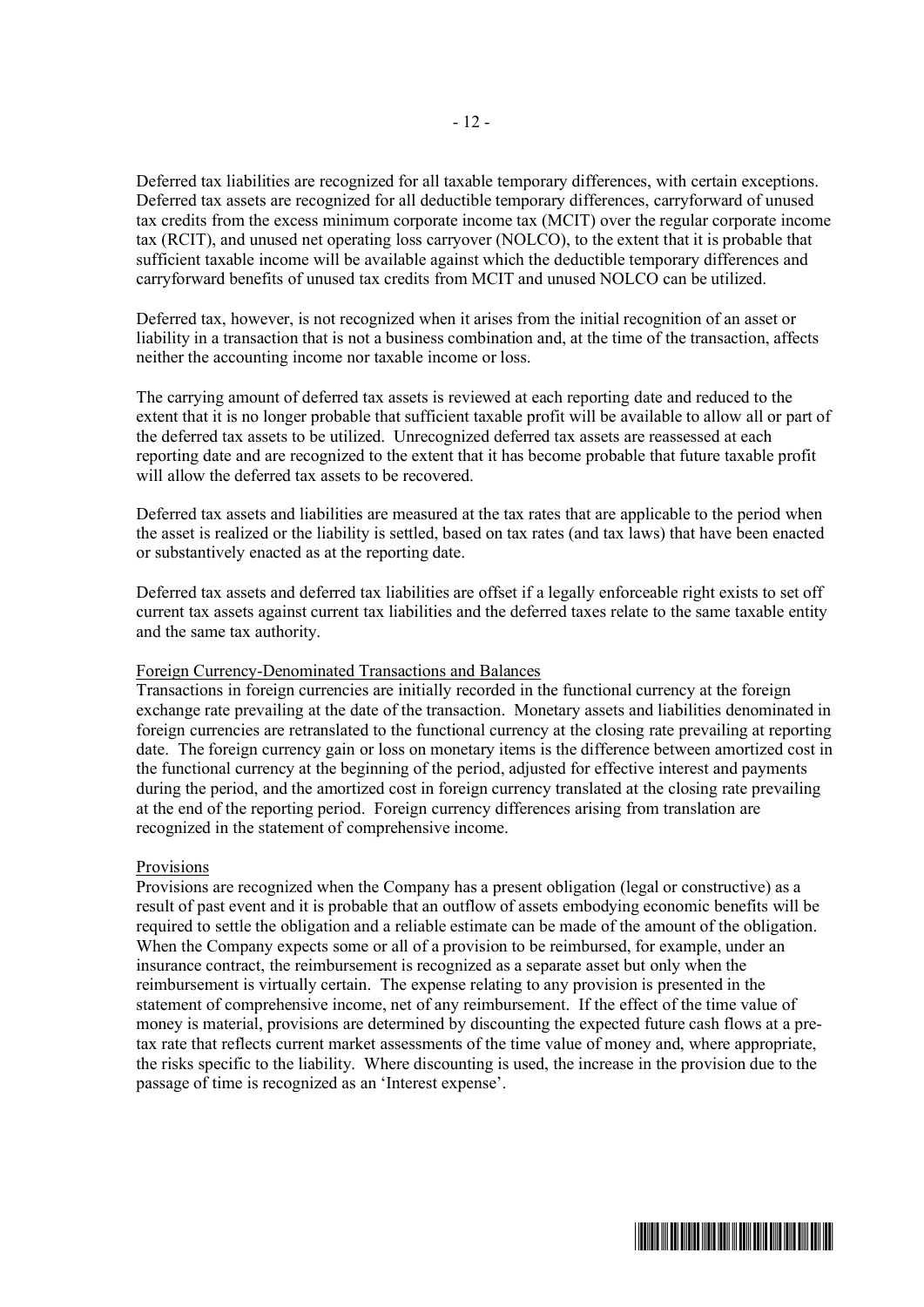Deferred tax liabilities are recognized for all taxable temporary differences, with certain exceptions. Deferred tax assets are recognized for all deductible temporary differences, carryforward of unused tax credits from the excess minimum corporate income tax (MCIT) over the regular corporate income tax (RCIT), and unused net operating loss carryover (NOLCO), to the extent that it is probable that sufficient taxable income will be available against which the deductible temporary differences and carryforward benefits of unused tax credits from MCIT and unused NOLCO can be utilized.

Deferred tax, however, is not recognized when it arises from the initial recognition of an asset or liability in a transaction that is not a business combination and, at the time of the transaction, affects neither the accounting income nor taxable income or loss.

The carrying amount of deferred tax assets is reviewed at each reporting date and reduced to the extent that it is no longer probable that sufficient taxable profit will be available to allow all or part of the deferred tax assets to be utilized. Unrecognized deferred tax assets are reassessed at each reporting date and are recognized to the extent that it has become probable that future taxable profit will allow the deferred tax assets to be recovered.

Deferred tax assets and liabilities are measured at the tax rates that are applicable to the period when the asset is realized or the liability is settled, based on tax rates (and tax laws) that have been enacted or substantively enacted as at the reporting date.

Deferred tax assets and deferred tax liabilities are offset if a legally enforceable right exists to set off current tax assets against current tax liabilities and the deferred taxes relate to the same taxable entity and the same tax authority.

#### Foreign Currency-Denominated Transactions and Balances

Transactions in foreign currencies are initially recorded in the functional currency at the foreign exchange rate prevailing at the date of the transaction. Monetary assets and liabilities denominated in foreign currencies are retranslated to the functional currency at the closing rate prevailing at reporting date. The foreign currency gain or loss on monetary items is the difference between amortized cost in the functional currency at the beginning of the period, adjusted for effective interest and payments during the period, and the amortized cost in foreign currency translated at the closing rate prevailing at the end of the reporting period. Foreign currency differences arising from translation are recognized in the statement of comprehensive income.

#### Provisions

Provisions are recognized when the Company has a present obligation (legal or constructive) as a result of past event and it is probable that an outflow of assets embodying economic benefits will be required to settle the obligation and a reliable estimate can be made of the amount of the obligation. When the Company expects some or all of a provision to be reimbursed, for example, under an insurance contract, the reimbursement is recognized as a separate asset but only when the reimbursement is virtually certain. The expense relating to any provision is presented in the statement of comprehensive income, net of any reimbursement. If the effect of the time value of money is material, provisions are determined by discounting the expected future cash flows at a pretax rate that reflects current market assessments of the time value of money and, where appropriate, the risks specific to the liability. Where discounting is used, the increase in the provision due to the passage of time is recognized as an 'Interest expense'.

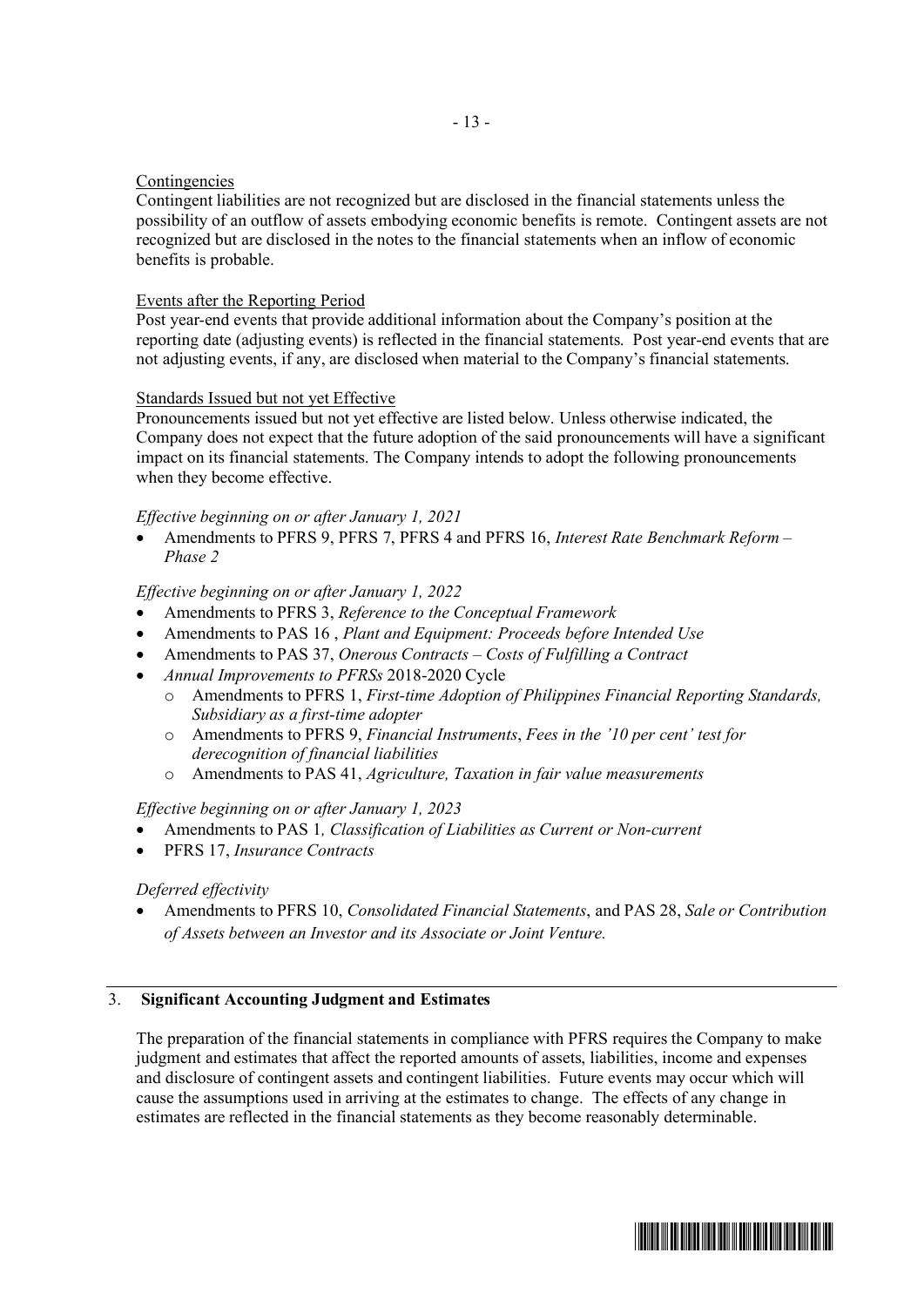### Contingencies

Contingent liabilities are not recognized but are disclosed in the financial statements unless the possibility of an outflow of assets embodying economic benefits is remote. Contingent assets are not recognized but are disclosed in the notes to the financial statements when an inflow of economic benefits is probable.

### Events after the Reporting Period

Post year-end events that provide additional information about the Company's position at the reporting date (adjusting events) is reflected in the financial statements. Post year-end events that are not adjusting events, if any, are disclosed when material to the Company's financial statements.

### Standards Issued but not yet Effective

Pronouncements issued but not yet effective are listed below. Unless otherwise indicated, the Company does not expect that the future adoption of the said pronouncements will have a significant impact on its financial statements. The Company intends to adopt the following pronouncements when they become effective.

### *Effective beginning on or after January 1, 2021*

 Amendments to PFRS 9, PFRS 7, PFRS 4 and PFRS 16, *Interest Rate Benchmark Reform – Phase 2*

### *Effective beginning on or after January 1, 2022*

- Amendments to PFRS 3, *Reference to the Conceptual Framework*
- Amendments to PAS 16 , *Plant and Equipment: Proceeds before Intended Use*
- Amendments to PAS 37, *Onerous Contracts Costs of Fulfilling a Contract*
- *Annual Improvements to PFRSs* 2018-2020 Cycle
	- o Amendments to PFRS 1, *First-time Adoption of Philippines Financial Reporting Standards, Subsidiary as a first-time adopter*
	- o Amendments to PFRS 9, *Financial Instruments*, *Fees in the '10 per cent' test for derecognition of financial liabilities*
	- o Amendments to PAS 41, *Agriculture, Taxation in fair value measurements*

#### *Effective beginning on or after January 1, 2023*

- Amendments to PAS 1*, Classification of Liabilities as Current or Non-current*
- PFRS 17, *Insurance Contracts*

### *Deferred effectivity*

 Amendments to PFRS 10, *Consolidated Financial Statements*, and PAS 28, *Sale or Contribution of Assets between an Investor and its Associate or Joint Venture.*

### 3. **Significant Accounting Judgment and Estimates**

The preparation of the financial statements in compliance with PFRS requires the Company to make judgment and estimates that affect the reported amounts of assets, liabilities, income and expenses and disclosure of contingent assets and contingent liabilities. Future events may occur which will cause the assumptions used in arriving at the estimates to change. The effects of any change in estimates are reflected in the financial statements as they become reasonably determinable.

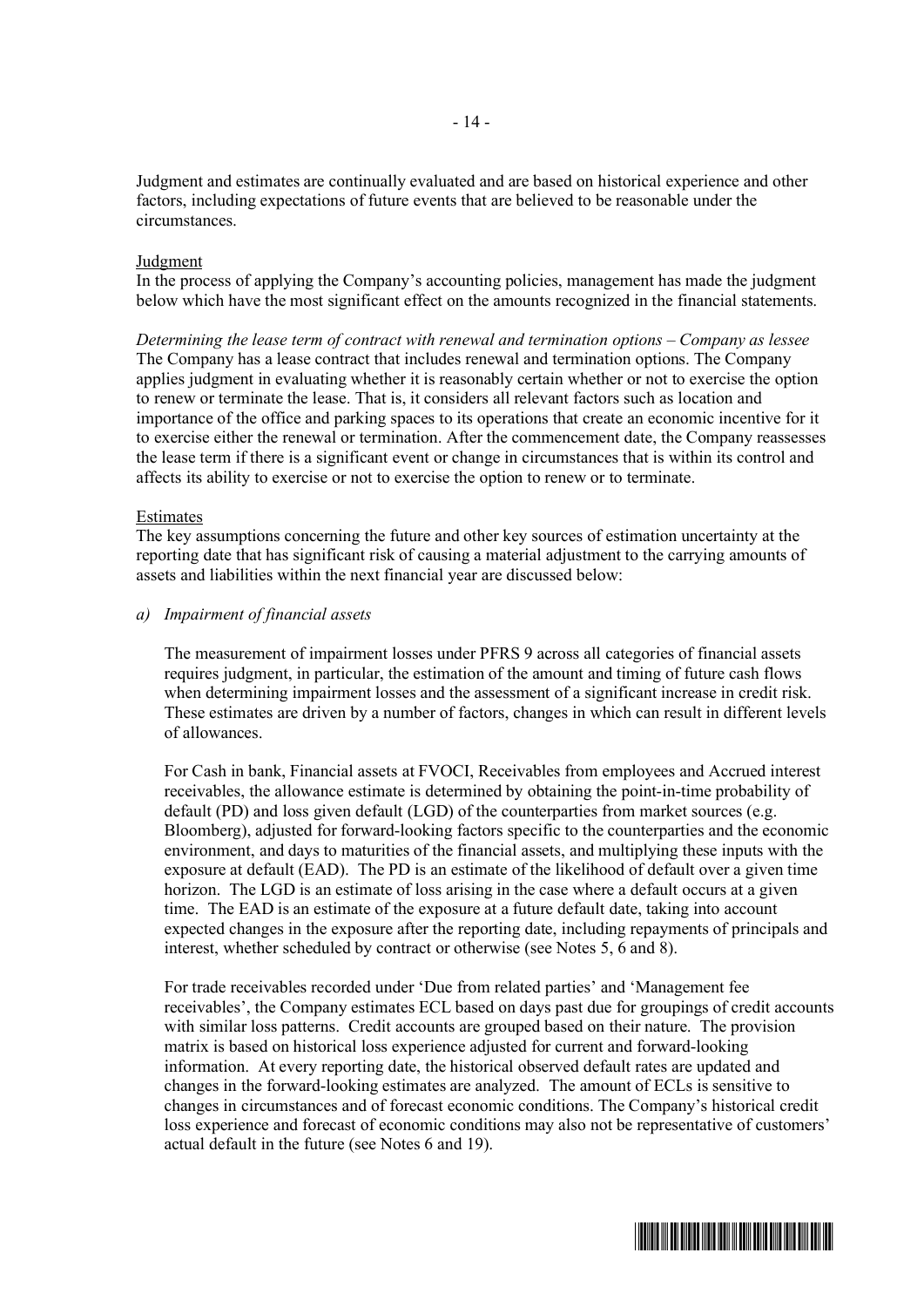Judgment and estimates are continually evaluated and are based on historical experience and other factors, including expectations of future events that are believed to be reasonable under the circumstances.

#### Judgment

In the process of applying the Company's accounting policies, management has made the judgment below which have the most significant effect on the amounts recognized in the financial statements.

*Determining the lease term of contract with renewal and termination options – Company as lessee* The Company has a lease contract that includes renewal and termination options. The Company applies judgment in evaluating whether it is reasonably certain whether or not to exercise the option to renew or terminate the lease. That is, it considers all relevant factors such as location and importance of the office and parking spaces to its operations that create an economic incentive for it to exercise either the renewal or termination. After the commencement date, the Company reassesses the lease term if there is a significant event or change in circumstances that is within its control and affects its ability to exercise or not to exercise the option to renew or to terminate.

#### Estimates

The key assumptions concerning the future and other key sources of estimation uncertainty at the reporting date that has significant risk of causing a material adjustment to the carrying amounts of assets and liabilities within the next financial year are discussed below:

#### *a) Impairment of financial assets*

The measurement of impairment losses under PFRS 9 across all categories of financial assets requires judgment, in particular, the estimation of the amount and timing of future cash flows when determining impairment losses and the assessment of a significant increase in credit risk. These estimates are driven by a number of factors, changes in which can result in different levels of allowances.

For Cash in bank, Financial assets at FVOCI, Receivables from employees and Accrued interest receivables, the allowance estimate is determined by obtaining the point-in-time probability of default (PD) and loss given default (LGD) of the counterparties from market sources (e.g. Bloomberg), adjusted for forward-looking factors specific to the counterparties and the economic environment, and days to maturities of the financial assets, and multiplying these inputs with the exposure at default (EAD). The PD is an estimate of the likelihood of default over a given time horizon. The LGD is an estimate of loss arising in the case where a default occurs at a given time. The EAD is an estimate of the exposure at a future default date, taking into account expected changes in the exposure after the reporting date, including repayments of principals and interest, whether scheduled by contract or otherwise (see Notes 5, 6 and 8).

For trade receivables recorded under 'Due from related parties' and 'Management fee receivables', the Company estimates ECL based on days past due for groupings of credit accounts with similar loss patterns. Credit accounts are grouped based on their nature. The provision matrix is based on historical loss experience adjusted for current and forward-looking information. At every reporting date, the historical observed default rates are updated and changes in the forward-looking estimates are analyzed. The amount of ECLs is sensitive to changes in circumstances and of forecast economic conditions. The Company's historical credit loss experience and forecast of economic conditions may also not be representative of customers' actual default in the future (see Notes 6 and 19).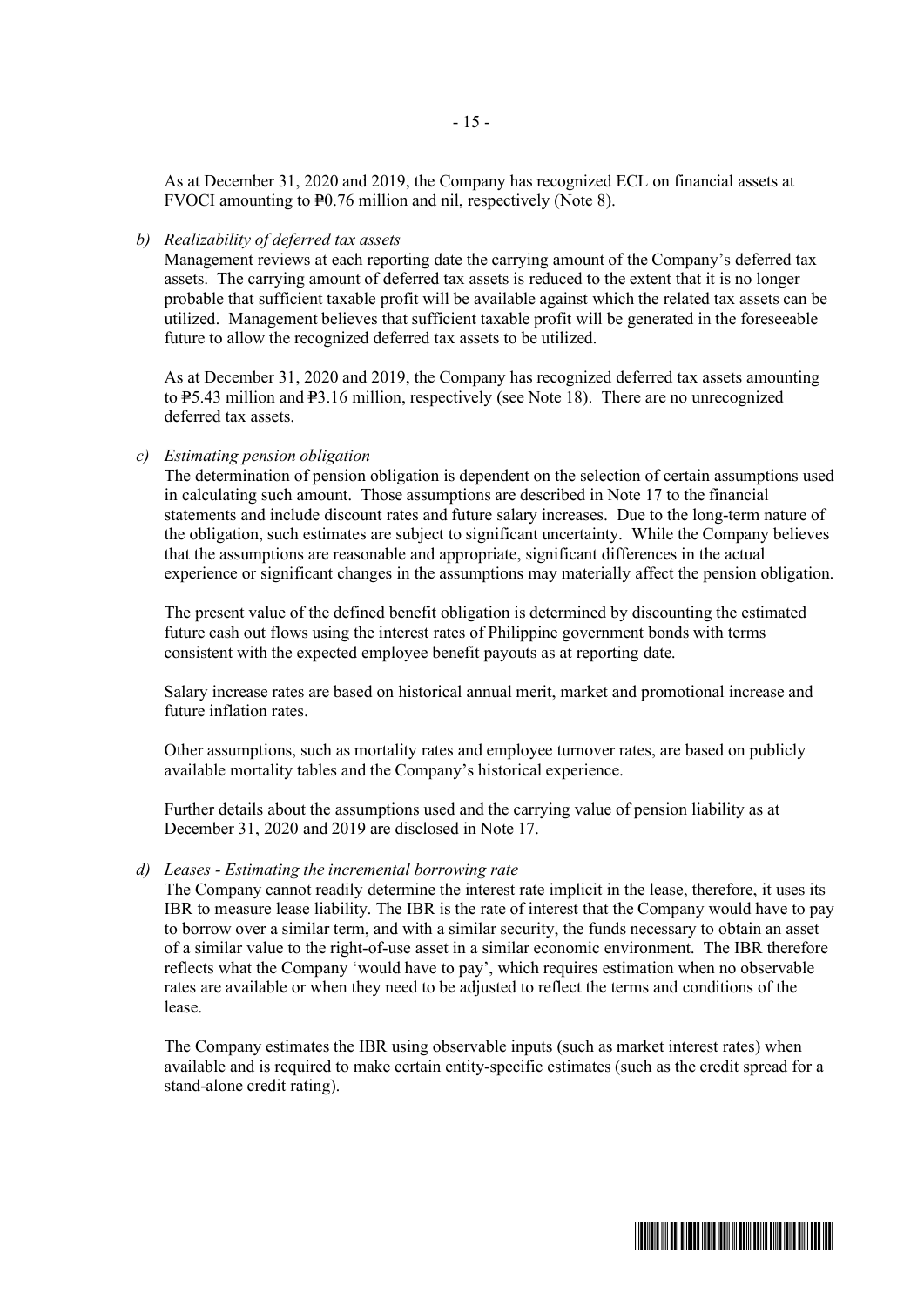As at December 31, 2020 and 2019, the Company has recognized ECL on financial assets at FVOCI amounting to  $\frac{1}{2}0.76$  million and nil, respectively (Note 8).

#### *b) Realizability of deferred tax assets*

Management reviews at each reporting date the carrying amount of the Company's deferred tax assets. The carrying amount of deferred tax assets is reduced to the extent that it is no longer probable that sufficient taxable profit will be available against which the related tax assets can be utilized. Management believes that sufficient taxable profit will be generated in the foreseeable future to allow the recognized deferred tax assets to be utilized.

As at December 31, 2020 and 2019, the Company has recognized deferred tax assets amounting to  $P5.43$  million and  $P3.16$  million, respectively (see Note 18). There are no unrecognized deferred tax assets.

#### *c) Estimating pension obligation*

The determination of pension obligation is dependent on the selection of certain assumptions used in calculating such amount. Those assumptions are described in Note 17 to the financial statements and include discount rates and future salary increases. Due to the long-term nature of the obligation, such estimates are subject to significant uncertainty. While the Company believes that the assumptions are reasonable and appropriate, significant differences in the actual experience or significant changes in the assumptions may materially affect the pension obligation.

The present value of the defined benefit obligation is determined by discounting the estimated future cash out flows using the interest rates of Philippine government bonds with terms consistent with the expected employee benefit payouts as at reporting date.

Salary increase rates are based on historical annual merit, market and promotional increase and future inflation rates.

Other assumptions, such as mortality rates and employee turnover rates, are based on publicly available mortality tables and the Company's historical experience.

Further details about the assumptions used and the carrying value of pension liability as at December 31, 2020 and 2019 are disclosed in Note 17.

#### *d) Leases - Estimating the incremental borrowing rate*

The Company cannot readily determine the interest rate implicit in the lease, therefore, it uses its IBR to measure lease liability. The IBR is the rate of interest that the Company would have to pay to borrow over a similar term, and with a similar security, the funds necessary to obtain an asset of a similar value to the right-of-use asset in a similar economic environment. The IBR therefore reflects what the Company 'would have to pay', which requires estimation when no observable rates are available or when they need to be adjusted to reflect the terms and conditions of the lease.

The Company estimates the IBR using observable inputs (such as market interest rates) when available and is required to make certain entity-specific estimates (such as the credit spread for a stand-alone credit rating).

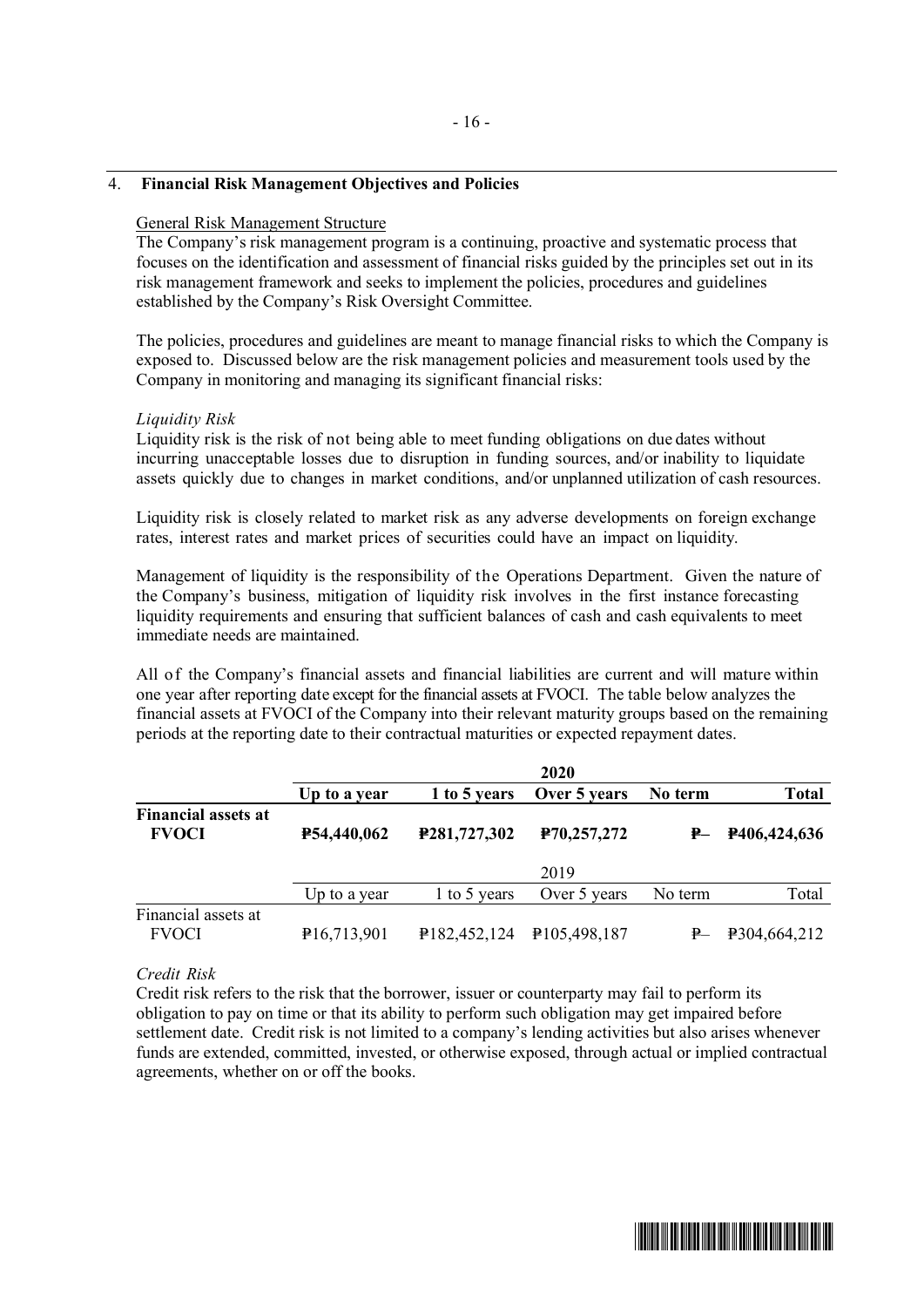### 4. **Financial Risk Management Objectives and Policies**

### General Risk Management Structure

The Company's risk management program is a continuing, proactive and systematic process that focuses on the identification and assessment of financial risks guided by the principles set out in its risk management framework and seeks to implement the policies, procedures and guidelines established by the Company's Risk Oversight Committee.

The policies, procedures and guidelines are meant to manage financial risks to which the Company is exposed to. Discussed below are the risk management policies and measurement tools used by the Company in monitoring and managing its significant financial risks:

#### *Liquidity Risk*

Liquidity risk is the risk of not being able to meet funding obligations on due dates without incurring unacceptable losses due to disruption in funding sources, and/or inability to liquidate assets quickly due to changes in market conditions, and/or unplanned utilization of cash resources.

Liquidity risk is closely related to market risk as any adverse developments on foreign exchange rates, interest rates and market prices of securities could have an impact on liquidity.

Management of liquidity is the responsibility of the Operations Department. Given the nature of the Company's business, mitigation of liquidity risk involves in the first instance forecasting liquidity requirements and ensuring that sufficient balances of cash and cash equivalents to meet immediate needs are maintained.

All of the Company's financial assets and financial liabilities are current and will mature within one year after reporting date except for the financial assets at FVOCI. The table below analyzes the financial assets at FVOCI of the Company into their relevant maturity groups based on the remaining periods at the reporting date to their contractual maturities or expected repayment dates.

|                                            | 2020                     |              |              |         |              |
|--------------------------------------------|--------------------------|--------------|--------------|---------|--------------|
|                                            | Up to a year             | 1 to 5 years | Over 5 years | No term | <b>Total</b> |
| <b>Financial assets at</b><br><b>FVOCI</b> | P54,440,062              | P281,727,302 | P70,257,272  | $P_{-}$ | P406,424,636 |
|                                            |                          |              | 2019         |         |              |
|                                            | Up to a year             | 1 to 5 years | Over 5 years | No term | Total        |
| Financial assets at<br><b>FVOCI</b>        | P <sub>16</sub> ,713,901 | P182,452,124 | P105,498,187 | $P-$    | P304,664,212 |

#### *Credit Risk*

Credit risk refers to the risk that the borrower, issuer or counterparty may fail to perform its obligation to pay on time or that its ability to perform such obligation may get impaired before settlement date. Credit risk is not limited to a company's lending activities but also arises whenever funds are extended, committed, invested, or otherwise exposed, through actual or implied contractual agreements, whether on or off the books.

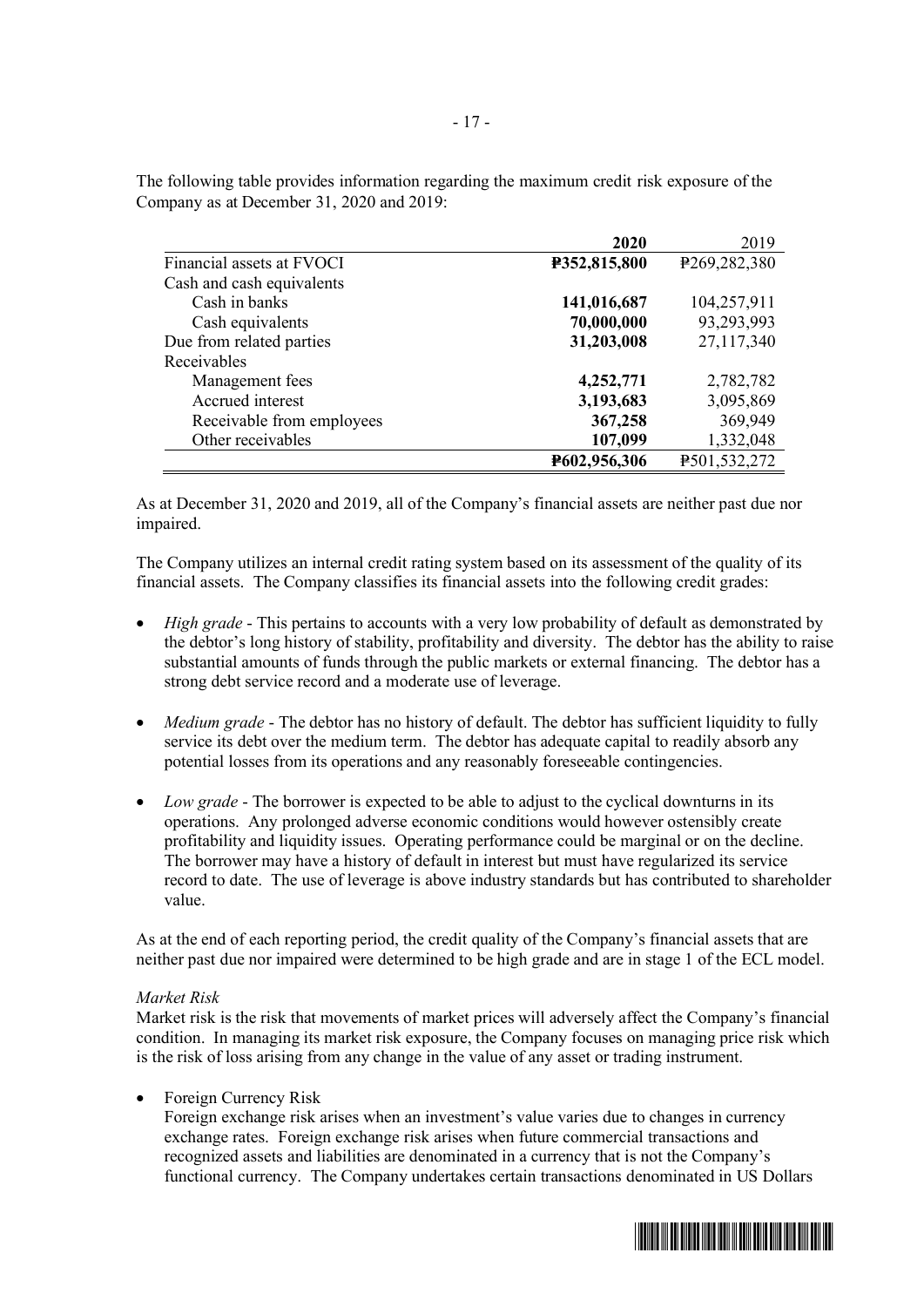|                           | 2020         | 2019         |
|---------------------------|--------------|--------------|
| Financial assets at FVOCI | P352,815,800 | P269,282,380 |
| Cash and cash equivalents |              |              |
| Cash in banks             | 141,016,687  | 104,257,911  |
| Cash equivalents          | 70,000,000   | 93,293,993   |
| Due from related parties  | 31,203,008   | 27,117,340   |
| Receivables               |              |              |
| Management fees           | 4,252,771    | 2,782,782    |
| Accrued interest          | 3,193,683    | 3,095,869    |
| Receivable from employees | 367,258      | 369,949      |
| Other receivables         | 107,099      | 1,332,048    |
|                           | P602,956,306 | P501,532,272 |

The following table provides information regarding the maximum credit risk exposure of the Company as at December 31, 2020 and 2019:

As at December 31, 2020 and 2019, all of the Company's financial assets are neither past due nor impaired.

The Company utilizes an internal credit rating system based on its assessment of the quality of its financial assets. The Company classifies its financial assets into the following credit grades:

- *High grade* This pertains to accounts with a very low probability of default as demonstrated by the debtor's long history of stability, profitability and diversity. The debtor has the ability to raise substantial amounts of funds through the public markets or external financing. The debtor has a strong debt service record and a moderate use of leverage.
- *Medium grade* The debtor has no history of default. The debtor has sufficient liquidity to fully service its debt over the medium term. The debtor has adequate capital to readily absorb any potential losses from its operations and any reasonably foreseeable contingencies.
- *Low grade* The borrower is expected to be able to adjust to the cyclical downturns in its operations. Any prolonged adverse economic conditions would however ostensibly create profitability and liquidity issues. Operating performance could be marginal or on the decline. The borrower may have a history of default in interest but must have regularized its service record to date. The use of leverage is above industry standards but has contributed to shareholder value.

As at the end of each reporting period, the credit quality of the Company's financial assets that are neither past due nor impaired were determined to be high grade and are in stage 1 of the ECL model.

#### *Market Risk*

Market risk is the risk that movements of market prices will adversely affect the Company's financial condition. In managing its market risk exposure, the Company focuses on managing price risk which is the risk of loss arising from any change in the value of any asset or trading instrument.

Foreign Currency Risk

Foreign exchange risk arises when an investment's value varies due to changes in currency exchange rates. Foreign exchange risk arises when future commercial transactions and recognized assets and liabilities are denominated in a currency that is not the Company's functional currency. The Company undertakes certain transactions denominated in US Dollars

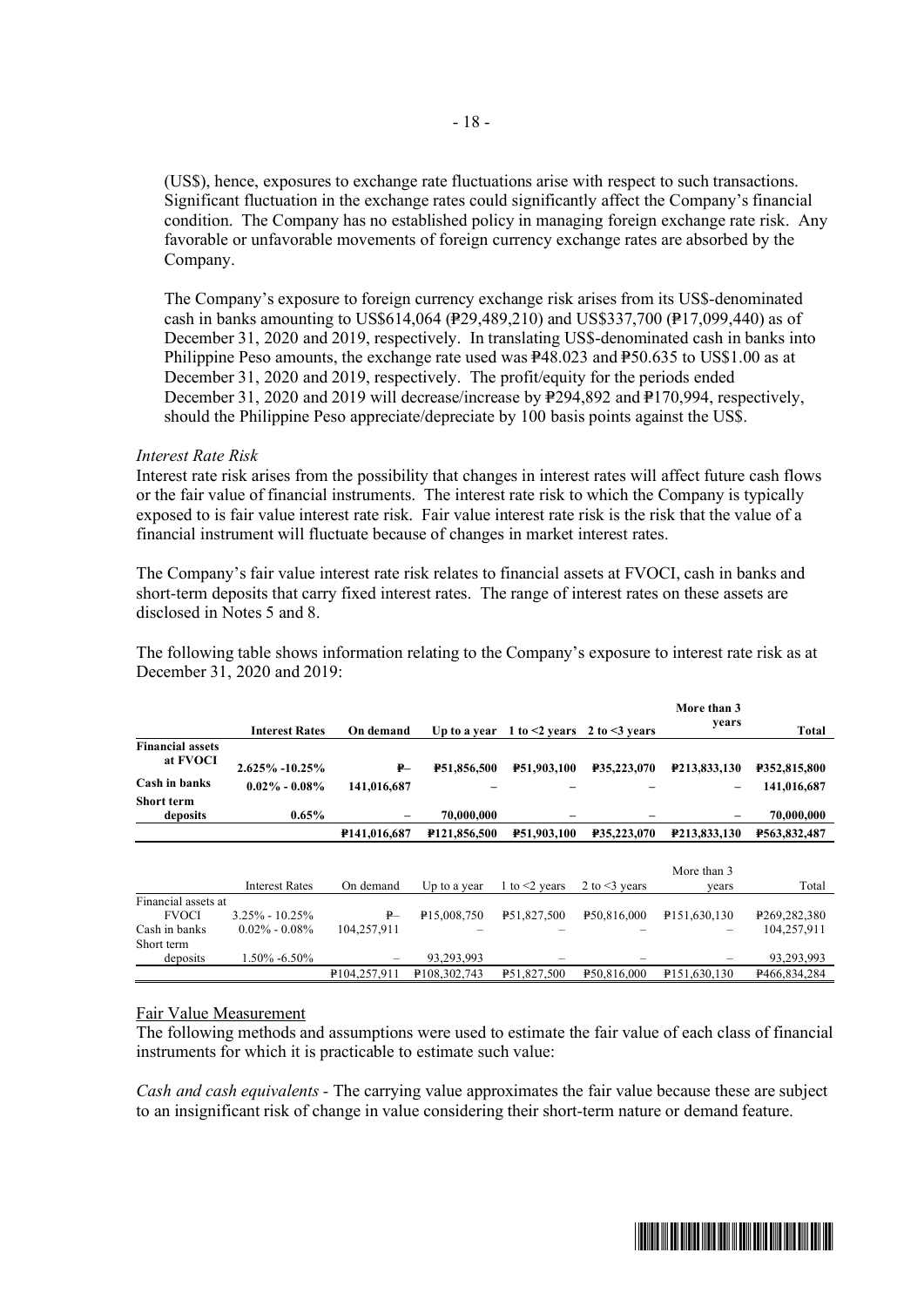(US\$), hence, exposures to exchange rate fluctuations arise with respect to such transactions. Significant fluctuation in the exchange rates could significantly affect the Company's financial condition. The Company has no established policy in managing foreign exchange rate risk. Any favorable or unfavorable movements of foreign currency exchange rates are absorbed by the Company.

The Company's exposure to foreign currency exchange risk arises from its US\$-denominated cash in banks amounting to US\$614,064 (P29,489,210) and US\$337,700 (P17,099,440) as of December 31, 2020 and 2019, respectively. In translating US\$-denominated cash in banks into Philippine Peso amounts, the exchange rate used was  $\texttt{P48.023}$  and  $\texttt{P50.635}$  to US\$1.00 as at December 31, 2020 and 2019, respectively. The profit/equity for the periods ended December 31, 2020 and 2019 will decrease/increase by  $\overline{P}294,892$  and  $\overline{P}170,994$ , respectively, should the Philippine Peso appreciate/depreciate by 100 basis points against the US\$.

#### *Interest Rate Risk*

Interest rate risk arises from the possibility that changes in interest rates will affect future cash flows or the fair value of financial instruments. The interest rate risk to which the Company is typically exposed to is fair value interest rate risk. Fair value interest rate risk is the risk that the value of a financial instrument will fluctuate because of changes in market interest rates.

The Company's fair value interest rate risk relates to financial assets at FVOCI, cash in banks and short-term deposits that carry fixed interest rates. The range of interest rates on these assets are disclosed in Notes 5 and 8.

The following table shows information relating to the Company's exposure to interest rate risk as at December 31, 2020 and 2019:

|                                     |                       |                           |                             |                         |                         | More than 3               |                             |
|-------------------------------------|-----------------------|---------------------------|-----------------------------|-------------------------|-------------------------|---------------------------|-----------------------------|
|                                     | <b>Interest Rates</b> | On demand                 | Up to a year                | 1 to $<$ 2 years        | 2 to $<$ 3 years        | years                     | Total                       |
| <b>Financial assets</b><br>at FVOCI | $2.625\% - 10.25\%$   | $P-$                      | <b>P51,856,500</b>          | <b>P51,903,100</b>      | <b>P35,223,070</b>      | P213,833,130              | <b>P352,815,800</b>         |
| Cash in banks                       | $0.02\% - 0.08\%$     | 141,016,687               |                             |                         |                         | -                         | 141,016,687                 |
| <b>Short term</b><br>deposits       | $0.65\%$              |                           | 70,000,000                  |                         |                         |                           | 70,000,000                  |
|                                     |                       | P <sub>141</sub> ,016,687 | P <sub>121,856,500</sub>    | <b>P51.903.100</b>      | <b>P35.223.070</b>      | P213.833.130              | <b>P563,832,487</b>         |
|                                     |                       |                           |                             |                         |                         |                           |                             |
|                                     | <b>Interest Rates</b> | On demand                 | Up to a year                | 1 to $\leq$ years       | 2 to $\leq$ 3 years     | More than 3<br>years      | Total                       |
| Financial assets at                 |                       |                           |                             |                         |                         |                           |                             |
| <b>FVOCI</b>                        | $3.25\% - 10.25\%$    | $P-$                      | P <sub>15</sub> ,008,750    | P51,827,500             | P50.816.000             | P <sub>151,630,130</sub>  | P <sub>269</sub> , 282, 380 |
| Cash in banks                       | $0.02\% - 0.08\%$     | 104,257,911               |                             |                         |                         |                           | 104.257.911                 |
| Short term                          |                       |                           |                             |                         |                         |                           |                             |
| deposits                            | 1.50% -6.50%          |                           | 93,293,993                  |                         |                         |                           | 93,293,993                  |
|                                     |                       | P <sub>104.257.911</sub>  | P <sub>108</sub> , 302, 743 | P <sub>51,827,500</sub> | P <sub>50.816.000</sub> | P <sub>151</sub> ,630,130 | P466,834,284                |

#### Fair Value Measurement

The following methods and assumptions were used to estimate the fair value of each class of financial instruments for which it is practicable to estimate such value:

*Cash and cash equivalents -* The carrying value approximates the fair value because these are subject to an insignificant risk of change in value considering their short-term nature or demand feature.

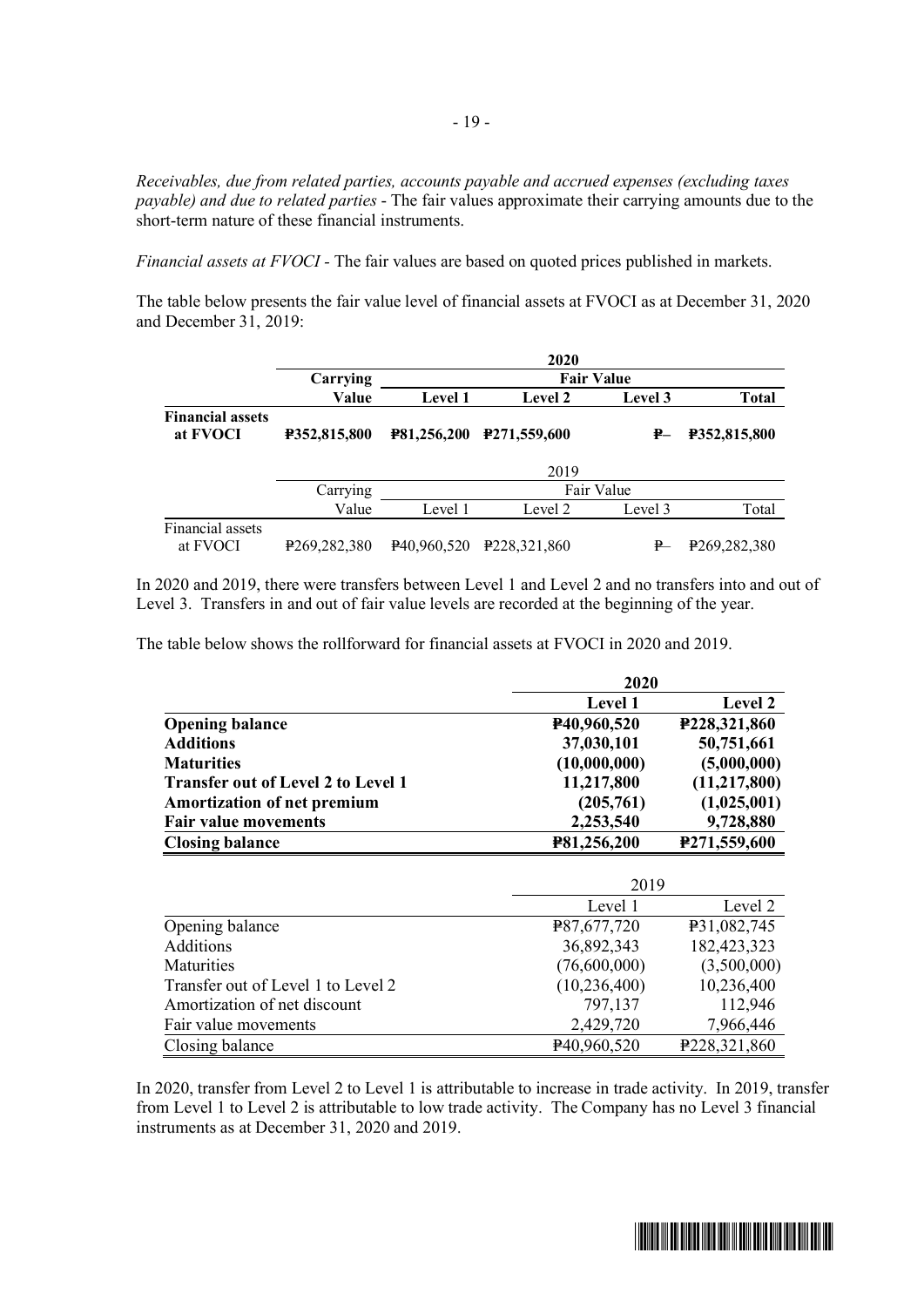*Receivables, due from related parties, accounts payable and accrued expenses (excluding taxes payable) and due to related parties* - The fair values approximate their carrying amounts due to the short-term nature of these financial instruments.

*Financial assets at FVOCI -* The fair values are based on quoted prices published in markets.

The table below presents the fair value level of financial assets at FVOCI as at December 31, 2020 and December 31, 2019:

|                                     |                             |                         | 2020                        |            |                             |  |  |
|-------------------------------------|-----------------------------|-------------------------|-----------------------------|------------|-----------------------------|--|--|
|                                     | Carrying                    |                         | <b>Fair Value</b>           |            |                             |  |  |
|                                     | Value                       | <b>Level 1</b>          | Level 2                     | Level 3    | <b>Total</b>                |  |  |
| <b>Financial assets</b><br>at FVOCI | P352,815,800                | <b>P81,256,200</b>      | <b>P271,559,600</b>         | ₽–         | P352,815,800                |  |  |
|                                     |                             |                         | 2019                        |            |                             |  |  |
|                                     | Carrying                    |                         |                             | Fair Value |                             |  |  |
|                                     | Value                       | Level 1                 | Level 2                     | Level 3    | Total                       |  |  |
| Financial assets<br>at FVOCI        | P <sub>269</sub> , 282, 380 | P <sub>40,960,520</sub> | P <sub>228</sub> , 321, 860 | ₽          | P <sub>269</sub> , 282, 380 |  |  |

In 2020 and 2019, there were transfers between Level 1 and Level 2 and no transfers into and out of Level 3. Transfers in and out of fair value levels are recorded at the beginning of the year.

The table below shows the rollforward for financial assets at FVOCI in 2020 and 2019.

|                                           | 2020           |                |  |
|-------------------------------------------|----------------|----------------|--|
|                                           | <b>Level 1</b> | <b>Level 2</b> |  |
| <b>Opening balance</b>                    | P40,960,520    | P228,321,860   |  |
| <b>Additions</b>                          | 37,030,101     | 50,751,661     |  |
| <b>Maturities</b>                         | (10,000,000)   | (5,000,000)    |  |
| <b>Transfer out of Level 2 to Level 1</b> | 11,217,800     | (11, 217, 800) |  |
| <b>Amortization of net premium</b>        | (205,761)      | (1,025,001)    |  |
| <b>Fair value movements</b>               | 2,253,540      | 9,728,880      |  |
| <b>Closing balance</b>                    | P81,256,200    | P271,559,600   |  |
|                                           |                |                |  |

|                                    | 2019           |              |  |
|------------------------------------|----------------|--------------|--|
|                                    | Level 1        | Level 2      |  |
| Opening balance                    | P87,677,720    | P31,082,745  |  |
| Additions                          | 36,892,343     | 182,423,323  |  |
| Maturities                         | (76,600,000)   | (3,500,000)  |  |
| Transfer out of Level 1 to Level 2 | (10, 236, 400) | 10,236,400   |  |
| Amortization of net discount       | 797,137        | 112,946      |  |
| Fair value movements               | 2,429,720      | 7,966,446    |  |
| Closing balance                    | P40,960,520    | P228,321,860 |  |

In 2020, transfer from Level 2 to Level 1 is attributable to increase in trade activity. In 2019, transfer from Level 1 to Level 2 is attributable to low trade activity. The Company has no Level 3 financial instruments as at December 31, 2020 and 2019.

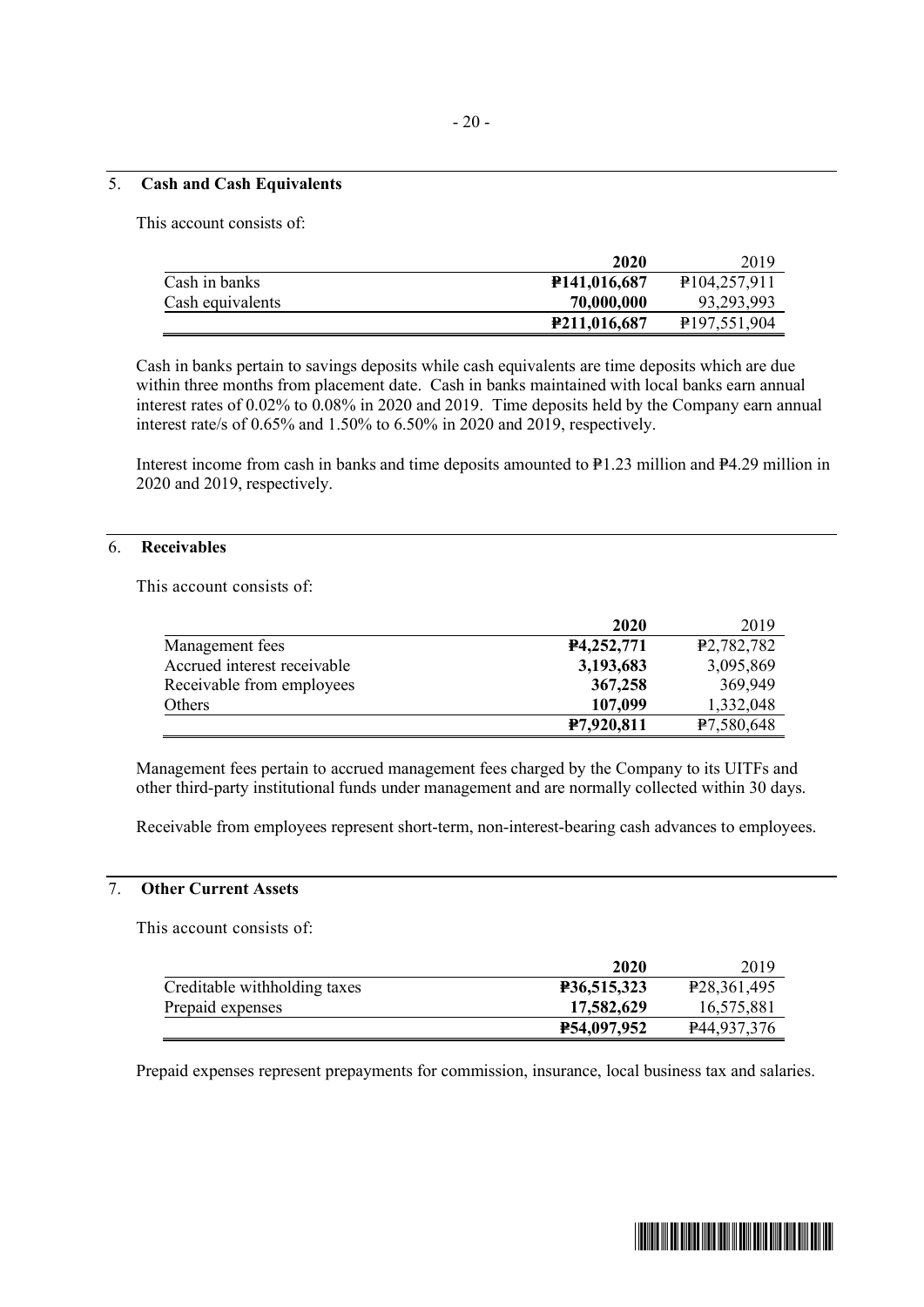### 5. **Cash and Cash Equivalents**

This account consists of:

|                  | 2020                      | 2019                        |
|------------------|---------------------------|-----------------------------|
| Cash in banks    | P <sub>141</sub> ,016,687 | P <sub>104,257,911</sub>    |
| Cash equivalents | 70,000,000                | 93,293,993                  |
|                  | P211,016,687              | P <sub>197</sub> , 551, 904 |

Cash in banks pertain to savings deposits while cash equivalents are time deposits which are due within three months from placement date. Cash in banks maintained with local banks earn annual interest rates of 0.02% to 0.08% in 2020 and 2019. Time deposits held by the Company earn annual interest rate/s of 0.65% and 1.50% to 6.50% in 2020 and 2019, respectively.

Interest income from cash in banks and time deposits amounted to  $P1.23$  million and  $P4.29$  million in 2020 and 2019, respectively.

### 6. **Receivables**

This account consists of:

|                             | 2020       | 2019                      |
|-----------------------------|------------|---------------------------|
| Management fees             | P4,252,771 | P <sub>2</sub> , 782, 782 |
| Accrued interest receivable | 3,193,683  | 3,095,869                 |
| Receivable from employees   | 367,258    | 369,949                   |
| Others                      | 107,099    | 1,332,048                 |
|                             | P7,920,811 | P7,580,648                |

Management fees pertain to accrued management fees charged by the Company to its UITFs and other third-party institutional funds under management and are normally collected within 30 days.

Receivable from employees represent short-term, non-interest-bearing cash advances to employees.

### 7. **Other Current Assets**

This account consists of:

|                              | 2020               | 2019                       |
|------------------------------|--------------------|----------------------------|
| Creditable withholding taxes | <b>P36,515,323</b> | P <sub>28</sub> , 361, 495 |
| Prepaid expenses             | 17,582,629         | 16,575,881                 |
|                              | <b>P54,097,952</b> | P44,937,376                |

Prepaid expenses represent prepayments for commission, insurance, local business tax and salaries.

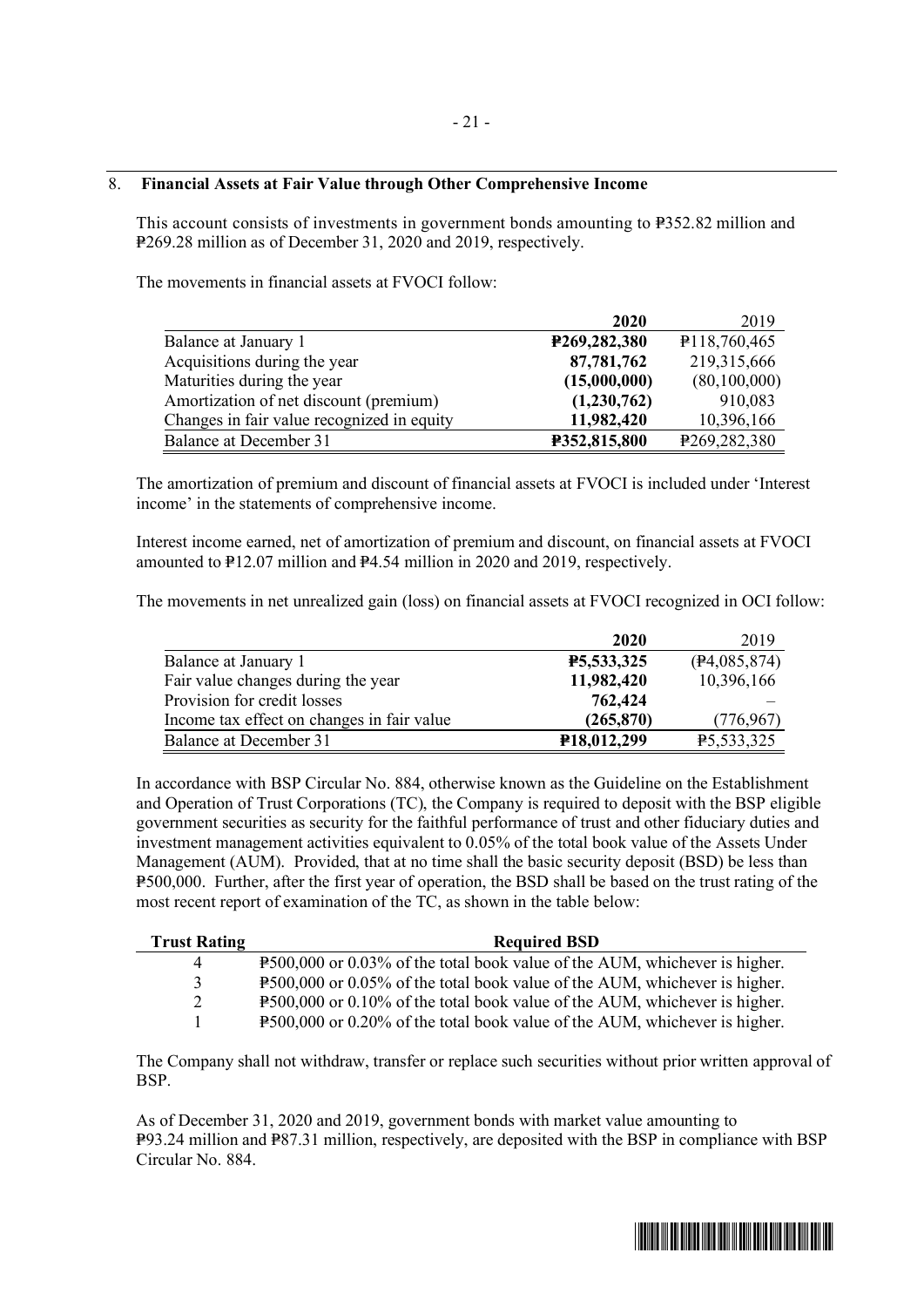### 8. **Financial Assets at Fair Value through Other Comprehensive Income**

This account consists of investments in government bonds amounting to  $P352.82$  million and P269.28 million as of December 31, 2020 and 2019, respectively.

The movements in financial assets at FVOCI follow:

|                                            | 2020         | 2019         |
|--------------------------------------------|--------------|--------------|
| Balance at January 1                       | P269,282,380 | P118,760,465 |
| Acquisitions during the year               | 87,781,762   | 219,315,666  |
| Maturities during the year                 | (15,000,000) | (80,100,000) |
| Amortization of net discount (premium)     | (1,230,762)  | 910,083      |
| Changes in fair value recognized in equity | 11,982,420   | 10,396,166   |
| Balance at December 31                     | P352,815,800 | P269,282,380 |

The amortization of premium and discount of financial assets at FVOCI is included under 'Interest income' in the statements of comprehensive income.

Interest income earned, net of amortization of premium and discount, on financial assets at FVOCI amounted to  $P12.07$  million and  $P4.54$  million in 2020 and 2019, respectively.

The movements in net unrealized gain (loss) on financial assets at FVOCI recognized in OCI follow:

|                                            | 2020                     | 2019         |
|--------------------------------------------|--------------------------|--------------|
| Balance at January 1                       | P5,533,325               | (P4,085,874) |
| Fair value changes during the year         | 11,982,420               | 10,396,166   |
| Provision for credit losses                | 762,424                  |              |
| Income tax effect on changes in fair value | (265, 870)               | (776, 967)   |
| Balance at December 31                     | P <sub>18</sub> ,012,299 | P5,533,325   |

In accordance with BSP Circular No. 884, otherwise known as the Guideline on the Establishment and Operation of Trust Corporations (TC), the Company is required to deposit with the BSP eligible government securities as security for the faithful performance of trust and other fiduciary duties and investment management activities equivalent to  $0.05\%$  of the total book value of the Assets Under Management (AUM). Provided, that at no time shall the basic security deposit (BSD) be less than P500,000. Further, after the first year of operation, the BSD shall be based on the trust rating of the most recent report of examination of the TC, as shown in the table below:

| <b>Trust Rating</b> | <b>Required BSD</b>                                                        |
|---------------------|----------------------------------------------------------------------------|
| 4                   | P500,000 or 0.03% of the total book value of the AUM, whichever is higher. |
| 3                   | P500,000 or 0.05% of the total book value of the AUM, whichever is higher. |
| $\mathcal{D}$       | P500,000 or 0.10% of the total book value of the AUM, whichever is higher. |
|                     | P500,000 or 0.20% of the total book value of the AUM, whichever is higher. |

The Company shall not withdraw, transfer or replace such securities without prior written approval of BSP.

As of December 31, 2020 and 2019, government bonds with market value amounting to P93.24 million and P87.31 million, respectively, are deposited with the BSP in compliance with BSP Circular No. 884.

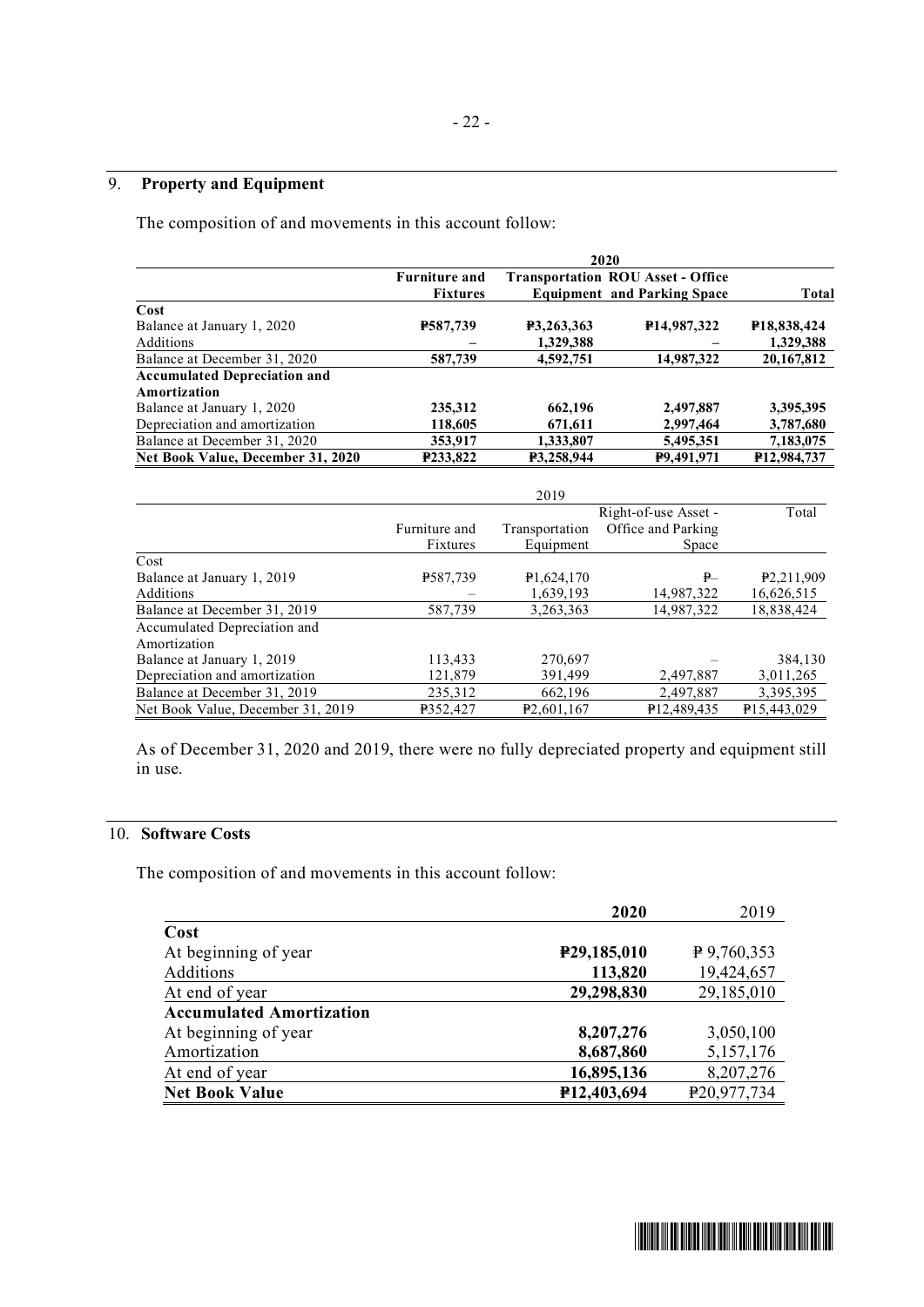# 9. **Property and Equipment**

The composition of and movements in this account follow:

|                                     | 2020                                    |                                                                                |                          |              |
|-------------------------------------|-----------------------------------------|--------------------------------------------------------------------------------|--------------------------|--------------|
|                                     | <b>Furniture and</b><br><b>Fixtures</b> | <b>Transportation ROU Asset - Office</b><br><b>Equipment and Parking Space</b> |                          | <b>Total</b> |
| Cost                                |                                         |                                                                                |                          |              |
| Balance at January 1, 2020          | P587,739                                | <b>P3,263,363</b>                                                              | P <sub>14,987</sub> ,322 | P18,838,424  |
| Additions                           |                                         | 1,329,388                                                                      |                          | 1,329,388    |
| Balance at December 31, 2020        | 587,739                                 | 4,592,751                                                                      | 14,987,322               | 20, 167, 812 |
| <b>Accumulated Depreciation and</b> |                                         |                                                                                |                          |              |
| Amortization                        |                                         |                                                                                |                          |              |
| Balance at January 1, 2020          | 235,312                                 | 662,196                                                                        | 2,497,887                | 3,395,395    |
| Depreciation and amortization       | 118,605                                 | 671,611                                                                        | 2,997,464                | 3,787,680    |
| Balance at December 31, 2020        | 353,917                                 | 1,333,807                                                                      | 5,495,351                | 7,183,075    |
| Net Book Value, December 31, 2020   | P233.822                                | <b>P3,258,944</b>                                                              | P9,491,971               | P12,984,737  |

|                                   |                       | 2019                    |                          |                          |
|-----------------------------------|-----------------------|-------------------------|--------------------------|--------------------------|
|                                   |                       |                         | Right-of-use Asset -     | Total                    |
|                                   | Furniture and         | Transportation          | Office and Parking       |                          |
|                                   | Fixtures              | Equipment               | Space                    |                          |
| Cost                              |                       |                         |                          |                          |
| Balance at January 1, 2019        | P <sub>587</sub> ,739 | P <sub>1</sub> ,624,170 | ₽—                       | P <sub>2</sub> ,211,909  |
| Additions                         |                       | 1,639,193               | 14,987,322               | 16,626,515               |
| Balance at December 31, 2019      | 587,739               | 3,263,363               | 14,987,322               | 18,838,424               |
| Accumulated Depreciation and      |                       |                         |                          |                          |
| Amortization                      |                       |                         |                          |                          |
| Balance at January 1, 2019        | 113,433               | 270,697                 |                          | 384,130                  |
| Depreciation and amortization     | 121,879               | 391,499                 | 2,497,887                | 3,011,265                |
| Balance at December 31, 2019      | 235,312               | 662,196                 | 2,497,887                | 3,395,395                |
| Net Book Value, December 31, 2019 | P352,427              | P <sub>2</sub> ,601,167 | P <sub>12</sub> ,489,435 | P <sub>15</sub> ,443,029 |

As of December 31, 2020 and 2019, there were no fully depreciated property and equipment still in use.

# 10. **Software Costs**

The composition of and movements in this account follow:

|                                 | 2020                     | 2019        |
|---------------------------------|--------------------------|-------------|
| Cost                            |                          |             |
| At beginning of year            | P <sub>29</sub> ,185,010 | ₽ 9,760,353 |
| Additions                       | 113,820                  | 19,424,657  |
| At end of year                  | 29,298,830               | 29,185,010  |
| <b>Accumulated Amortization</b> |                          |             |
| At beginning of year            | 8,207,276                | 3,050,100   |
| Amortization                    | 8,687,860                | 5,157,176   |
| At end of year                  | 16,895,136               | 8,207,276   |
| <b>Net Book Value</b>           | P12,403,694              | P20,977,734 |

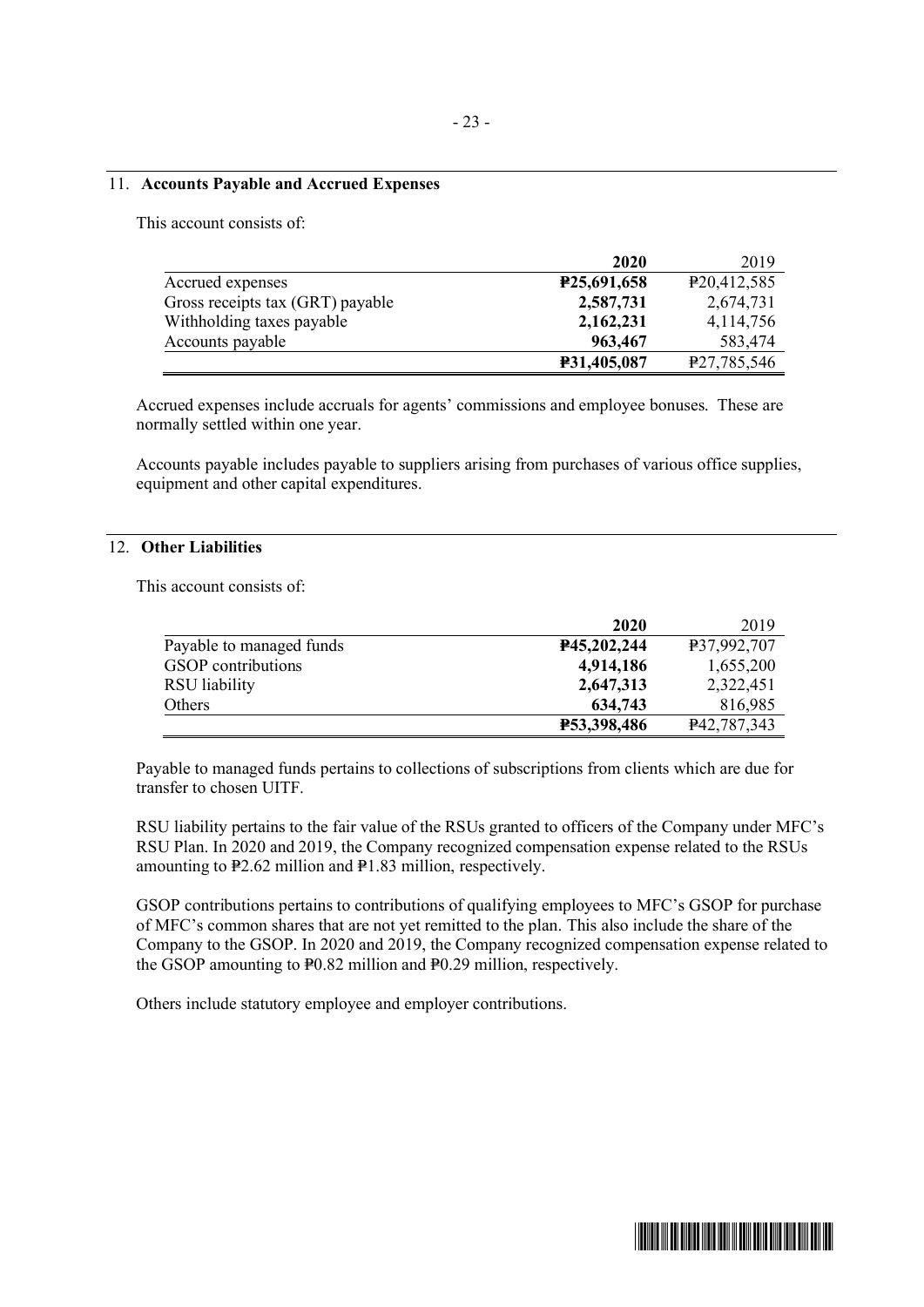### 11. **Accounts Payable and Accrued Expenses**

This account consists of:

|                                  | 2020                     | 2019                     |
|----------------------------------|--------------------------|--------------------------|
| Accrued expenses                 | P <sub>25</sub> ,691,658 | P <sub>20</sub> ,412,585 |
| Gross receipts tax (GRT) payable | 2,587,731                | 2,674,731                |
| Withholding taxes payable        | 2,162,231                | 4,114,756                |
| Accounts payable                 | 963,467                  | 583,474                  |
|                                  | <b>P31,405,087</b>       | P27,785,546              |

Accrued expenses include accruals for agents' commissions and employee bonuses. These are normally settled within one year.

Accounts payable includes payable to suppliers arising from purchases of various office supplies, equipment and other capital expenditures.

### 12. **Other Liabilities**

This account consists of:

|                           | 2020               | 2019        |
|---------------------------|--------------------|-------------|
| Payable to managed funds  | <b>P45,202,244</b> | P37,992,707 |
| <b>GSOP</b> contributions | 4,914,186          | 1,655,200   |
| RSU liability             | 2,647,313          | 2,322,451   |
| Others                    | 634,743            | 816,985     |
|                           | <b>P53,398,486</b> | P42,787,343 |

Payable to managed funds pertains to collections of subscriptions from clients which are due for transfer to chosen UITF.

RSU liability pertains to the fair value of the RSUs granted to officers of the Company under MFC's RSU Plan. In 2020 and 2019, the Company recognized compensation expense related to the RSUs amounting to  $P2.62$  million and  $P1.83$  million, respectively.

GSOP contributions pertains to contributions of qualifying employees to MFC's GSOP for purchase of MFC's common shares that are not yet remitted to the plan. This also include the share of the Company to the GSOP. In 2020 and 2019, the Company recognized compensation expense related to the GSOP amounting to  $P0.82$  million and  $P0.29$  million, respectively.

Others include statutory employee and employer contributions.

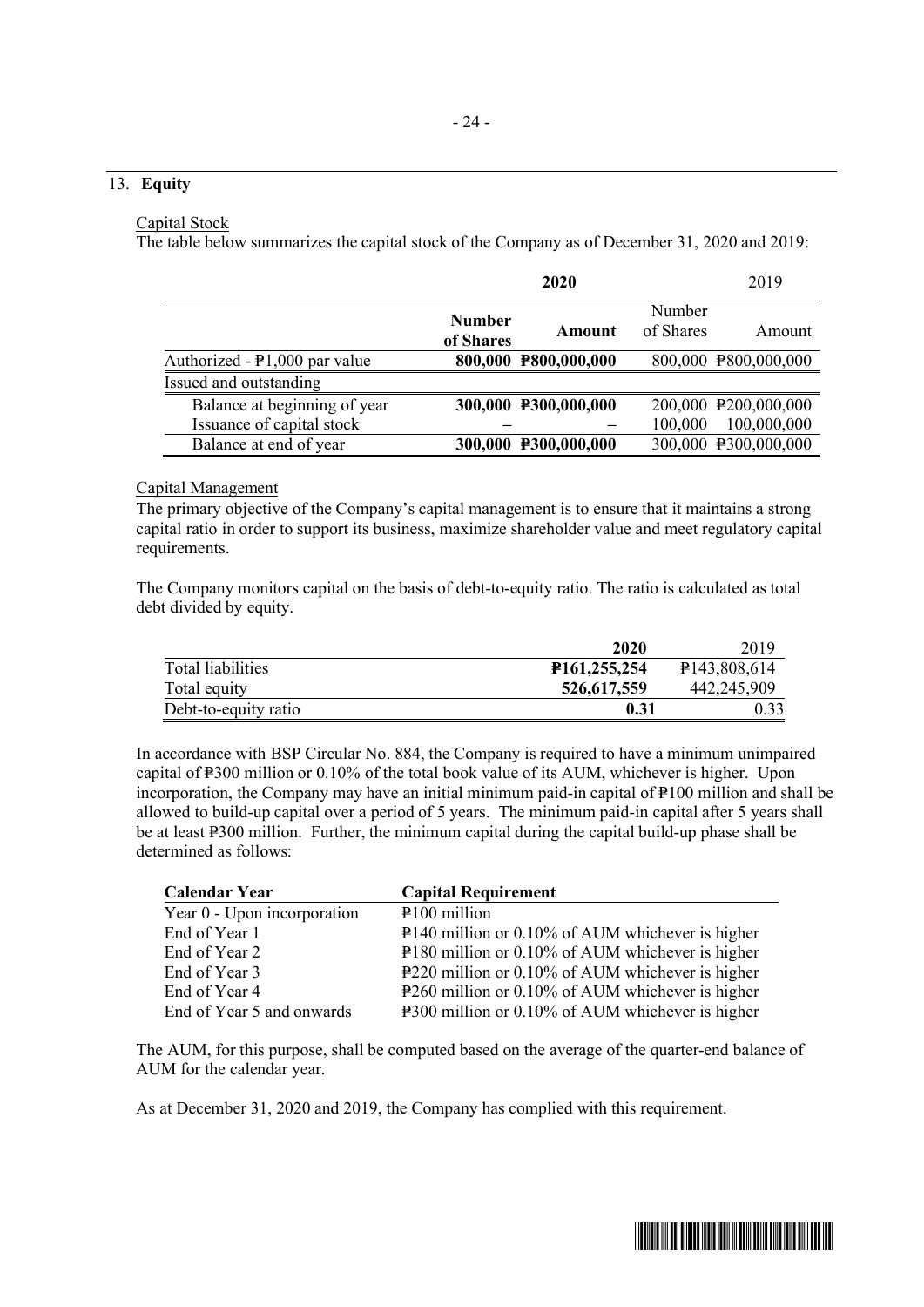### 13. **Equity**

### Capital Stock

The table below summarizes the capital stock of the Company as of December 31, 2020 and 2019:

|                                                           | 2020                       |                      |                     | 2019                                |
|-----------------------------------------------------------|----------------------------|----------------------|---------------------|-------------------------------------|
|                                                           | <b>Number</b><br>of Shares | Amount               | Number<br>of Shares | Amount                              |
| Authorized - $P1,000$ par value                           |                            | 800,000 P800,000,000 |                     | 800,000 P800,000,000                |
| Issued and outstanding                                    |                            |                      |                     |                                     |
| Balance at beginning of year<br>Issuance of capital stock |                            | 300,000 P300,000,000 | 100,000             | 200,000 P200,000,000<br>100,000,000 |
| Balance at end of year                                    |                            | 300,000 P300,000,000 |                     | 300,000 P300,000,000                |

### Capital Management

The primary objective of the Company's capital management is to ensure that it maintains a strong capital ratio in order to support its business, maximize shareholder value and meet regulatory capital requirements.

The Company monitors capital on the basis of debt-to-equity ratio. The ratio is calculated as total debt divided by equity.

|                      | 2020                        | 2019                      |
|----------------------|-----------------------------|---------------------------|
| Total liabilities    | P <sub>161</sub> , 255, 254 | P <sub>143</sub> ,808,614 |
| Total equity         | 526,617,559                 | 442,245,909               |
| Debt-to-equity ratio | 0.31                        | 0.33                      |

In accordance with BSP Circular No. 884, the Company is required to have a minimum unimpaired capital of  $P_{300}$  million or 0.10% of the total book value of its AUM, whichever is higher. Upon incorporation, the Company may have an initial minimum paid-in capital of P100 million and shall be allowed to build-up capital over a period of 5 years. The minimum paid-in capital after 5 years shall be at least P300 million. Further, the minimum capital during the capital build-up phase shall be determined as follows:

| <b>Calendar Year</b>        | <b>Capital Requirement</b>                         |
|-----------------------------|----------------------------------------------------|
| Year 0 - Upon incorporation | $P100$ million                                     |
| End of Year 1               | $P140$ million or 0.10% of AUM whichever is higher |
| End of Year 2               | P180 million or 0.10% of AUM whichever is higher   |
| End of Year 3               | P220 million or 0.10% of AUM whichever is higher   |
| End of Year 4               | P260 million or 0.10% of AUM whichever is higher   |
| End of Year 5 and onwards   | P300 million or 0.10% of AUM whichever is higher   |

The AUM, for this purpose, shall be computed based on the average of the quarter-end balance of AUM for the calendar year.

As at December 31, 2020 and 2019, the Company has complied with this requirement.

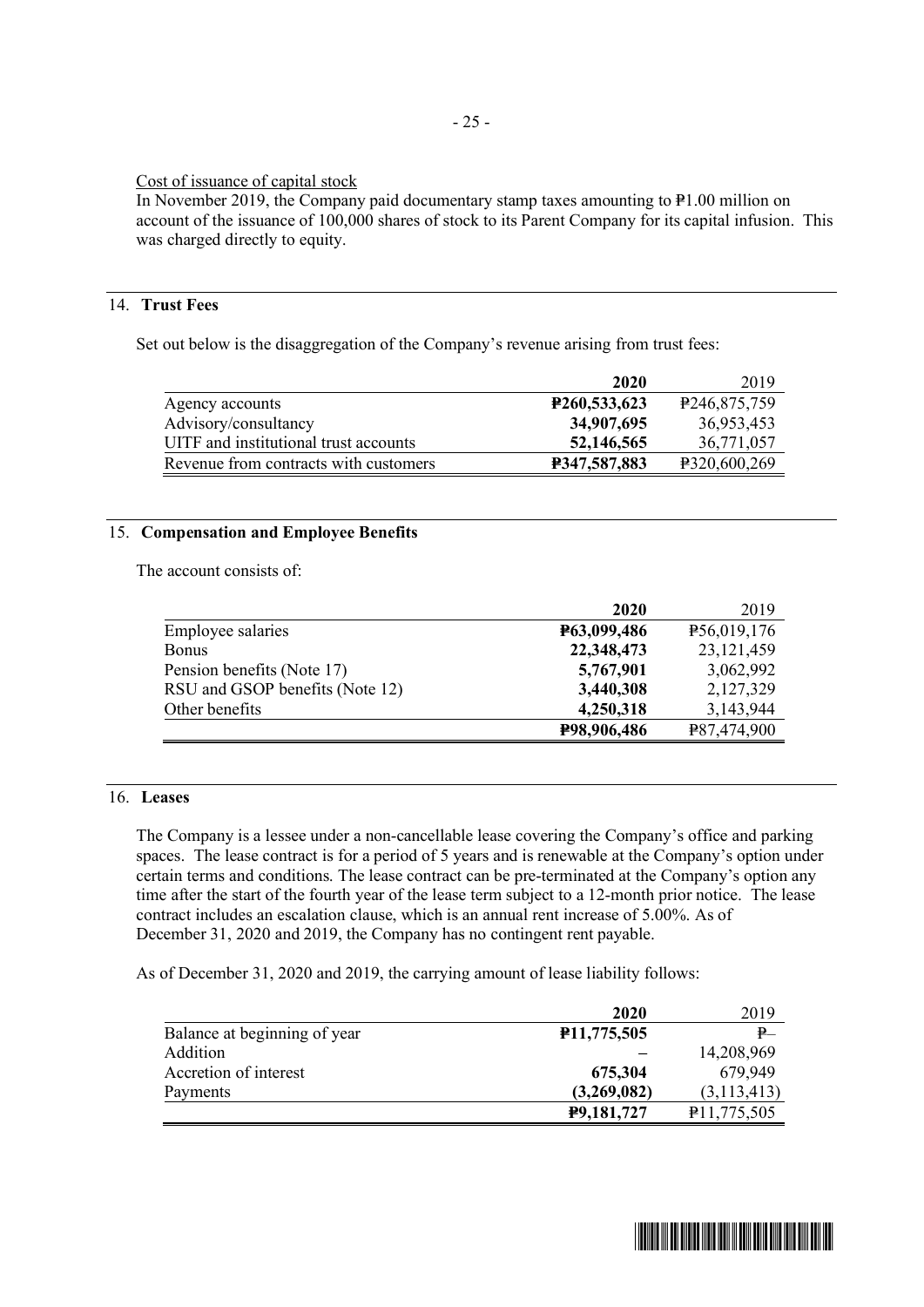# Cost of issuance of capital stock

In November 2019, the Company paid documentary stamp taxes amounting to  $P1.00$  million on account of the issuance of 100,000 shares of stock to its Parent Company for its capital infusion. This was charged directly to equity.

# 14. **Trust Fees**

Set out below is the disaggregation of the Company's revenue arising from trust fees:

|                                       | 2020                        | 2019                        |
|---------------------------------------|-----------------------------|-----------------------------|
| Agency accounts                       | P <sub>260</sub> , 533, 623 | P <sub>246</sub> , 875, 759 |
| Advisory/consultancy                  | 34,907,695                  | 36,953,453                  |
| UITF and institutional trust accounts | 52,146,565                  | 36,771,057                  |
| Revenue from contracts with customers | <b>P347,587,883</b>         | P320,600,269                |

### 15. **Compensation and Employee Benefits**

The account consists of:

|                                 | 2020        | 2019         |
|---------------------------------|-------------|--------------|
| Employee salaries               | P63,099,486 | P56,019,176  |
| <b>Bonus</b>                    | 22,348,473  | 23, 121, 459 |
| Pension benefits (Note 17)      | 5,767,901   | 3,062,992    |
| RSU and GSOP benefits (Note 12) | 3,440,308   | 2,127,329    |
| Other benefits                  | 4,250,318   | 3,143,944    |
|                                 | P98,906,486 | P87,474,900  |

# 16. **Leases**

The Company is a lessee under a non-cancellable lease covering the Company's office and parking spaces. The lease contract is for a period of 5 years and is renewable at the Company's option under certain terms and conditions. The lease contract can be pre-terminated at the Company's option any time after the start of the fourth year of the lease term subject to a 12-month prior notice. The lease contract includes an escalation clause, which is an annual rent increase of 5.00%. As of December 31, 2020 and 2019, the Company has no contingent rent payable.

As of December 31, 2020 and 2019, the carrying amount of lease liability follows:

|                              | 2020                     | 2019                     |
|------------------------------|--------------------------|--------------------------|
| Balance at beginning of year | P <sub>11</sub> ,775,505 | $\mathbf{P}$             |
| Addition                     |                          | 14,208,969               |
| Accretion of interest        | 675,304                  | 679,949                  |
| Payments                     | (3,269,082)              | (3,113,413)              |
|                              | P9,181,727               | P <sub>11</sub> ,775,505 |

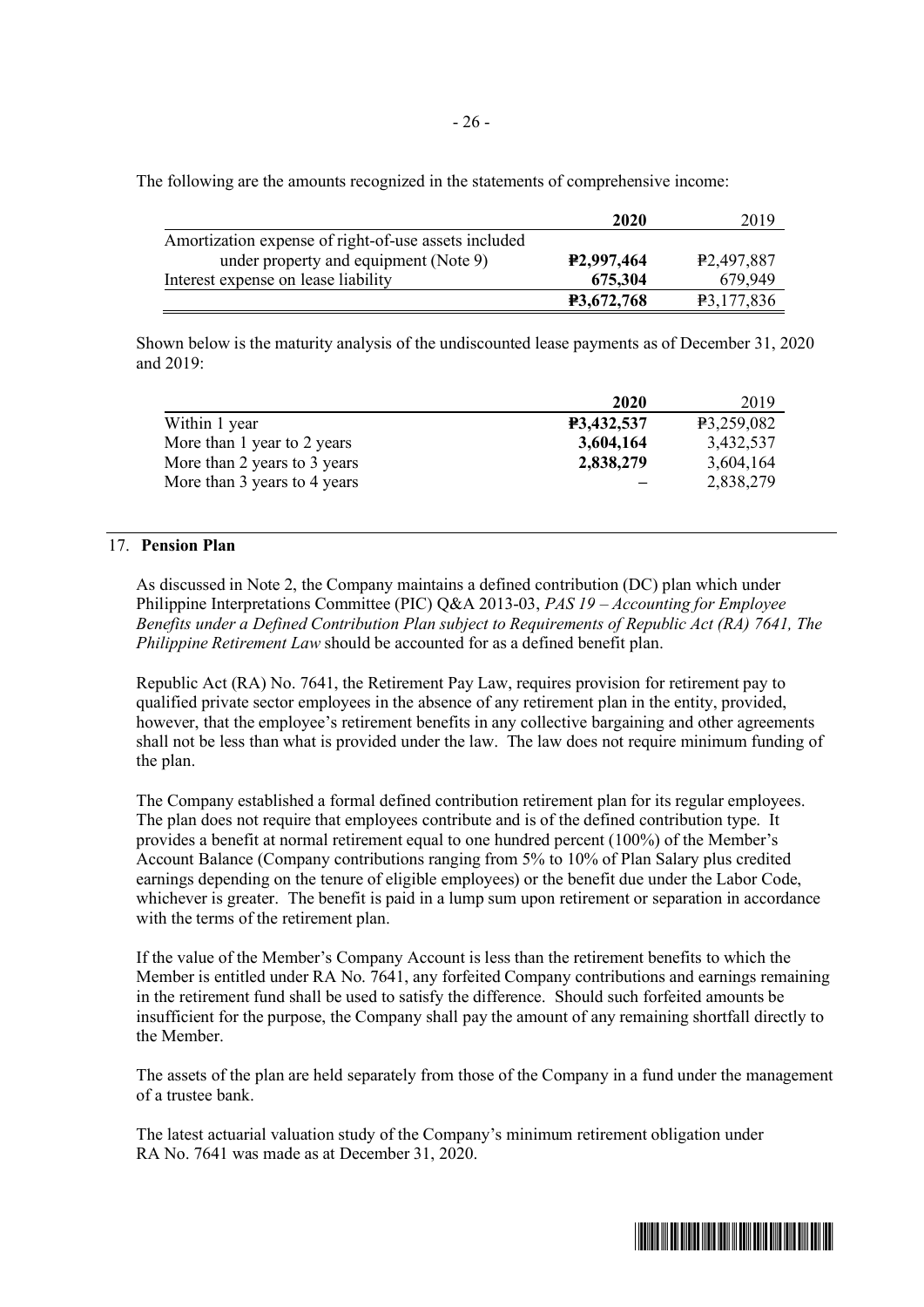The following are the amounts recognized in the statements of comprehensive income:

|                                                      | 2020              | 2019                    |
|------------------------------------------------------|-------------------|-------------------------|
| Amortization expense of right-of-use assets included |                   |                         |
| under property and equipment (Note 9)                | <b>P2,997,464</b> | P <sub>2</sub> ,497,887 |
| Interest expense on lease liability                  | 675,304           | 679,949                 |
|                                                      | <b>P3,672,768</b> | P3,177,836              |

Shown below is the maturity analysis of the undiscounted lease payments as of December 31, 2020 and 2019:

|                              | 2020              | 2019       |
|------------------------------|-------------------|------------|
| Within 1 year                | <b>P3,432,537</b> | P3,259,082 |
| More than 1 year to 2 years  | 3,604,164         | 3,432,537  |
| More than 2 years to 3 years | 2,838,279         | 3,604,164  |
| More than 3 years to 4 years |                   | 2,838,279  |

### 17. **Pension Plan**

As discussed in Note 2, the Company maintains a defined contribution (DC) plan which under Philippine Interpretations Committee (PIC) Q&A 2013-03, *PAS 19 – Accounting for Employee Benefits under a Defined Contribution Plan subject to Requirements of Republic Act (RA) 7641, The Philippine Retirement Law* should be accounted for as a defined benefit plan.

Republic Act (RA) No. 7641, the Retirement Pay Law, requires provision for retirement pay to qualified private sector employees in the absence of any retirement plan in the entity, provided, however, that the employee's retirement benefits in any collective bargaining and other agreements shall not be less than what is provided under the law. The law does not require minimum funding of the plan.

The Company established a formal defined contribution retirement plan for its regular employees. The plan does not require that employees contribute and is of the defined contribution type. It provides a benefit at normal retirement equal to one hundred percent (100%) of the Member's Account Balance (Company contributions ranging from 5% to 10% of Plan Salary plus credited earnings depending on the tenure of eligible employees) or the benefit due under the Labor Code, whichever is greater. The benefit is paid in a lump sum upon retirement or separation in accordance with the terms of the retirement plan.

If the value of the Member's Company Account is less than the retirement benefits to which the Member is entitled under RA No. 7641, any forfeited Company contributions and earnings remaining in the retirement fund shall be used to satisfy the difference. Should such forfeited amounts be insufficient for the purpose, the Company shall pay the amount of any remaining shortfall directly to the Member.

The assets of the plan are held separately from those of the Company in a fund under the management of a trustee bank.

The latest actuarial valuation study of the Company's minimum retirement obligation under RA No. 7641 was made as at December 31, 2020.

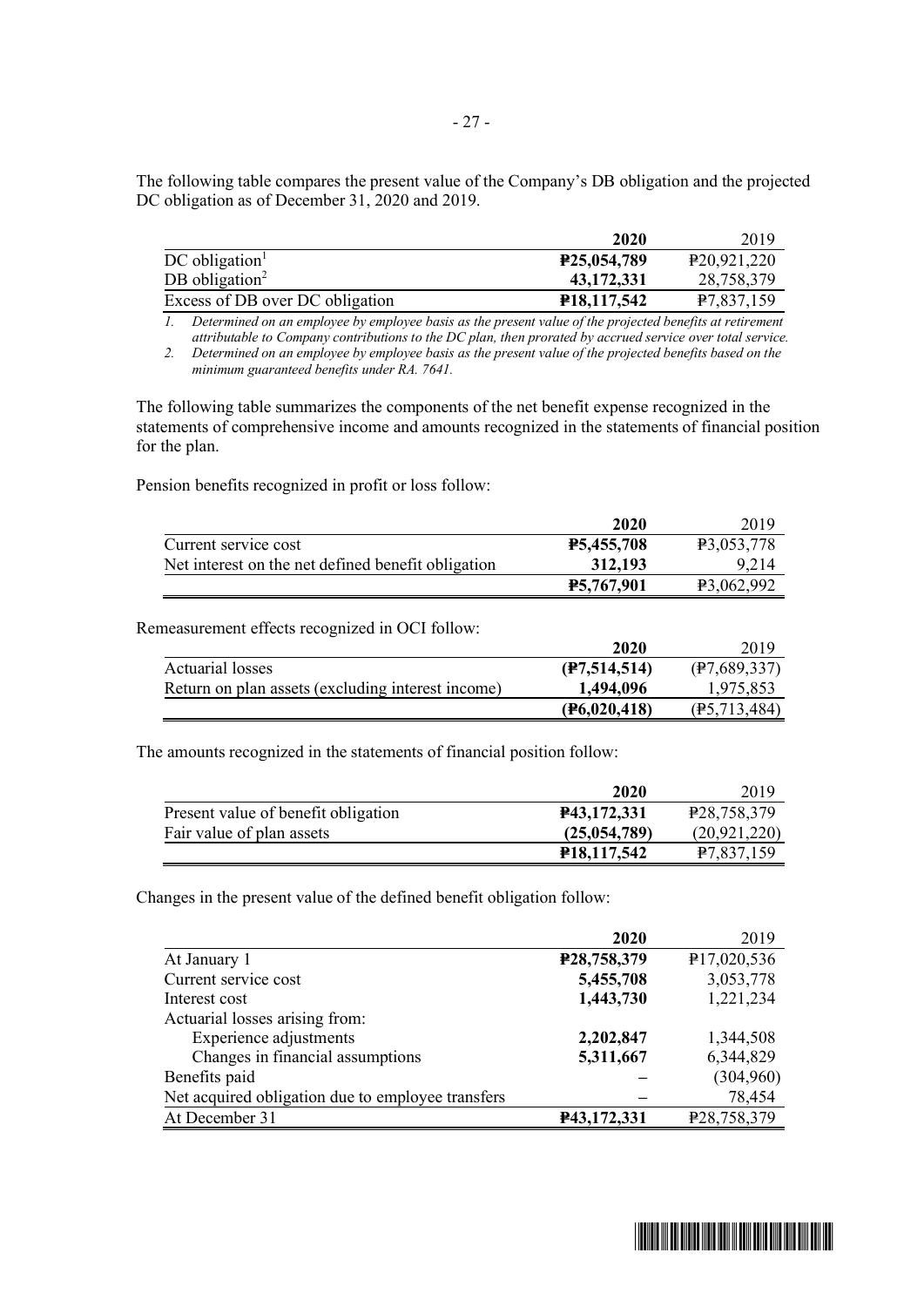The following table compares the present value of the Company's DB obligation and the projected DC obligation as of December 31, 2020 and 2019.

|                                 | 2020                       | 2019                       |
|---------------------------------|----------------------------|----------------------------|
| $DC$ obligation <sup>1</sup>    | P <sub>25</sub> , 054, 789 | P <sub>20</sub> , 921, 220 |
| DB obligation <sup>2</sup>      | 43,172,331                 | 28,758,379                 |
| Excess of DB over DC obligation | <b>P18,117,542</b>         | P7,837,159                 |

*1. Determined on an employee by employee basis as the present value of the projected benefits at retirement attributable to Company contributions to the DC plan, then prorated by accrued service over total service.*

*2. Determined on an employee by employee basis as the present value of the projected benefits based on the minimum guaranteed benefits under RA. 7641.*

The following table summarizes the components of the net benefit expense recognized in the statements of comprehensive income and amounts recognized in the statements of financial position for the plan.

Pension benefits recognized in profit or loss follow:

|                                                    | 2020              | 2019              |
|----------------------------------------------------|-------------------|-------------------|
| Current service cost                               | <b>P5,455,708</b> | <b>P3,053,778</b> |
| Net interest on the net defined benefit obligation | 312,193           | 9.214             |
|                                                    | <b>P5,767,901</b> | P3,062,992        |

Remeasurement effects recognized in OCI follow:

|                                                   | 2020         | 2019         |
|---------------------------------------------------|--------------|--------------|
| Actuarial losses                                  | (P7,514,514) | (P7,689,337) |
| Return on plan assets (excluding interest income) | 1,494,096    | 1,975,853    |
|                                                   | (F6,020,418) | (E5,713,484) |

The amounts recognized in the statements of financial position follow:

|                                     | 2020                     | 2019                       |
|-------------------------------------|--------------------------|----------------------------|
| Present value of benefit obligation | P43,172,331              | P <sub>28</sub> , 758, 379 |
| Fair value of plan assets           | (25,054,789)             | (20, 921, 220)             |
|                                     | P <sub>18</sub> ,117,542 | P7,837,159                 |

Changes in the present value of the defined benefit obligation follow:

|                                                   | 2020                     | 2019        |
|---------------------------------------------------|--------------------------|-------------|
| At January 1                                      | P <sub>28</sub> ,758,379 | P17,020,536 |
| Current service cost                              | 5,455,708                | 3,053,778   |
| Interest cost                                     | 1,443,730                | 1,221,234   |
| Actuarial losses arising from:                    |                          |             |
| Experience adjustments                            | 2,202,847                | 1,344,508   |
| Changes in financial assumptions                  | 5,311,667                | 6,344,829   |
| Benefits paid                                     |                          | (304,960)   |
| Net acquired obligation due to employee transfers |                          | 78,454      |
| At December 31                                    | P43,172,331              | P28,758,379 |

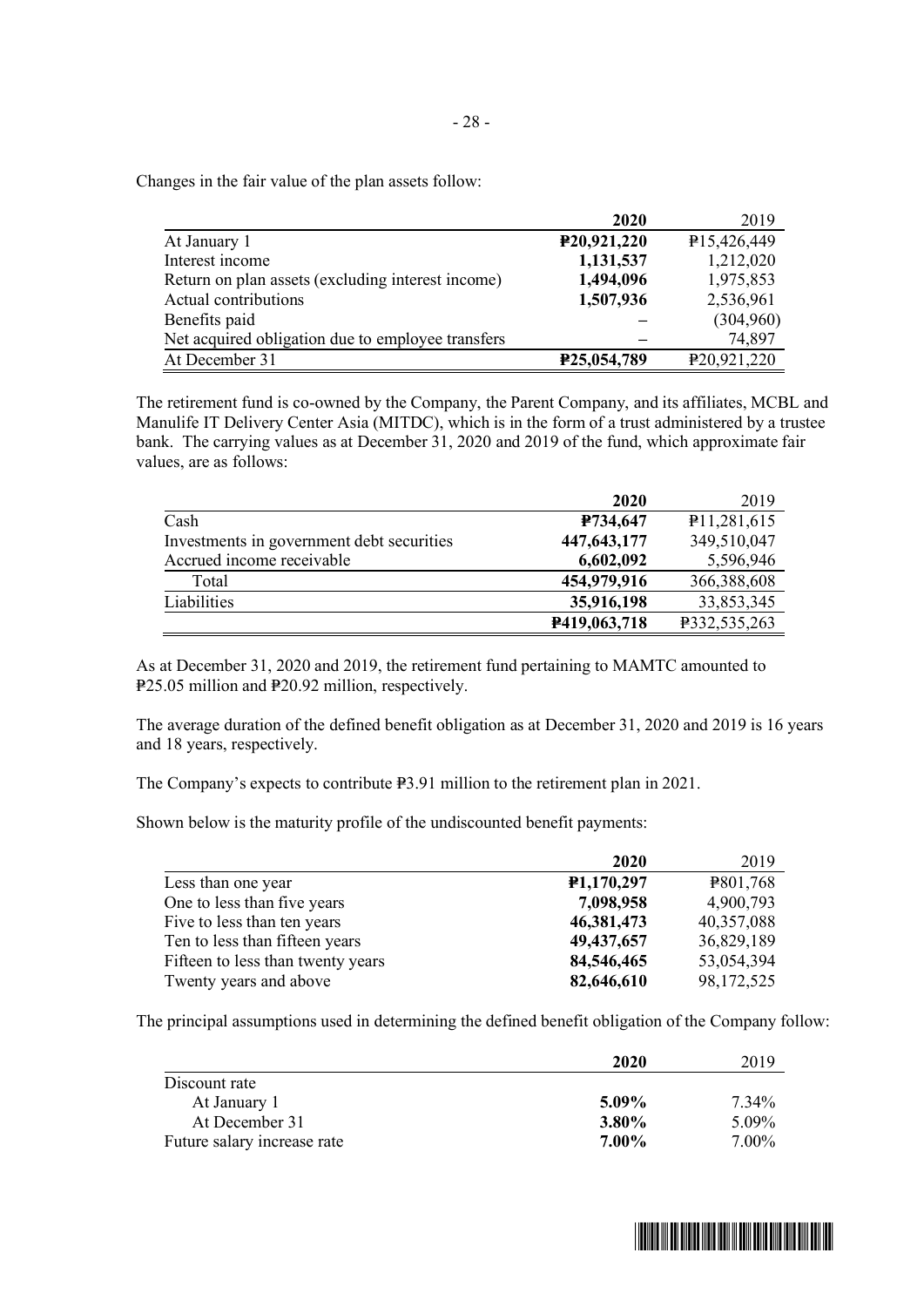Changes in the fair value of the plan assets follow:

|                                                   | <b>2020</b> | 2019        |
|---------------------------------------------------|-------------|-------------|
| At January 1                                      | P20,921,220 | P15,426,449 |
| Interest income                                   | 1,131,537   | 1,212,020   |
| Return on plan assets (excluding interest income) | 1,494,096   | 1,975,853   |
| Actual contributions                              | 1,507,936   | 2,536,961   |
| Benefits paid                                     |             | (304,960)   |
| Net acquired obligation due to employee transfers |             | 74,897      |
| At December 31                                    | P25,054,789 | P20,921,220 |

The retirement fund is co-owned by the Company, the Parent Company, and its affiliates, MCBL and Manulife IT Delivery Center Asia (MITDC), which is in the form of a trust administered by a trustee bank. The carrying values as at December 31, 2020 and 2019 of the fund, which approximate fair values, are as follows:

|                                           | 2020          | 2019                     |
|-------------------------------------------|---------------|--------------------------|
| Cash                                      | P734,647      | P <sub>11</sub> ,281,615 |
| Investments in government debt securities | 447, 643, 177 | 349,510,047              |
| Accrued income receivable                 | 6,602,092     | 5,596,946                |
| Total                                     | 454,979,916   | 366,388,608              |
| Liabilities                               | 35,916,198    | 33,853,345               |
|                                           | P419,063,718  | P332,535,263             |

As at December 31, 2020 and 2019, the retirement fund pertaining to MAMTC amounted to P25.05 million and P20.92 million, respectively.

The average duration of the defined benefit obligation as at December 31, 2020 and 2019 is 16 years and 18 years, respectively.

The Company's expects to contribute  $F3.91$  million to the retirement plan in 2021.

Shown below is the maturity profile of the undiscounted benefit payments:

|                                   | 2020                    | 2019       |
|-----------------------------------|-------------------------|------------|
| Less than one year                | P <sub>1</sub> ,170,297 | P801,768   |
| One to less than five years       | 7,098,958               | 4,900,793  |
| Five to less than ten years       | 46,381,473              | 40,357,088 |
| Ten to less than fifteen years    | 49,437,657              | 36,829,189 |
| Fifteen to less than twenty years | 84,546,465              | 53,054,394 |
| Twenty years and above            | 82,646,610              | 98,172,525 |

The principal assumptions used in determining the defined benefit obligation of the Company follow:

|                             | 2020     | 2019     |
|-----------------------------|----------|----------|
| Discount rate               |          |          |
| At January 1                | $5.09\%$ | 7.34%    |
| At December 31              | 3.80%    | $5.09\%$ |
| Future salary increase rate | 7.00%    | $7.00\%$ |

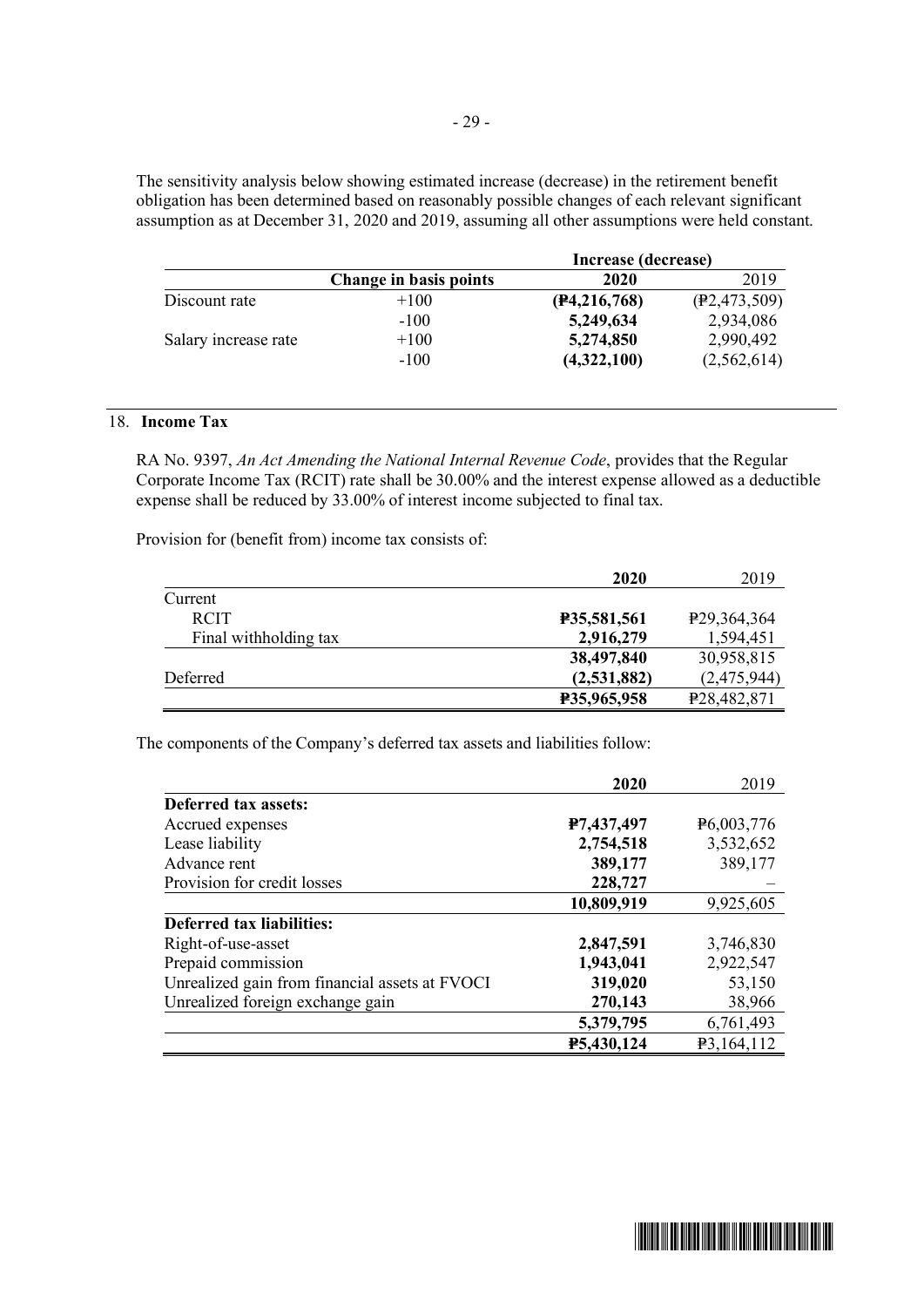The sensitivity analysis below showing estimated increase (decrease) in the retirement benefit obligation has been determined based on reasonably possible changes of each relevant significant assumption as at December 31, 2020 and 2019, assuming all other assumptions were held constant.

|                      |                        | Increase (decrease)   |                |
|----------------------|------------------------|-----------------------|----------------|
|                      | Change in basis points | 2020                  | 2019           |
| Discount rate        | $+100$                 | ( <b>P4,216,768</b> ) | (P2, 473, 509) |
|                      | $-100$                 | 5,249,634             | 2,934,086      |
| Salary increase rate | $+100$                 | 5,274,850             | 2,990,492      |
|                      | $-100$                 | (4,322,100)           | (2,562,614)    |

# 18. **Income Tax**

RA No. 9397, *An Act Amending the National Internal Revenue Code*, provides that the Regular Corporate Income Tax (RCIT) rate shall be 30.00% and the interest expense allowed as a deductible expense shall be reduced by 33.00% of interest income subjected to final tax.

Provision for (benefit from) income tax consists of:

|                       | 2020               | 2019                       |
|-----------------------|--------------------|----------------------------|
| Current               |                    |                            |
| <b>RCIT</b>           | <b>P35,581,561</b> | P <sub>29</sub> , 364, 364 |
| Final withholding tax | 2,916,279          | 1,594,451                  |
|                       | 38,497,840         | 30,958,815                 |
| Deferred              | (2,531,882)        | (2,475,944)                |
|                       | P35,965,958        | P <sub>28</sub> , 482, 871 |

The components of the Company's deferred tax assets and liabilities follow:

|                                                | 2020       | 2019       |
|------------------------------------------------|------------|------------|
| Deferred tax assets:                           |            |            |
| Accrued expenses                               | P7,437,497 | P6,003,776 |
| Lease liability                                | 2,754,518  | 3,532,652  |
| Advance rent                                   | 389,177    | 389,177    |
| Provision for credit losses                    | 228,727    |            |
|                                                | 10,809,919 | 9,925,605  |
| Deferred tax liabilities:                      |            |            |
| Right-of-use-asset                             | 2,847,591  | 3,746,830  |
| Prepaid commission                             | 1,943,041  | 2,922,547  |
| Unrealized gain from financial assets at FVOCI | 319,020    | 53,150     |
| Unrealized foreign exchange gain               | 270,143    | 38,966     |
|                                                | 5,379,795  | 6,761,493  |
|                                                | P5,430,124 | P3,164,112 |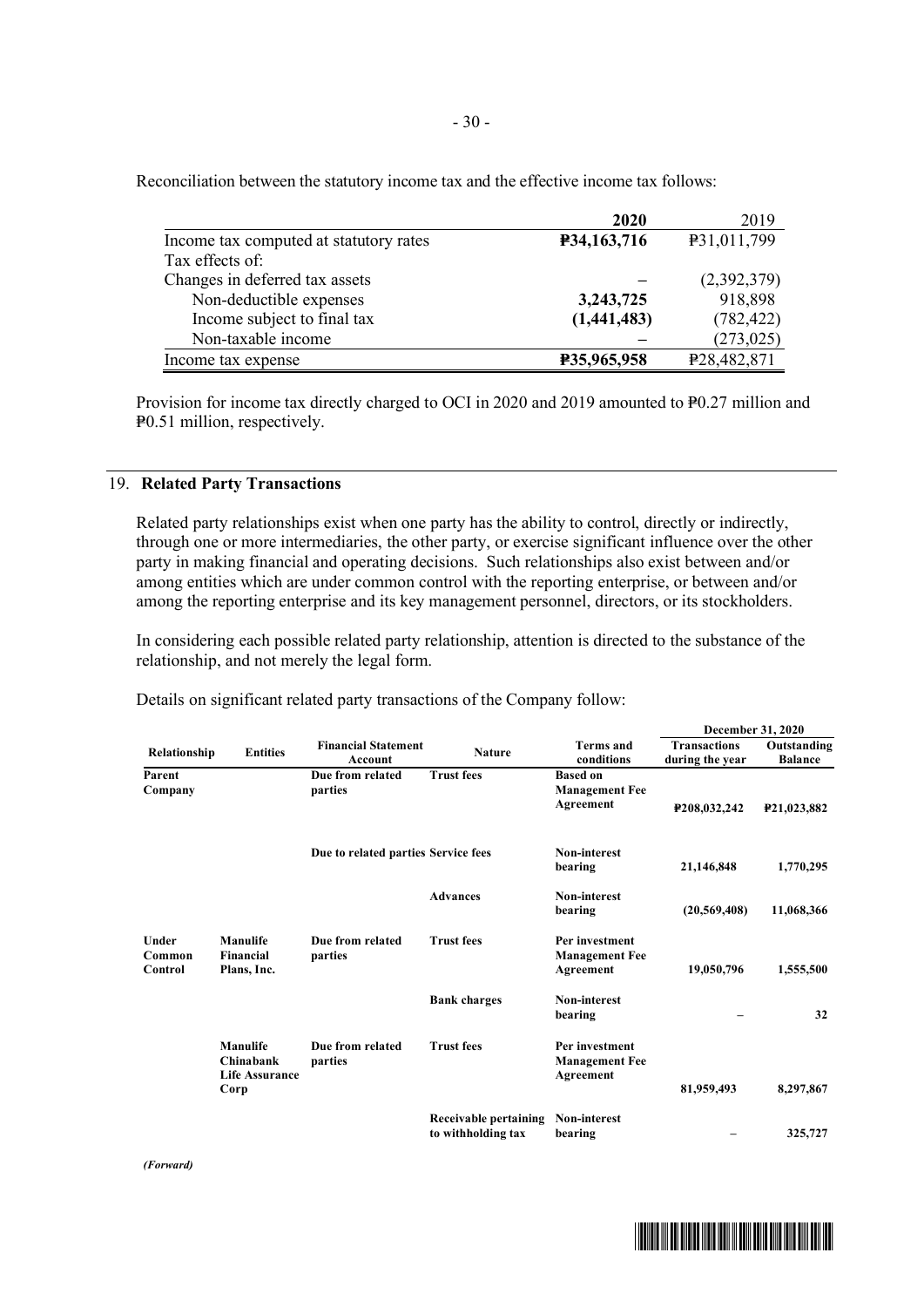Reconciliation between the statutory income tax and the effective income tax follows:

|                                        | 2020        | 2019        |
|----------------------------------------|-------------|-------------|
| Income tax computed at statutory rates | P34,163,716 | P31,011,799 |
| Tax effects of:                        |             |             |
| Changes in deferred tax assets         |             | (2,392,379) |
| Non-deductible expenses                | 3,243,725   | 918,898     |
| Income subject to final tax            | (1,441,483) | (782, 422)  |
| Non-taxable income                     |             | (273, 025)  |
| Income tax expense                     | P35,965,958 | P28,482,871 |

Provision for income tax directly charged to OCI in 2020 and 2019 amounted to P0.27 million and P<sub>0.51</sub> million, respectively.

# 19. **Related Party Transactions**

Related party relationships exist when one party has the ability to control, directly or indirectly, through one or more intermediaries, the other party, or exercise significant influence over the other party in making financial and operating decisions. Such relationships also exist between and/or among entities which are under common control with the reporting enterprise, or between and/or among the reporting enterprise and its key management personnel, directors, or its stockholders.

In considering each possible related party relationship, attention is directed to the substance of the relationship, and not merely the legal form.

Details on significant related party transactions of the Company follow:

|                            |                                             |                                       |                                             |                                                       | <b>December 31, 2020</b>               |                               |
|----------------------------|---------------------------------------------|---------------------------------------|---------------------------------------------|-------------------------------------------------------|----------------------------------------|-------------------------------|
| Relationship               | <b>Entities</b>                             | <b>Financial Statement</b><br>Account | <b>Nature</b>                               | <b>Terms</b> and<br>conditions                        | <b>Transactions</b><br>during the year | Outstanding<br><b>Balance</b> |
| Parent<br>Company          |                                             | Due from related<br>parties           | <b>Trust fees</b>                           | <b>Based on</b><br><b>Management Fee</b><br>Agreement | P208,032,242                           | P21,023,882                   |
|                            |                                             | Due to related parties Service fees   |                                             | <b>Non-interest</b><br>bearing                        | 21,146,848                             | 1,770,295                     |
|                            |                                             |                                       | <b>Advances</b>                             | Non-interest<br>bearing                               | (20, 569, 408)                         | 11,068,366                    |
| Under<br>Common<br>Control | Manulife<br><b>Financial</b><br>Plans, Inc. | Due from related<br>parties           | <b>Trust fees</b>                           | Per investment<br><b>Management Fee</b><br>Agreement  | 19,050,796                             | 1,555,500                     |
|                            |                                             |                                       | <b>Bank charges</b>                         | Non-interest<br>bearing                               |                                        | 32                            |
|                            | Manulife<br>Chinabank<br>Life Assurance     | Due from related<br>parties           | <b>Trust fees</b>                           | Per investment<br><b>Management Fee</b><br>Agreement  |                                        |                               |
|                            | Corp                                        |                                       |                                             |                                                       | 81,959,493                             | 8,297,867                     |
|                            |                                             |                                       | Receivable pertaining<br>to withholding tax | <b>Non-interest</b><br>bearing                        |                                        | 325,727                       |

*(Forward)*

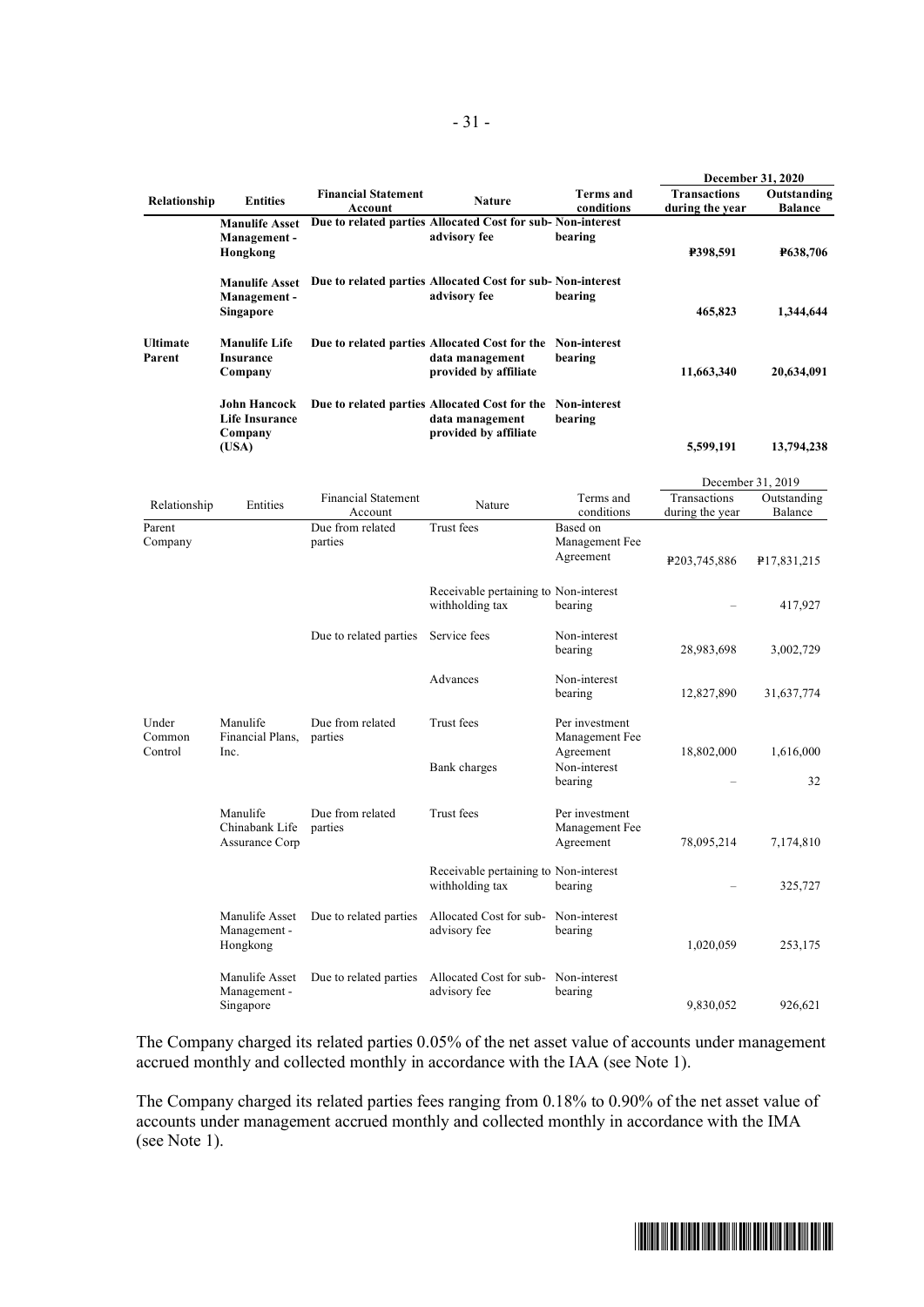|                            |                                                          |                                       |                                                                                                        |                                               |                                        | <b>December 31, 2020</b>      |
|----------------------------|----------------------------------------------------------|---------------------------------------|--------------------------------------------------------------------------------------------------------|-----------------------------------------------|----------------------------------------|-------------------------------|
| Relationship               | <b>Entities</b>                                          | <b>Financial Statement</b><br>Account | <b>Nature</b>                                                                                          | <b>Terms</b> and<br>conditions                | <b>Transactions</b><br>during the year | Outstanding<br><b>Balance</b> |
|                            | <b>Manulife Asset</b><br><b>Management</b> -<br>Hongkong |                                       | Due to related parties Allocated Cost for sub-Non-interest<br>advisory fee                             | bearing                                       | ¥398,591                               | <b>P638,706</b>               |
|                            | Management-<br>Singapore                                 |                                       | Manulife Asset Due to related parties Allocated Cost for sub-Non-interest<br>advisory fee              | bearing                                       | 465,823                                | 1,344,644                     |
| <b>Ultimate</b><br>Parent  | <b>Manulife Life</b><br><b>Insurance</b><br>Company      |                                       | Due to related parties Allocated Cost for the Non-interest<br>data management<br>provided by affiliate | bearing                                       | 11,663,340                             | 20,634,091                    |
|                            | John Hancock<br><b>Life Insurance</b><br>Company         |                                       | Due to related parties Allocated Cost for the<br>data management<br>provided by affiliate              | <b>Non-interest</b><br>bearing                |                                        |                               |
|                            | (USA)                                                    |                                       |                                                                                                        |                                               | 5,599,191                              | 13,794,238                    |
|                            |                                                          |                                       |                                                                                                        |                                               |                                        | December 31, 2019             |
| Relationship               | Entities                                                 | <b>Financial Statement</b><br>Account | Nature                                                                                                 | Terms and<br>conditions                       | Transactions<br>during the year        | Outstanding<br>Balance        |
| Parent<br>Company          |                                                          | Due from related<br>parties           | Trust fees                                                                                             | Based on<br>Management Fee<br>Agreement       | P <sub>203</sub> , 745, 886            | P <sub>17</sub> ,831,215      |
|                            |                                                          |                                       | Receivable pertaining to Non-interest<br>withholding tax                                               | bearing                                       |                                        | 417,927                       |
|                            |                                                          | Due to related parties                | Service fees                                                                                           | Non-interest<br>bearing                       | 28,983,698                             | 3,002,729                     |
|                            |                                                          |                                       | Advances                                                                                               | Non-interest<br>bearing                       | 12,827,890                             | 31,637,774                    |
| Under<br>Common<br>Control | Manulife<br>Financial Plans,<br>Inc.                     | Due from related<br>parties           | Trust fees                                                                                             | Per investment<br>Management Fee<br>Agreement | 18,802,000                             | 1,616,000                     |
|                            |                                                          |                                       | Bank charges                                                                                           | Non-interest<br>bearing                       |                                        | 32                            |
|                            | Manulife<br>Chinabank Life<br>Assurance Corp             | Due from related<br>parties           | Trust fees                                                                                             | Per investment<br>Management Fee<br>Agreement | 78,095,214                             | 7,174,810                     |
|                            |                                                          |                                       | Receivable pertaining to Non-interest<br>withholding tax                                               | bearing                                       |                                        | 325,727                       |
|                            | Manulife Asset<br>Management -<br>Hongkong               | Due to related parties                | Allocated Cost for sub- Non-interest<br>advisory fee                                                   | bearing                                       | 1,020,059                              | 253,175                       |
|                            | Manulife Asset<br>Management -<br>Singapore              | Due to related parties                | Allocated Cost for sub- Non-interest<br>advisory fee                                                   | bearing                                       | 9,830,052                              | 926,621                       |

The Company charged its related parties 0.05% of the net asset value of accounts under management accrued monthly and collected monthly in accordance with the IAA (see Note 1).

The Company charged its related parties fees ranging from 0.18% to 0.90% of the net asset value of accounts under management accrued monthly and collected monthly in accordance with the IMA (see Note 1).

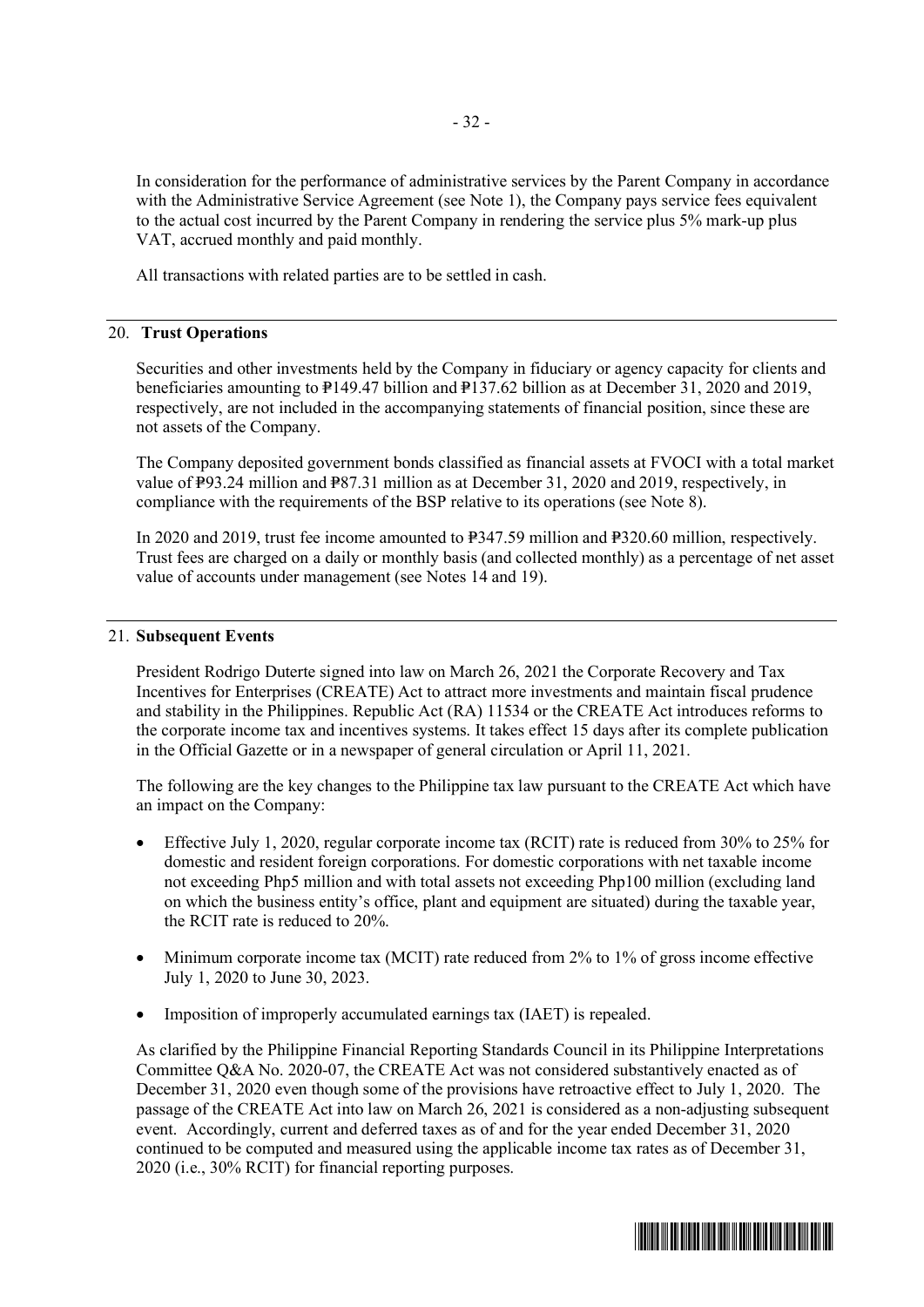In consideration for the performance of administrative services by the Parent Company in accordance with the Administrative Service Agreement (see Note 1), the Company pays service fees equivalent to the actual cost incurred by the Parent Company in rendering the service plus 5% mark-up plus VAT, accrued monthly and paid monthly.

All transactions with related parties are to be settled in cash.

## 20. **Trust Operations**

Securities and other investments held by the Company in fiduciary or agency capacity for clients and beneficiaries amounting to P149.47 billion and P137.62 billion as at December  $31, 2020$  and 2019, respectively, are not included in the accompanying statements of financial position, since these are not assets of the Company.

The Company deposited government bonds classified as financial assets at FVOCI with a total market value of  $\overline{P}93.24$  million and  $\overline{P}87.31$  million as at December 31, 2020 and 2019, respectively, in compliance with the requirements of the BSP relative to its operations (see Note 8).

In 2020 and 2019, trust fee income amounted to  $P347.59$  million and  $P320.60$  million, respectively. Trust fees are charged on a daily or monthly basis (and collected monthly) as a percentage of net asset value of accounts under management (see Notes 14 and 19).

### 21. **Subsequent Events**

President Rodrigo Duterte signed into law on March 26, 2021 the Corporate Recovery and Tax Incentives for Enterprises (CREATE) Act to attract more investments and maintain fiscal prudence and stability in the Philippines. Republic Act (RA) 11534 or the CREATE Act introduces reforms to the corporate income tax and incentives systems. It takes effect 15 days after its complete publication in the Official Gazette or in a newspaper of general circulation or April 11, 2021.

The following are the key changes to the Philippine tax law pursuant to the CREATE Act which have an impact on the Company:

- Effective July 1, 2020, regular corporate income tax (RCIT) rate is reduced from 30% to 25% for domestic and resident foreign corporations. For domestic corporations with net taxable income not exceeding Php5 million and with total assets not exceeding Php100 million (excluding land on which the business entity's office, plant and equipment are situated) during the taxable year, the RCIT rate is reduced to 20%.
- Minimum corporate income tax (MCIT) rate reduced from 2% to 1% of gross income effective July 1, 2020 to June 30, 2023.
- Imposition of improperly accumulated earnings tax (IAET) is repealed.

As clarified by the Philippine Financial Reporting Standards Council in its Philippine Interpretations Committee Q&A No. 2020-07, the CREATE Act was not considered substantively enacted as of December 31, 2020 even though some of the provisions have retroactive effect to July 1, 2020. The passage of the CREATE Act into law on March 26, 2021 is considered as a non-adjusting subsequent event. Accordingly, current and deferred taxes as of and for the year ended December 31, 2020 continued to be computed and measured using the applicable income tax rates as of December 31, 2020 (i.e., 30% RCIT) for financial reporting purposes.

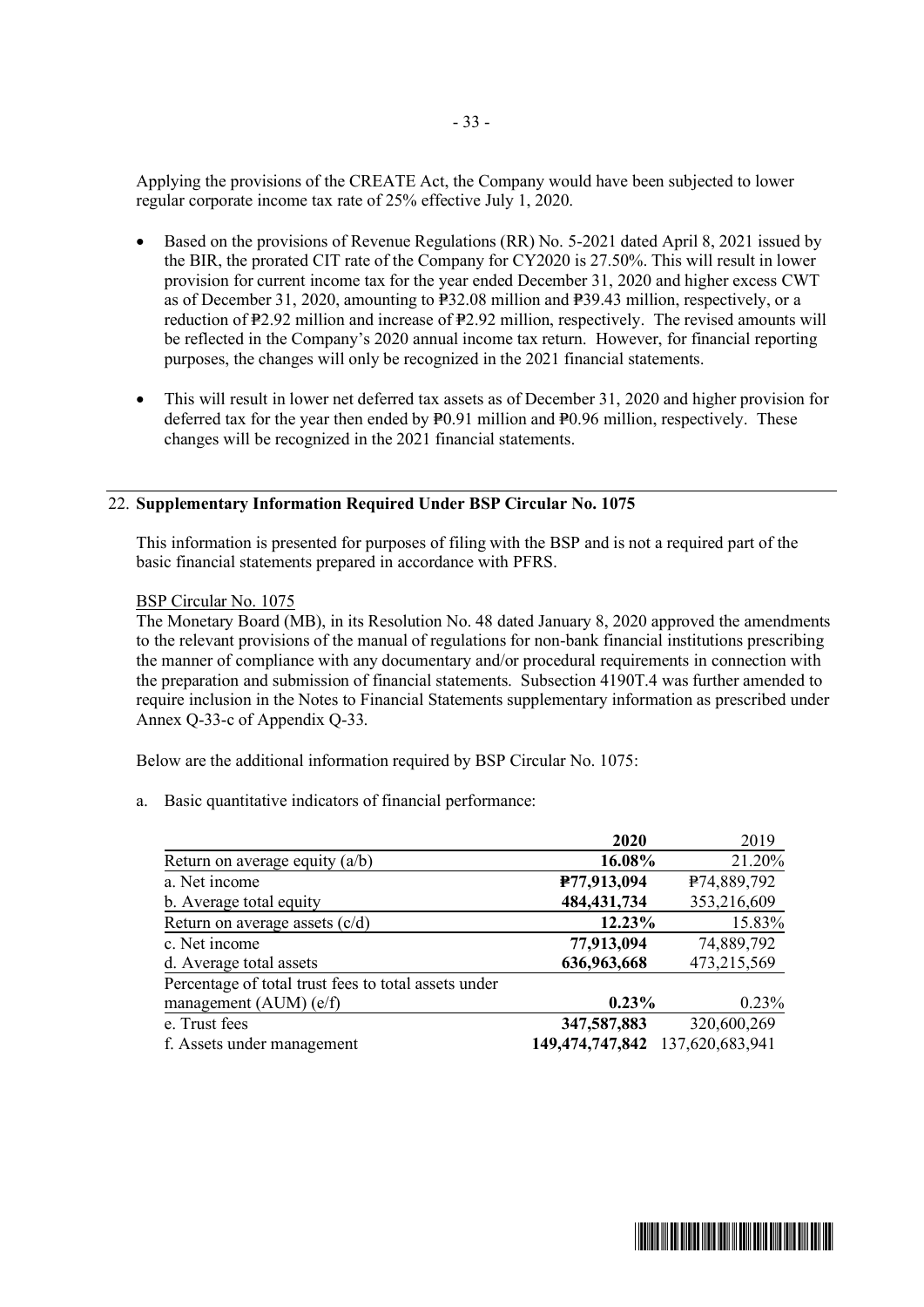Applying the provisions of the CREATE Act, the Company would have been subjected to lower regular corporate income tax rate of 25% effective July 1, 2020.

- Based on the provisions of Revenue Regulations (RR) No. 5-2021 dated April 8, 2021 issued by the BIR, the prorated CIT rate of the Company for CY2020 is 27.50%. This will result in lower provision for current income tax for the year ended December 31, 2020 and higher excess CWT as of December 31, 2020, amounting to  $\overline{P}32.08$  million and  $\overline{P}39.43$  million, respectively, or a reduction of P2.92 million and increase of P2.92 million, respectively. The revised amounts will be reflected in the Company's 2020 annual income tax return. However, for financial reporting purposes, the changes will only be recognized in the 2021 financial statements.
- This will result in lower net deferred tax assets as of December 31, 2020 and higher provision for deferred tax for the year then ended by  $P0.91$  million and  $P0.96$  million, respectively. These changes will be recognized in the 2021 financial statements.

### 22. **Supplementary Information Required Under BSP Circular No. 1075**

This information is presented for purposes of filing with the BSP and is not a required part of the basic financial statements prepared in accordance with PFRS.

#### BSP Circular No. 1075

The Monetary Board (MB), in its Resolution No. 48 dated January 8, 2020 approved the amendments to the relevant provisions of the manual of regulations for non-bank financial institutions prescribing the manner of compliance with any documentary and/or procedural requirements in connection with the preparation and submission of financial statements. Subsection 4190T.4 was further amended to require inclusion in the Notes to Financial Statements supplementary information as prescribed under Annex Q-33-c of Appendix Q-33.

Below are the additional information required by BSP Circular No. 1075:

a. Basic quantitative indicators of financial performance:

|                                                      | 2020                            | 2019        |
|------------------------------------------------------|---------------------------------|-------------|
| Return on average equity $(a/b)$                     | 16.08%                          | 21.20%      |
| a. Net income                                        | P77,913,094                     | P74,889,792 |
| b. Average total equity                              | 484, 431, 734                   | 353,216,609 |
| Return on average assets $(c/d)$                     | 12.23%                          | 15.83%      |
| c. Net income                                        | 77,913,094                      | 74,889,792  |
| d. Average total assets                              | 636,963,668                     | 473,215,569 |
| Percentage of total trust fees to total assets under |                                 |             |
| management $(AUM)$ (e/f)                             | 0.23%                           | 0.23%       |
| e. Trust fees                                        | 347,587,883                     | 320,600,269 |
| f. Assets under management                           | 149,474,747,842 137,620,683,941 |             |

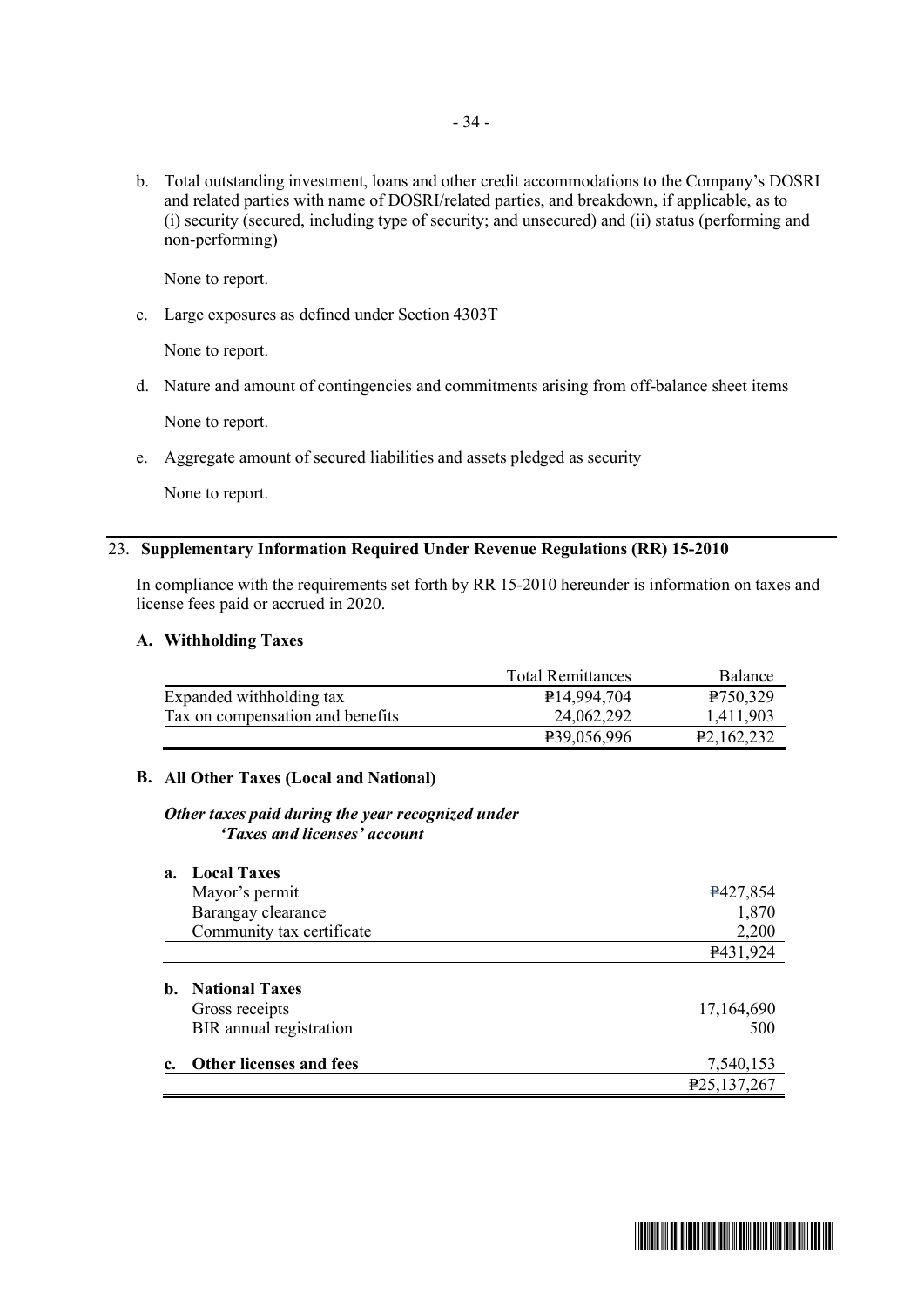b. Total outstanding investment, loans and other credit accommodations to the Company's DOSRI and related parties with name of DOSRI/related parties, and breakdown, if applicable, as to (i) security (secured, including type of security; and unsecured) and (ii) status (performing and non-performing)

None to report.

c. Large exposures as defined under Section 4303T

None to report.

d. Nature and amount of contingencies and commitments arising from off-balance sheet items

None to report.

e. Aggregate amount of secured liabilities and assets pledged as security

None to report.

### 23. **Supplementary Information Required Under Revenue Regulations (RR) 15-2010**

In compliance with the requirements set forth by RR 15-2010 hereunder is information on taxes and license fees paid or accrued in 2020.

## **A. Withholding Taxes**

|                                  | <b>Total Remittances</b> | <b>Balance</b>         |
|----------------------------------|--------------------------|------------------------|
| Expanded withholding tax         | P <sub>14,994,704</sub>  | P <sub>750</sub> , 329 |
| Tax on compensation and benefits | 24,062,292               | 1,411,903              |
|                                  | P39,056,996              | P2,162,232             |

### **B. All Other Taxes (Local and National)**

### *Other taxes paid during the year recognized under 'Taxes and licenses' account*

| $a_{\cdot}$ | <b>Local Taxes</b>        |             |
|-------------|---------------------------|-------------|
|             | Mayor's permit            | P427,854    |
|             | Barangay clearance        | 1,870       |
|             | Community tax certificate | 2,200       |
|             |                           | P431,924    |
|             | <b>b.</b> National Taxes  |             |
|             | Gross receipts            | 17,164,690  |
|             | BIR annual registration   | 500         |
|             | Other licenses and fees   | 7,540,153   |
|             |                           | P25,137,267 |